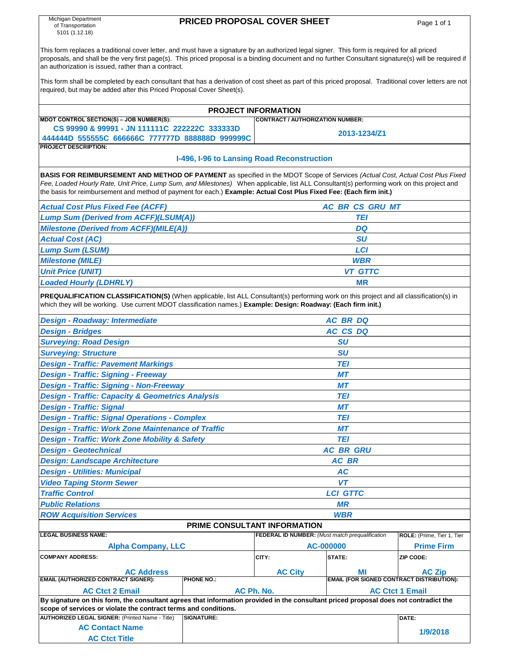| Michigan Department<br><b>PRICED PROPOSAL COVER SHEET</b>                                                                                                                                                                                                                                                                                                    |                                                                   |                                                                                 |                        |                                |  |  |  |  |  |  |  |  |  |
|--------------------------------------------------------------------------------------------------------------------------------------------------------------------------------------------------------------------------------------------------------------------------------------------------------------------------------------------------------------|-------------------------------------------------------------------|---------------------------------------------------------------------------------|------------------------|--------------------------------|--|--|--|--|--|--|--|--|--|
| of Transportation<br>5101 (1.12.18)                                                                                                                                                                                                                                                                                                                          |                                                                   |                                                                                 |                        | Page 1 of 1                    |  |  |  |  |  |  |  |  |  |
| This form replaces a traditional cover letter, and must have a signature by an authorized legal signer. This form is required for all priced<br>proposals, and shall be the very first page(s). This priced proposal is a binding document and no further Consultant signature(s) will be required if<br>an authorization is issued, rather than a contract. |                                                                   |                                                                                 |                        |                                |  |  |  |  |  |  |  |  |  |
| This form shall be completed by each consultant that has a derivation of cost sheet as part of this priced proposal. Traditional cover letters are not<br>required, but may be added after this Priced Proposal Cover Sheet(s).                                                                                                                              |                                                                   |                                                                                 |                        |                                |  |  |  |  |  |  |  |  |  |
|                                                                                                                                                                                                                                                                                                                                                              | <b>PROJECT INFORMATION</b>                                        |                                                                                 |                        |                                |  |  |  |  |  |  |  |  |  |
| MDOT CONTROL SECTION(S) - JOB NUMBER(S):                                                                                                                                                                                                                                                                                                                     | <b>CONTRACT / AUTHORIZATION NUMBER:</b>                           |                                                                                 |                        |                                |  |  |  |  |  |  |  |  |  |
| CS 99990 & 99991 - JN 111111C 222222C 333333D<br>444444D 555555C 666666C 777777D 888888D 999999C                                                                                                                                                                                                                                                             |                                                                   |                                                                                 | 2013-1234/Z1           |                                |  |  |  |  |  |  |  |  |  |
| <b>PROJECT DESCRIPTION:</b>                                                                                                                                                                                                                                                                                                                                  |                                                                   |                                                                                 |                        |                                |  |  |  |  |  |  |  |  |  |
| I-496, I-96 to Lansing Road Reconstruction<br>BASIS FOR REIMBURSEMENT AND METHOD OF PAYMENT as specified in the MDOT Scope of Services (Actual Cost, Actual Cost Plus Fixed                                                                                                                                                                                  |                                                                   |                                                                                 |                        |                                |  |  |  |  |  |  |  |  |  |
| Fee, Loaded Hourly Rate, Unit Price, Lump Sum, and Milestones) When applicable, list ALL Consultant(s) performing work on this project and<br>the basis for reimbursement and method of payment for each.) Example: Actual Cost Plus Fixed Fee: (Each firm init.)                                                                                            |                                                                   |                                                                                 |                        |                                |  |  |  |  |  |  |  |  |  |
| <b>Actual Cost Plus Fixed Fee (ACFF)</b>                                                                                                                                                                                                                                                                                                                     |                                                                   |                                                                                 | <b>AC BR CS GRU MT</b> |                                |  |  |  |  |  |  |  |  |  |
| <b>Lump Sum (Derived from ACFF)(LSUM(A))</b>                                                                                                                                                                                                                                                                                                                 |                                                                   |                                                                                 | TEI                    |                                |  |  |  |  |  |  |  |  |  |
| <b>Milestone (Derived from ACFF)(MILE(A))</b>                                                                                                                                                                                                                                                                                                                |                                                                   |                                                                                 | <b>DQ</b>              |                                |  |  |  |  |  |  |  |  |  |
| <b>Actual Cost (AC)</b>                                                                                                                                                                                                                                                                                                                                      |                                                                   |                                                                                 | SU                     |                                |  |  |  |  |  |  |  |  |  |
| <b>Lump Sum (LSUM)</b>                                                                                                                                                                                                                                                                                                                                       |                                                                   |                                                                                 | <b>LCI</b>             |                                |  |  |  |  |  |  |  |  |  |
| <b>Milestone (MILE)</b>                                                                                                                                                                                                                                                                                                                                      |                                                                   |                                                                                 | <b>WBR</b>             |                                |  |  |  |  |  |  |  |  |  |
| <b>Unit Price (UNIT)</b>                                                                                                                                                                                                                                                                                                                                     |                                                                   |                                                                                 | <b>VT GTTC</b>         |                                |  |  |  |  |  |  |  |  |  |
| <b>Loaded Hourly (LDHRLY)</b>                                                                                                                                                                                                                                                                                                                                |                                                                   |                                                                                 | <b>MR</b>              |                                |  |  |  |  |  |  |  |  |  |
| PREQUALIFICATION CLASSIFICATION(S) (When applicable, list ALL Consultant(s) performing work on this project and all classification(s) in<br>which they will be working. Use current MDOT classification names.) Example: Design: Roadway: (Each firm init.)                                                                                                  |                                                                   |                                                                                 |                        |                                |  |  |  |  |  |  |  |  |  |
| <b>Design - Roadway: Intermediate</b>                                                                                                                                                                                                                                                                                                                        |                                                                   |                                                                                 | <b>AC BR DQ</b>        |                                |  |  |  |  |  |  |  |  |  |
| <b>Design - Bridges</b>                                                                                                                                                                                                                                                                                                                                      |                                                                   |                                                                                 | AC CS DQ               |                                |  |  |  |  |  |  |  |  |  |
| <b>Surveying: Road Design</b>                                                                                                                                                                                                                                                                                                                                |                                                                   |                                                                                 | <b>SU</b>              |                                |  |  |  |  |  |  |  |  |  |
| <b>Surveying: Structure</b>                                                                                                                                                                                                                                                                                                                                  |                                                                   | <b>SU</b>                                                                       |                        |                                |  |  |  |  |  |  |  |  |  |
| <b>Design - Traffic: Pavement Markings</b>                                                                                                                                                                                                                                                                                                                   |                                                                   |                                                                                 | <b>TEI</b>             |                                |  |  |  |  |  |  |  |  |  |
| <b>Design - Traffic: Signing - Freeway</b>                                                                                                                                                                                                                                                                                                                   |                                                                   |                                                                                 | MТ                     |                                |  |  |  |  |  |  |  |  |  |
| <b>Design - Traffic: Signing - Non-Freeway</b>                                                                                                                                                                                                                                                                                                               |                                                                   |                                                                                 | <b>MT</b>              |                                |  |  |  |  |  |  |  |  |  |
| <b>Design - Traffic: Capacity &amp; Geometrics Analysis</b>                                                                                                                                                                                                                                                                                                  |                                                                   |                                                                                 | TEI                    |                                |  |  |  |  |  |  |  |  |  |
| <b>Design - Traffic: Signal</b>                                                                                                                                                                                                                                                                                                                              |                                                                   |                                                                                 | МT                     |                                |  |  |  |  |  |  |  |  |  |
| <b>Design - Traffic: Signal Operations - Complex</b>                                                                                                                                                                                                                                                                                                         |                                                                   |                                                                                 | TEI                    |                                |  |  |  |  |  |  |  |  |  |
| <b>Design - Traffic: Work Zone Maintenance of Traffic</b>                                                                                                                                                                                                                                                                                                    |                                                                   |                                                                                 | МT                     |                                |  |  |  |  |  |  |  |  |  |
| <b>Design - Traffic: Work Zone Mobility &amp; Safety</b>                                                                                                                                                                                                                                                                                                     |                                                                   |                                                                                 | TEI                    |                                |  |  |  |  |  |  |  |  |  |
| <b>Design - Geotechnical</b>                                                                                                                                                                                                                                                                                                                                 |                                                                   |                                                                                 | <b>AC BR GRU</b>       |                                |  |  |  |  |  |  |  |  |  |
| <b>Design: Landscape Architecture</b>                                                                                                                                                                                                                                                                                                                        |                                                                   |                                                                                 | <b>AC BR</b>           |                                |  |  |  |  |  |  |  |  |  |
| <b>Design - Utilities: Municipal</b>                                                                                                                                                                                                                                                                                                                         |                                                                   |                                                                                 | <b>AC</b>              |                                |  |  |  |  |  |  |  |  |  |
| <b>Video Taping Storm Sewer</b>                                                                                                                                                                                                                                                                                                                              |                                                                   |                                                                                 | <b>VT</b>              |                                |  |  |  |  |  |  |  |  |  |
| <b>Traffic Control</b>                                                                                                                                                                                                                                                                                                                                       |                                                                   |                                                                                 | <b>LCI GTTC</b>        |                                |  |  |  |  |  |  |  |  |  |
| <b>Public Relations</b>                                                                                                                                                                                                                                                                                                                                      |                                                                   |                                                                                 | <b>MR</b>              |                                |  |  |  |  |  |  |  |  |  |
| <b>ROW Acquisition Services</b>                                                                                                                                                                                                                                                                                                                              |                                                                   |                                                                                 | <b>WBR</b>             |                                |  |  |  |  |  |  |  |  |  |
| <b>LEGAL BUSINESS NAME:</b>                                                                                                                                                                                                                                                                                                                                  |                                                                   | PRIME CONSULTANT INFORMATION<br>FEDERAL ID NUMBER: (Must match prequalification |                        | ROLE: (Prime, Tier 1, Tier     |  |  |  |  |  |  |  |  |  |
|                                                                                                                                                                                                                                                                                                                                                              |                                                                   |                                                                                 | AC-000000              |                                |  |  |  |  |  |  |  |  |  |
| <b>Alpha Company, LLC</b><br><b>COMPANY ADDRESS:</b>                                                                                                                                                                                                                                                                                                         |                                                                   | CITY:                                                                           | STATE:                 | <b>Prime Firm</b><br>ZIP CODE: |  |  |  |  |  |  |  |  |  |
|                                                                                                                                                                                                                                                                                                                                                              | <b>AC City</b>                                                    |                                                                                 |                        |                                |  |  |  |  |  |  |  |  |  |
| <b>AC Address</b><br><b>EMAIL (AUTHORIZED CONTRACT SIGNER):</b>                                                                                                                                                                                                                                                                                              | <b>AC Zip</b><br><b>EMAIL (FOR SIGNED CONTRACT DISTRIBUTION):</b> |                                                                                 |                        |                                |  |  |  |  |  |  |  |  |  |
| <b>AC Ctct 2 Email</b>                                                                                                                                                                                                                                                                                                                                       | <b>PHONE NO.:</b><br>AC Ph. No.                                   |                                                                                 | <b>AC Ctct 1 Email</b> |                                |  |  |  |  |  |  |  |  |  |
| By signature on this form, the consultant agrees that information provided in the consultant priced proposal does not contradict the<br>scope of services or violate the contract terms and conditions.                                                                                                                                                      |                                                                   |                                                                                 |                        |                                |  |  |  |  |  |  |  |  |  |
| <b>AUTHORIZED LEGAL SIGNER: (Printed Name - Title)</b>                                                                                                                                                                                                                                                                                                       | <b>SIGNATURE:</b>                                                 |                                                                                 |                        | DATE:                          |  |  |  |  |  |  |  |  |  |
| <b>AC Contact Name</b>                                                                                                                                                                                                                                                                                                                                       |                                                                   |                                                                                 |                        | 1/9/2018                       |  |  |  |  |  |  |  |  |  |
| <b>AC Ctct Title</b>                                                                                                                                                                                                                                                                                                                                         |                                                                   |                                                                                 |                        |                                |  |  |  |  |  |  |  |  |  |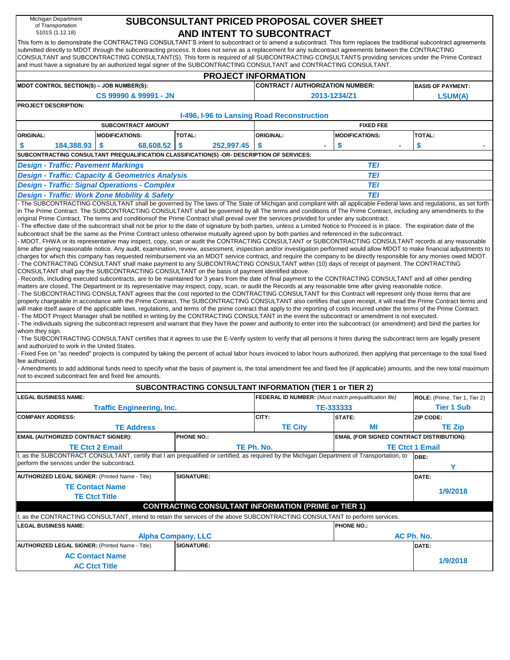| Michigan Department<br>of Transportation<br>5101S (1.12.18)                                                                                     |                             |                                                        | SUBCONSULTANT PRICED PROPOSAL COVER SHEET                                                                                                                                                                                                                                                                                                                                                                                                                                                                                                                                                                   | AND INTENT TO SUBCONTRACT                             |                                                  |                                                                                                                                                                              |  |  |  |  |  |  |  |  |  |
|-------------------------------------------------------------------------------------------------------------------------------------------------|-----------------------------|--------------------------------------------------------|-------------------------------------------------------------------------------------------------------------------------------------------------------------------------------------------------------------------------------------------------------------------------------------------------------------------------------------------------------------------------------------------------------------------------------------------------------------------------------------------------------------------------------------------------------------------------------------------------------------|-------------------------------------------------------|--------------------------------------------------|------------------------------------------------------------------------------------------------------------------------------------------------------------------------------|--|--|--|--|--|--|--|--|--|
|                                                                                                                                                 |                             |                                                        | This form is to demonstrate the CONTRACTING CONSULTANT'S intent to subcontract or to amend a subcontract. This form replaces the traditional subcontract agreements<br>submitted directly to MDOT through the subcontracting process. It does not serve as a replacement for any subcontract agreements between the CONTRACTING<br>CONSULTANT and SUBCONTRACTING CONSULTANT(S). This form is required of all SUBCONTRACTING CONSULTANTS providing services under the Prime Contract<br>and must have a signature by an authorized legal signer of the SUBCONTRACTING CONSULTANT and CONTRACTING CONSULTANT. |                                                       |                                                  |                                                                                                                                                                              |  |  |  |  |  |  |  |  |  |
|                                                                                                                                                 |                             |                                                        |                                                                                                                                                                                                                                                                                                                                                                                                                                                                                                                                                                                                             | <b>PROJECT INFORMATION</b>                            |                                                  |                                                                                                                                                                              |  |  |  |  |  |  |  |  |  |
| MDOT CONTROL SECTION(S) - JOB NUMBER(S):                                                                                                        |                             |                                                        |                                                                                                                                                                                                                                                                                                                                                                                                                                                                                                                                                                                                             | CONTRACT / AUTHORIZATION NUMBER:                      |                                                  | <b>BASIS OF PAYMENT:</b>                                                                                                                                                     |  |  |  |  |  |  |  |  |  |
|                                                                                                                                                 |                             | CS 99990 & 99991 - JN                                  |                                                                                                                                                                                                                                                                                                                                                                                                                                                                                                                                                                                                             |                                                       | 2013-1234/Z1                                     | <b>LSUM(A)</b>                                                                                                                                                               |  |  |  |  |  |  |  |  |  |
|                                                                                                                                                 | <b>PROJECT DESCRIPTION:</b> |                                                        |                                                                                                                                                                                                                                                                                                                                                                                                                                                                                                                                                                                                             |                                                       |                                                  |                                                                                                                                                                              |  |  |  |  |  |  |  |  |  |
|                                                                                                                                                 |                             |                                                        |                                                                                                                                                                                                                                                                                                                                                                                                                                                                                                                                                                                                             | I-496, I-96 to Lansing Road Reconstruction            |                                                  |                                                                                                                                                                              |  |  |  |  |  |  |  |  |  |
|                                                                                                                                                 |                             | <b>SUBCONTRACT AMOUNT</b>                              |                                                                                                                                                                                                                                                                                                                                                                                                                                                                                                                                                                                                             |                                                       | <b>FIXED FEE</b>                                 |                                                                                                                                                                              |  |  |  |  |  |  |  |  |  |
| <b>ORIGINAL:</b>                                                                                                                                |                             | <b>MODIFICATIONS:</b>                                  | TOTAL:                                                                                                                                                                                                                                                                                                                                                                                                                                                                                                                                                                                                      | <b>ORIGINAL:</b>                                      | <b>MODIFICATIONS:</b>                            | TOTAL:                                                                                                                                                                       |  |  |  |  |  |  |  |  |  |
|                                                                                                                                                 | 184,388.93                  | 68,608.52<br>\$                                        | 252,997.45<br>\$                                                                                                                                                                                                                                                                                                                                                                                                                                                                                                                                                                                            | $\boldsymbol{\mathsf{s}}$<br>٠                        | \$<br>٠                                          | \$<br>$\sim$                                                                                                                                                                 |  |  |  |  |  |  |  |  |  |
|                                                                                                                                                 |                             |                                                        |                                                                                                                                                                                                                                                                                                                                                                                                                                                                                                                                                                                                             |                                                       |                                                  |                                                                                                                                                                              |  |  |  |  |  |  |  |  |  |
| SUBCONTRACTING CONSULTANT PREQUALIFICATION CLASSIFICATION(S) -OR- DESCRIPTION OF SERVICES:<br><b>Design - Traffic: Pavement Markings</b><br>TEI |                             |                                                        |                                                                                                                                                                                                                                                                                                                                                                                                                                                                                                                                                                                                             |                                                       |                                                  |                                                                                                                                                                              |  |  |  |  |  |  |  |  |  |
| <b>Design - Traffic: Capacity &amp; Geometrics Analysis</b><br>TEI                                                                              |                             |                                                        |                                                                                                                                                                                                                                                                                                                                                                                                                                                                                                                                                                                                             |                                                       |                                                  |                                                                                                                                                                              |  |  |  |  |  |  |  |  |  |
| <b>Design - Traffic: Signal Operations - Complex</b>                                                                                            |                             |                                                        |                                                                                                                                                                                                                                                                                                                                                                                                                                                                                                                                                                                                             |                                                       |                                                  |                                                                                                                                                                              |  |  |  |  |  |  |  |  |  |
|                                                                                                                                                 |                             | Design - Traffic: Work Zone Mobility & Safety          |                                                                                                                                                                                                                                                                                                                                                                                                                                                                                                                                                                                                             |                                                       | TEI<br><b>TEI</b>                                |                                                                                                                                                                              |  |  |  |  |  |  |  |  |  |
|                                                                                                                                                 |                             |                                                        |                                                                                                                                                                                                                                                                                                                                                                                                                                                                                                                                                                                                             |                                                       |                                                  | The SUBCONTRACTING CONSULTANT shall be governed by The laws of The State of Michigan and compliant with all applicable Federal laws and regulations, as set forth            |  |  |  |  |  |  |  |  |  |
|                                                                                                                                                 |                             |                                                        | in The Prime Contract. The SUBCONTRACTING CONSULTANT shall be governed by all The terms and conditions of The Prime Contract, including any amendments to the                                                                                                                                                                                                                                                                                                                                                                                                                                               |                                                       |                                                  |                                                                                                                                                                              |  |  |  |  |  |  |  |  |  |
|                                                                                                                                                 |                             |                                                        | original Prime Contract. The terms and conditionsof the Prime Contract shall prevail over the services provided for under any subcontract.                                                                                                                                                                                                                                                                                                                                                                                                                                                                  |                                                       |                                                  |                                                                                                                                                                              |  |  |  |  |  |  |  |  |  |
|                                                                                                                                                 |                             |                                                        | The effective date of the subcontract shall not be prior to the date of signature by both parties, unless a Limited Notice to Proceed is in place. The expiration date of the                                                                                                                                                                                                                                                                                                                                                                                                                               |                                                       |                                                  |                                                                                                                                                                              |  |  |  |  |  |  |  |  |  |
|                                                                                                                                                 |                             |                                                        | subcontract shall be the same as the Prime Contract unless otherwise mutually agreed upon by both parties and referenced in the subcontract.                                                                                                                                                                                                                                                                                                                                                                                                                                                                |                                                       |                                                  |                                                                                                                                                                              |  |  |  |  |  |  |  |  |  |
|                                                                                                                                                 |                             |                                                        | MDOT, FHWA or its representative may inspect, copy, scan or audit the CONTRACTING CONSULTANT or SUBCONTRACTING CONSULTANT records at any reasonable                                                                                                                                                                                                                                                                                                                                                                                                                                                         |                                                       |                                                  | time after giving reasonable notice. Any audit, examination, review, assessment, inspection and/or investigation performed would allow MDOT to make financial adjustments to |  |  |  |  |  |  |  |  |  |
|                                                                                                                                                 |                             |                                                        | charges for which this company has requested reimbursement via an MDOT service contract, and require the company to be directly responsible for any monies owed MDOT.                                                                                                                                                                                                                                                                                                                                                                                                                                       |                                                       |                                                  |                                                                                                                                                                              |  |  |  |  |  |  |  |  |  |
|                                                                                                                                                 |                             |                                                        | The CONTRACTING CONSULTANT shall make payment to any SUBCONTRACTING CONSULTANT within (10) days of receipt of payment. The CONTRACTING                                                                                                                                                                                                                                                                                                                                                                                                                                                                      |                                                       |                                                  |                                                                                                                                                                              |  |  |  |  |  |  |  |  |  |
|                                                                                                                                                 |                             |                                                        | CONSULTANT shall pay the SUBCONTRACTING CONSULTANT on the basis of payment identified above.                                                                                                                                                                                                                                                                                                                                                                                                                                                                                                                |                                                       |                                                  |                                                                                                                                                                              |  |  |  |  |  |  |  |  |  |
|                                                                                                                                                 |                             |                                                        | Records, including executed subcontracts, are to be maintained for 3 years from the date of final payment to the CONTRACTING CONSULTANT and all other pending                                                                                                                                                                                                                                                                                                                                                                                                                                               |                                                       |                                                  |                                                                                                                                                                              |  |  |  |  |  |  |  |  |  |
|                                                                                                                                                 |                             |                                                        | matters are closed. The Department or its representative may inspect, copy, scan, or audit the Records at any reasonable time after giving reasonable notice.<br>The SUBCONTRACTING CONSULTANT agrees that the cost reported to the CONTRACTING CONSULTANT for this Contract will represent only those items that are                                                                                                                                                                                                                                                                                       |                                                       |                                                  |                                                                                                                                                                              |  |  |  |  |  |  |  |  |  |
|                                                                                                                                                 |                             |                                                        | properly chargeable in accordance with the Prime Contract. The SUBCONTRACTING CONSULTANT also certifies that upon receipt, it will read the Prime Contract terms and                                                                                                                                                                                                                                                                                                                                                                                                                                        |                                                       |                                                  |                                                                                                                                                                              |  |  |  |  |  |  |  |  |  |
|                                                                                                                                                 |                             |                                                        | will make itself aware of the applicable laws, regulations, and terms of the prime contract that apply to the reporting of costs incurred under the terms of the Prime Contract.                                                                                                                                                                                                                                                                                                                                                                                                                            |                                                       |                                                  |                                                                                                                                                                              |  |  |  |  |  |  |  |  |  |
|                                                                                                                                                 |                             |                                                        | The MDOT Project Manager shall be notified in writing by the CONTRACTING CONSULTANT in the event the subcontract or amendment is not executed.                                                                                                                                                                                                                                                                                                                                                                                                                                                              |                                                       |                                                  |                                                                                                                                                                              |  |  |  |  |  |  |  |  |  |
|                                                                                                                                                 |                             |                                                        | The individuals signing the subcontract represent and warrant that they have the power and authority to enter into the subcontract (or amendment) and bind the parties for                                                                                                                                                                                                                                                                                                                                                                                                                                  |                                                       |                                                  |                                                                                                                                                                              |  |  |  |  |  |  |  |  |  |
| whom they sign.                                                                                                                                 |                             |                                                        |                                                                                                                                                                                                                                                                                                                                                                                                                                                                                                                                                                                                             |                                                       |                                                  |                                                                                                                                                                              |  |  |  |  |  |  |  |  |  |
| and authorized to work in the United States.                                                                                                    |                             |                                                        | The SUBCONTRACTING CONSULTANT certifies that it agrees to use the E-Verify system to verify that all persons it hires during the subcontract term are legally present                                                                                                                                                                                                                                                                                                                                                                                                                                       |                                                       |                                                  |                                                                                                                                                                              |  |  |  |  |  |  |  |  |  |
|                                                                                                                                                 |                             |                                                        | Fixed Fee on "as needed" projects is computed by taking the percent of actual labor hours invoiced to labor hours authorized, then applying that percentage to the total fixed                                                                                                                                                                                                                                                                                                                                                                                                                              |                                                       |                                                  |                                                                                                                                                                              |  |  |  |  |  |  |  |  |  |
| fee authorized.                                                                                                                                 |                             |                                                        |                                                                                                                                                                                                                                                                                                                                                                                                                                                                                                                                                                                                             |                                                       |                                                  |                                                                                                                                                                              |  |  |  |  |  |  |  |  |  |
|                                                                                                                                                 |                             |                                                        |                                                                                                                                                                                                                                                                                                                                                                                                                                                                                                                                                                                                             |                                                       |                                                  | Amendments to add additional funds need to specify what the basis of payment is, the total amendment fee and fixed fee (if applicable) amounts, and the new total maximum    |  |  |  |  |  |  |  |  |  |
|                                                                                                                                                 |                             | not to exceed subcontract fee and fixed fee amounts.   |                                                                                                                                                                                                                                                                                                                                                                                                                                                                                                                                                                                                             |                                                       |                                                  |                                                                                                                                                                              |  |  |  |  |  |  |  |  |  |
|                                                                                                                                                 |                             |                                                        | SUBCONTRACTING CONSULTANT INFORMATION (TIER 1 or TIER 2)                                                                                                                                                                                                                                                                                                                                                                                                                                                                                                                                                    |                                                       |                                                  |                                                                                                                                                                              |  |  |  |  |  |  |  |  |  |
| <b>LEGAL BUSINESS NAME:</b>                                                                                                                     |                             |                                                        |                                                                                                                                                                                                                                                                                                                                                                                                                                                                                                                                                                                                             | FEDERAL ID NUMBER: (Must match prequalification file) |                                                  | ROLE: (Prime, Tier 1, Tier 2)                                                                                                                                                |  |  |  |  |  |  |  |  |  |
|                                                                                                                                                 |                             | <b>Traffic Engineering, Inc.</b>                       |                                                                                                                                                                                                                                                                                                                                                                                                                                                                                                                                                                                                             |                                                       | TE-333333                                        | <b>Tier 1 Sub</b>                                                                                                                                                            |  |  |  |  |  |  |  |  |  |
| <b>COMPANY ADDRESS:</b>                                                                                                                         |                             |                                                        |                                                                                                                                                                                                                                                                                                                                                                                                                                                                                                                                                                                                             | CITY:                                                 | STATE:                                           | ZIP CODE:                                                                                                                                                                    |  |  |  |  |  |  |  |  |  |
|                                                                                                                                                 |                             | <b>TE Address</b>                                      |                                                                                                                                                                                                                                                                                                                                                                                                                                                                                                                                                                                                             | <b>TE City</b>                                        | ΜI                                               | <b>TE Zip</b>                                                                                                                                                                |  |  |  |  |  |  |  |  |  |
| EMAIL (AUTHORIZED CONTRACT SIGNER):                                                                                                             |                             |                                                        | <b>PHONE NO.:</b>                                                                                                                                                                                                                                                                                                                                                                                                                                                                                                                                                                                           |                                                       | <b>EMAIL (FOR SIGNED CONTRACT DISTRIBUTION):</b> |                                                                                                                                                                              |  |  |  |  |  |  |  |  |  |
|                                                                                                                                                 |                             | <b>TE Ctct 2 Email</b>                                 |                                                                                                                                                                                                                                                                                                                                                                                                                                                                                                                                                                                                             | TE Ph. No.                                            |                                                  | <b>TE Ctct 1 Email</b>                                                                                                                                                       |  |  |  |  |  |  |  |  |  |
|                                                                                                                                                 |                             |                                                        | I, as the SUBCONTRACT CONSULTANT, certify that I am prequalified or certified, as required by the Michigan Department of Transportation, to                                                                                                                                                                                                                                                                                                                                                                                                                                                                 |                                                       |                                                  | DBE:                                                                                                                                                                         |  |  |  |  |  |  |  |  |  |
| perform the services under the subcontract.                                                                                                     |                             |                                                        |                                                                                                                                                                                                                                                                                                                                                                                                                                                                                                                                                                                                             |                                                       |                                                  | Y                                                                                                                                                                            |  |  |  |  |  |  |  |  |  |
|                                                                                                                                                 |                             | <b>AUTHORIZED LEGAL SIGNER: (Printed Name - Title)</b> | <b>SIGNATURE:</b>                                                                                                                                                                                                                                                                                                                                                                                                                                                                                                                                                                                           |                                                       |                                                  | DATE:                                                                                                                                                                        |  |  |  |  |  |  |  |  |  |
|                                                                                                                                                 |                             | <b>TE Contact Name</b>                                 |                                                                                                                                                                                                                                                                                                                                                                                                                                                                                                                                                                                                             |                                                       |                                                  |                                                                                                                                                                              |  |  |  |  |  |  |  |  |  |
|                                                                                                                                                 |                             |                                                        |                                                                                                                                                                                                                                                                                                                                                                                                                                                                                                                                                                                                             |                                                       |                                                  | 1/9/2018                                                                                                                                                                     |  |  |  |  |  |  |  |  |  |
|                                                                                                                                                 | <b>TE Ctct Title</b>        |                                                        | <b>CONTRACTING CONSULTANT INFORMATION (PRIME or TIER 1)</b>                                                                                                                                                                                                                                                                                                                                                                                                                                                                                                                                                 |                                                       |                                                  |                                                                                                                                                                              |  |  |  |  |  |  |  |  |  |
|                                                                                                                                                 |                             |                                                        |                                                                                                                                                                                                                                                                                                                                                                                                                                                                                                                                                                                                             |                                                       |                                                  |                                                                                                                                                                              |  |  |  |  |  |  |  |  |  |
|                                                                                                                                                 |                             |                                                        | , as the CONTRACTING CONSULTANT, intend to retain the services of the above SUBCONTRACTING CONSULTANT to perform services.                                                                                                                                                                                                                                                                                                                                                                                                                                                                                  |                                                       |                                                  |                                                                                                                                                                              |  |  |  |  |  |  |  |  |  |
| <b>EGAL BUSINESS NAME:</b>                                                                                                                      |                             |                                                        |                                                                                                                                                                                                                                                                                                                                                                                                                                                                                                                                                                                                             |                                                       | <b>PHONE NO.:</b>                                |                                                                                                                                                                              |  |  |  |  |  |  |  |  |  |
|                                                                                                                                                 |                             |                                                        | <b>Alpha Company, LLC</b>                                                                                                                                                                                                                                                                                                                                                                                                                                                                                                                                                                                   |                                                       |                                                  | AC Ph. No.                                                                                                                                                                   |  |  |  |  |  |  |  |  |  |
|                                                                                                                                                 |                             | <b>AUTHORIZED LEGAL SIGNER: (Printed Name - Title)</b> | <b>SIGNATURE:</b>                                                                                                                                                                                                                                                                                                                                                                                                                                                                                                                                                                                           |                                                       |                                                  | DATE:                                                                                                                                                                        |  |  |  |  |  |  |  |  |  |
|                                                                                                                                                 |                             | <b>AC Contact Name</b>                                 |                                                                                                                                                                                                                                                                                                                                                                                                                                                                                                                                                                                                             |                                                       |                                                  | 1/9/2018                                                                                                                                                                     |  |  |  |  |  |  |  |  |  |
|                                                                                                                                                 |                             | <b>AC Ctct Title</b>                                   |                                                                                                                                                                                                                                                                                                                                                                                                                                                                                                                                                                                                             |                                                       |                                                  |                                                                                                                                                                              |  |  |  |  |  |  |  |  |  |
|                                                                                                                                                 |                             |                                                        |                                                                                                                                                                                                                                                                                                                                                                                                                                                                                                                                                                                                             |                                                       |                                                  |                                                                                                                                                                              |  |  |  |  |  |  |  |  |  |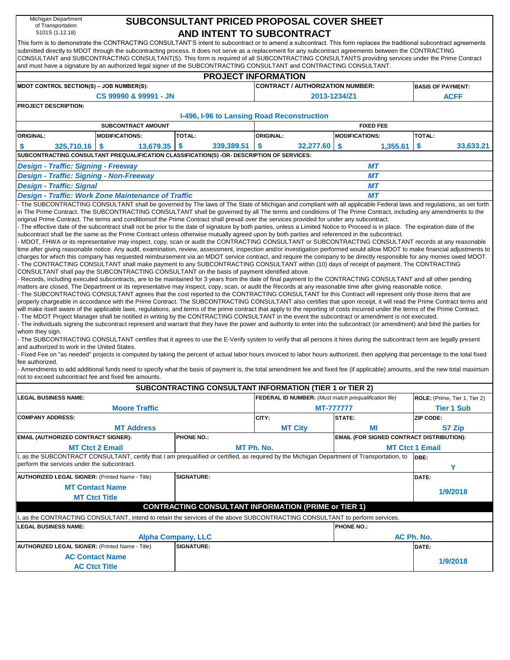| Michigan Department<br>of Transportation                                                           |                                                                                                                                                                                                                                                                                                                                      |                             | SUBCONSULTANT PRICED PROPOSAL COVER SHEET                    |                                                  |                               |  |  |  |  |  |  |  |  |  |
|----------------------------------------------------------------------------------------------------|--------------------------------------------------------------------------------------------------------------------------------------------------------------------------------------------------------------------------------------------------------------------------------------------------------------------------------------|-----------------------------|--------------------------------------------------------------|--------------------------------------------------|-------------------------------|--|--|--|--|--|--|--|--|--|
| 5101S (1.12.18)                                                                                    |                                                                                                                                                                                                                                                                                                                                      |                             | AND INTENT TO SUBCONTRACT                                    |                                                  |                               |  |  |  |  |  |  |  |  |  |
|                                                                                                    | This form is to demonstrate the CONTRACTING CONSULTANT'S intent to subcontract or to amend a subcontract. This form replaces the traditional subcontract agreements                                                                                                                                                                  |                             |                                                              |                                                  |                               |  |  |  |  |  |  |  |  |  |
|                                                                                                    | submitted directly to MDOT through the subcontracting process. It does not serve as a replacement for any subcontract agreements between the CONTRACTING<br>CONSULTANT and SUBCONTRACTING CONSULTANT(S). This form is required of all SUBCONTRACTING CONSULTANTS providing services under the Prime Contract                         |                             |                                                              |                                                  |                               |  |  |  |  |  |  |  |  |  |
|                                                                                                    | and must have a signature by an authorized legal signer of the SUBCONTRACTING CONSULTANT and CONTRACTING CONSULTANT.                                                                                                                                                                                                                 |                             |                                                              |                                                  |                               |  |  |  |  |  |  |  |  |  |
|                                                                                                    |                                                                                                                                                                                                                                                                                                                                      |                             | <b>PROJECT INFORMATION</b>                                   |                                                  |                               |  |  |  |  |  |  |  |  |  |
| MDOT CONTROL SECTION(S) - JOB NUMBER(S):                                                           |                                                                                                                                                                                                                                                                                                                                      |                             | <b>CONTRACT / AUTHORIZATION NUMBER:</b>                      |                                                  | <b>BASIS OF PAYMENT:</b>      |  |  |  |  |  |  |  |  |  |
|                                                                                                    | CS 99990 & 99991 - JN                                                                                                                                                                                                                                                                                                                |                             |                                                              | 2013-1234/Z1                                     | <b>ACFF</b>                   |  |  |  |  |  |  |  |  |  |
| <b>PROJECT DESCRIPTION:</b>                                                                        |                                                                                                                                                                                                                                                                                                                                      |                             |                                                              |                                                  |                               |  |  |  |  |  |  |  |  |  |
|                                                                                                    |                                                                                                                                                                                                                                                                                                                                      |                             | I-496, I-96 to Lansing Road Reconstruction                   |                                                  |                               |  |  |  |  |  |  |  |  |  |
|                                                                                                    | <b>SUBCONTRACT AMOUNT</b>                                                                                                                                                                                                                                                                                                            |                             |                                                              | <b>FIXED FEE</b>                                 |                               |  |  |  |  |  |  |  |  |  |
| <b>ORIGINAL:</b>                                                                                   | <b>MODIFICATIONS:</b>                                                                                                                                                                                                                                                                                                                | TOTAL:                      | <b>ORIGINAL:</b>                                             | <b>MODIFICATIONS:</b>                            | TOTAL:                        |  |  |  |  |  |  |  |  |  |
| 325,710.16<br>S                                                                                    | 13,679.35<br>- 5                                                                                                                                                                                                                                                                                                                     | $\sqrt[6]{3}$<br>339,389.51 | 32,277.60<br><b>S</b>                                        | 1,355.61<br>$\frac{1}{2}$                        | \$<br>33,633.21               |  |  |  |  |  |  |  |  |  |
| SUBCONTRACTING CONSULTANT PREQUALIFICATION CLASSIFICATION(S) -OR- DESCRIPTION OF SERVICES:         |                                                                                                                                                                                                                                                                                                                                      |                             |                                                              |                                                  |                               |  |  |  |  |  |  |  |  |  |
| <b>Design - Traffic: Signing - Freeway</b><br>MТ<br><b>Design - Traffic: Signing - Non-Freeway</b> |                                                                                                                                                                                                                                                                                                                                      |                             |                                                              |                                                  |                               |  |  |  |  |  |  |  |  |  |
|                                                                                                    |                                                                                                                                                                                                                                                                                                                                      |                             |                                                              | MТ                                               |                               |  |  |  |  |  |  |  |  |  |
| <b>Design - Traffic: Signal</b>                                                                    |                                                                                                                                                                                                                                                                                                                                      |                             |                                                              | MТ                                               |                               |  |  |  |  |  |  |  |  |  |
|                                                                                                    | <b>Design - Traffic: Work Zone Maintenance of Traffic</b>                                                                                                                                                                                                                                                                            |                             |                                                              | MТ                                               |                               |  |  |  |  |  |  |  |  |  |
|                                                                                                    | - The SUBCONTRACTING CONSULTANT shall be governed by The laws of The State of Michigan and compliant with all applicable Federal laws and regulations, as set forth<br>in The Prime Contract. The SUBCONTRACTING CONSULTANT shall be governed by all The terms and conditions of The Prime Contract, including any amendments to the |                             |                                                              |                                                  |                               |  |  |  |  |  |  |  |  |  |
|                                                                                                    | original Prime Contract. The terms and conditionsof the Prime Contract shall prevail over the services provided for under any subcontract.                                                                                                                                                                                           |                             |                                                              |                                                  |                               |  |  |  |  |  |  |  |  |  |
|                                                                                                    | - The effective date of the subcontract shall not be prior to the date of signature by both parties, unless a Limited Notice to Proceed is in place. The expiration date of the                                                                                                                                                      |                             |                                                              |                                                  |                               |  |  |  |  |  |  |  |  |  |
|                                                                                                    | subcontract shall be the same as the Prime Contract unless otherwise mutually agreed upon by both parties and referenced in the subcontract.<br>- MDOT, FHWA or its representative may inspect, copy, scan or audit the CONTRACTING CONSULTANT or SUBCONTRACTING CONSULTANT records at any reasonable                                |                             |                                                              |                                                  |                               |  |  |  |  |  |  |  |  |  |
|                                                                                                    | time after giving reasonable notice. Any audit, examination, review, assessment, inspection and/or investigation performed would allow MDOT to make financial adjustments to                                                                                                                                                         |                             |                                                              |                                                  |                               |  |  |  |  |  |  |  |  |  |
|                                                                                                    | charges for which this company has requested reimbursement via an MDOT service contract, and require the company to be directly responsible for any monies owed MDOT.                                                                                                                                                                |                             |                                                              |                                                  |                               |  |  |  |  |  |  |  |  |  |
|                                                                                                    | - The CONTRACTING CONSULTANT shall make payment to any SUBCONTRACTING CONSULTANT within (10) days of receipt of payment. The CONTRACTING<br>CONSULTANT shall pay the SUBCONTRACTING CONSULTANT on the basis of payment identified above.                                                                                             |                             |                                                              |                                                  |                               |  |  |  |  |  |  |  |  |  |
|                                                                                                    | - Records, including executed subcontracts, are to be maintained for 3 years from the date of final payment to the CONTRACTING CONSULTANT and all other pending                                                                                                                                                                      |                             |                                                              |                                                  |                               |  |  |  |  |  |  |  |  |  |
|                                                                                                    | matters are closed. The Department or its representative may inspect, copy, scan, or audit the Records at any reasonable time after giving reasonable notice.                                                                                                                                                                        |                             |                                                              |                                                  |                               |  |  |  |  |  |  |  |  |  |
|                                                                                                    | - The SUBCONTRACTING CONSULTANT agrees that the cost reported to the CONTRACTING CONSULTANT for this Contract will represent only those items that are<br>properly chargeable in accordance with the Prime Contract. The SUBCONTRACTING CONSULTANT also certifies that upon receipt, it will read the Prime Contract terms and       |                             |                                                              |                                                  |                               |  |  |  |  |  |  |  |  |  |
|                                                                                                    | will make itself aware of the applicable laws, regulations, and terms of the prime contract that apply to the reporting of costs incurred under the terms of the Prime Contract.                                                                                                                                                     |                             |                                                              |                                                  |                               |  |  |  |  |  |  |  |  |  |
|                                                                                                    | - The MDOT Project Manager shall be notified in writing by the CONTRACTING CONSULTANT in the event the subcontract or amendment is not executed.                                                                                                                                                                                     |                             |                                                              |                                                  |                               |  |  |  |  |  |  |  |  |  |
| whom they sign.                                                                                    | - The individuals signing the subcontract represent and warrant that they have the power and authority to enter into the subcontract (or amendment) and bind the parties for                                                                                                                                                         |                             |                                                              |                                                  |                               |  |  |  |  |  |  |  |  |  |
|                                                                                                    | - The SUBCONTRACTING CONSULTANT certifies that it agrees to use the E-Verify system to verify that all persons it hires during the subcontract term are legally present                                                                                                                                                              |                             |                                                              |                                                  |                               |  |  |  |  |  |  |  |  |  |
| and authorized to work in the United States.                                                       |                                                                                                                                                                                                                                                                                                                                      |                             |                                                              |                                                  |                               |  |  |  |  |  |  |  |  |  |
| fee authorized.                                                                                    | - Fixed Fee on "as needed" projects is computed by taking the percent of actual labor hours invoiced to labor hours authorized, then applying that percentage to the total fixed                                                                                                                                                     |                             |                                                              |                                                  |                               |  |  |  |  |  |  |  |  |  |
|                                                                                                    | - Amendments to add additional funds need to specify what the basis of payment is, the total amendment fee and fixed fee (if applicable) amounts, and the new total maximum                                                                                                                                                          |                             |                                                              |                                                  |                               |  |  |  |  |  |  |  |  |  |
| not to exceed subcontract fee and fixed fee amounts.                                               |                                                                                                                                                                                                                                                                                                                                      |                             |                                                              |                                                  |                               |  |  |  |  |  |  |  |  |  |
|                                                                                                    |                                                                                                                                                                                                                                                                                                                                      |                             | SUBCONTRACTING CONSULTANT INFORMATION (TIER 1 or TIER 2)     |                                                  |                               |  |  |  |  |  |  |  |  |  |
| <b>LEGAL BUSINESS NAME:</b>                                                                        |                                                                                                                                                                                                                                                                                                                                      |                             | <b>FEDERAL ID NUMBER:</b> (Must match prequalification file) |                                                  | ROLE: (Prime, Tier 1, Tier 2) |  |  |  |  |  |  |  |  |  |
|                                                                                                    | <b>Moore Traffic</b>                                                                                                                                                                                                                                                                                                                 |                             |                                                              | <b>MT-7777777</b>                                | <b>Tier 1 Sub</b>             |  |  |  |  |  |  |  |  |  |
| <b>COMPANY ADDRESS:</b>                                                                            |                                                                                                                                                                                                                                                                                                                                      |                             | CITY:                                                        | STATE:                                           | ZIP CODE:                     |  |  |  |  |  |  |  |  |  |
|                                                                                                    | <b>MT Address</b>                                                                                                                                                                                                                                                                                                                    |                             | <b>MT City</b>                                               | ΜI                                               | <b>S7 Zip</b>                 |  |  |  |  |  |  |  |  |  |
| EMAIL (AUTHORIZED CONTRACT SIGNER):                                                                |                                                                                                                                                                                                                                                                                                                                      | <b>PHONE NO.:</b>           |                                                              | <b>EMAIL (FOR SIGNED CONTRACT DISTRIBUTION):</b> |                               |  |  |  |  |  |  |  |  |  |
|                                                                                                    | <b>MT Ctct 2 Email</b>                                                                                                                                                                                                                                                                                                               |                             | MT Ph. No.                                                   |                                                  | <b>MT Ctct 1 Email</b>        |  |  |  |  |  |  |  |  |  |
| perform the services under the subcontract.                                                        | as the SUBCONTRACT CONSULTANT, certify that I am prequalified or certified, as required by the Michigan Department of Transportation, to                                                                                                                                                                                             |                             |                                                              |                                                  | DBE:                          |  |  |  |  |  |  |  |  |  |
|                                                                                                    |                                                                                                                                                                                                                                                                                                                                      |                             |                                                              |                                                  | Y                             |  |  |  |  |  |  |  |  |  |
| <b>AUTHORIZED LEGAL SIGNER: (Printed Name - Title)</b>                                             |                                                                                                                                                                                                                                                                                                                                      | <b>SIGNATURE:</b>           |                                                              |                                                  | DATE:                         |  |  |  |  |  |  |  |  |  |
|                                                                                                    | <b>MT Contact Name</b>                                                                                                                                                                                                                                                                                                               |                             |                                                              |                                                  | 1/9/2018                      |  |  |  |  |  |  |  |  |  |
|                                                                                                    | <b>MT Ctct Title</b>                                                                                                                                                                                                                                                                                                                 |                             |                                                              |                                                  |                               |  |  |  |  |  |  |  |  |  |
|                                                                                                    |                                                                                                                                                                                                                                                                                                                                      |                             | <b>CONTRACTING CONSULTANT INFORMATION (PRIME or TIER 1)</b>  |                                                  |                               |  |  |  |  |  |  |  |  |  |
|                                                                                                    | I, as the CONTRACTING CONSULTANT, intend to retain the services of the above SUBCONTRACTING CONSULTANT to perform services.                                                                                                                                                                                                          |                             |                                                              |                                                  |                               |  |  |  |  |  |  |  |  |  |
| <b>LEGAL BUSINESS NAME:</b>                                                                        |                                                                                                                                                                                                                                                                                                                                      |                             |                                                              | <b>PHONE NO.:</b>                                |                               |  |  |  |  |  |  |  |  |  |
|                                                                                                    |                                                                                                                                                                                                                                                                                                                                      | <b>Alpha Company, LLC</b>   |                                                              |                                                  | AC Ph. No.                    |  |  |  |  |  |  |  |  |  |
| <b>AUTHORIZED LEGAL SIGNER: (Printed Name - Title)</b>                                             |                                                                                                                                                                                                                                                                                                                                      | <b>SIGNATURE:</b>           |                                                              |                                                  | DATE:                         |  |  |  |  |  |  |  |  |  |
|                                                                                                    | <b>AC Contact Name</b>                                                                                                                                                                                                                                                                                                               |                             |                                                              |                                                  | 1/9/2018                      |  |  |  |  |  |  |  |  |  |
|                                                                                                    | <b>AC Ctct Title</b>                                                                                                                                                                                                                                                                                                                 |                             |                                                              |                                                  |                               |  |  |  |  |  |  |  |  |  |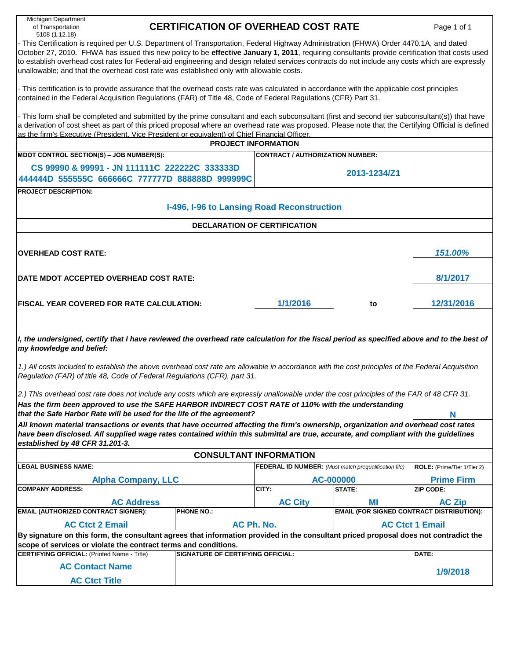| Michigan Department<br>of Transportation<br>5108 (1.12.18)                                                                                                                                                                                                                                                                                                                                                                                                                                                                             | <b>CERTIFICATION OF OVERHEAD COST RATE</b> |                                                              |                                                  | Page 1 of 1                 |  |  |  |  |  |  |  |  |  |
|----------------------------------------------------------------------------------------------------------------------------------------------------------------------------------------------------------------------------------------------------------------------------------------------------------------------------------------------------------------------------------------------------------------------------------------------------------------------------------------------------------------------------------------|--------------------------------------------|--------------------------------------------------------------|--------------------------------------------------|-----------------------------|--|--|--|--|--|--|--|--|--|
| - This Certification is required per U.S. Department of Transportation, Federal Highway Administration (FHWA) Order 4470.1A, and dated<br>October 27, 2010. FHWA has issued this new policy to be effective January 1, 2011, requiring consultants provide certification that costs used<br>to establish overhead cost rates for Federal-aid engineering and design related services contracts do not include any costs which are expressly<br>unallowable; and that the overhead cost rate was established only with allowable costs. |                                            |                                                              |                                                  |                             |  |  |  |  |  |  |  |  |  |
| - This certification is to provide assurance that the overhead costs rate was calculated in accordance with the applicable cost principles<br>contained in the Federal Acquisition Regulations (FAR) of Title 48, Code of Federal Regulations (CFR) Part 31.                                                                                                                                                                                                                                                                           |                                            |                                                              |                                                  |                             |  |  |  |  |  |  |  |  |  |
| - This form shall be completed and submitted by the prime consultant and each subconsultant (first and second tier subconsultant(s)) that have<br>a derivation of cost sheet as part of this priced proposal where an overhead rate was proposed. Please note that the Certifying Official is defined<br>as the firm's Executive (President. Vice President or equivalent) of Chief Financial Officer.                                                                                                                                 |                                            |                                                              |                                                  |                             |  |  |  |  |  |  |  |  |  |
|                                                                                                                                                                                                                                                                                                                                                                                                                                                                                                                                        |                                            | <b>PROJECT INFORMATION</b>                                   |                                                  |                             |  |  |  |  |  |  |  |  |  |
| MDOT CONTROL SECTION(S) - JOB NUMBER(S):                                                                                                                                                                                                                                                                                                                                                                                                                                                                                               |                                            | <b>CONTRACT / AUTHORIZATION NUMBER:</b>                      |                                                  |                             |  |  |  |  |  |  |  |  |  |
| CS 99990 & 99991 - JN 111111C 222222C 333333D                                                                                                                                                                                                                                                                                                                                                                                                                                                                                          |                                            |                                                              |                                                  |                             |  |  |  |  |  |  |  |  |  |
| 444444D 555555C 666666C 777777D 888888D 999999C                                                                                                                                                                                                                                                                                                                                                                                                                                                                                        |                                            |                                                              | 2013-1234/Z1                                     |                             |  |  |  |  |  |  |  |  |  |
| <b>PROJECT DESCRIPTION:</b>                                                                                                                                                                                                                                                                                                                                                                                                                                                                                                            |                                            |                                                              |                                                  |                             |  |  |  |  |  |  |  |  |  |
|                                                                                                                                                                                                                                                                                                                                                                                                                                                                                                                                        | I-496, I-96 to Lansing Road Reconstruction |                                                              |                                                  |                             |  |  |  |  |  |  |  |  |  |
|                                                                                                                                                                                                                                                                                                                                                                                                                                                                                                                                        |                                            | <b>DECLARATION OF CERTIFICATION</b>                          |                                                  |                             |  |  |  |  |  |  |  |  |  |
|                                                                                                                                                                                                                                                                                                                                                                                                                                                                                                                                        |                                            |                                                              |                                                  |                             |  |  |  |  |  |  |  |  |  |
| <b>OVERHEAD COST RATE:</b>                                                                                                                                                                                                                                                                                                                                                                                                                                                                                                             |                                            |                                                              |                                                  | 151.00%                     |  |  |  |  |  |  |  |  |  |
| 8/1/2017<br>DATE MDOT ACCEPTED OVERHEAD COST RATE:                                                                                                                                                                                                                                                                                                                                                                                                                                                                                     |                                            |                                                              |                                                  |                             |  |  |  |  |  |  |  |  |  |
|                                                                                                                                                                                                                                                                                                                                                                                                                                                                                                                                        |                                            |                                                              |                                                  |                             |  |  |  |  |  |  |  |  |  |
| <b>FISCAL YEAR COVERED FOR RATE CALCULATION:</b>                                                                                                                                                                                                                                                                                                                                                                                                                                                                                       |                                            | 1/1/2016                                                     | to                                               | 12/31/2016                  |  |  |  |  |  |  |  |  |  |
|                                                                                                                                                                                                                                                                                                                                                                                                                                                                                                                                        |                                            |                                                              |                                                  |                             |  |  |  |  |  |  |  |  |  |
| I, the undersigned, certify that I have reviewed the overhead rate calculation for the fiscal period as specified above and to the best of<br>my knowledge and belief:                                                                                                                                                                                                                                                                                                                                                                 |                                            |                                                              |                                                  |                             |  |  |  |  |  |  |  |  |  |
|                                                                                                                                                                                                                                                                                                                                                                                                                                                                                                                                        |                                            |                                                              |                                                  |                             |  |  |  |  |  |  |  |  |  |
| 1.) All costs included to establish the above overhead cost rate are allowable in accordance with the cost principles of the Federal Acquisition<br>Regulation (FAR) of title 48, Code of Federal Regulations (CFR), part 31.                                                                                                                                                                                                                                                                                                          |                                            |                                                              |                                                  |                             |  |  |  |  |  |  |  |  |  |
| 2.) This overhead cost rate does not include any costs which are expressly unallowable under the cost principles of the FAR of 48 CFR 31.                                                                                                                                                                                                                                                                                                                                                                                              |                                            |                                                              |                                                  |                             |  |  |  |  |  |  |  |  |  |
| Has the firm been approved to use the SAFE HARBOR INDIRECT COST RATE of 110% with the understanding                                                                                                                                                                                                                                                                                                                                                                                                                                    |                                            |                                                              |                                                  |                             |  |  |  |  |  |  |  |  |  |
| that the Safe Harbor Rate will be used for the life of the agreement?                                                                                                                                                                                                                                                                                                                                                                                                                                                                  |                                            |                                                              |                                                  | N                           |  |  |  |  |  |  |  |  |  |
| All known material transactions or events that have occurred affecting the firm's ownership, organization and overhead cost rates                                                                                                                                                                                                                                                                                                                                                                                                      |                                            |                                                              |                                                  |                             |  |  |  |  |  |  |  |  |  |
| have been disclosed. All supplied wage rates contained within this submittal are true, accurate, and compliant with the guidelines                                                                                                                                                                                                                                                                                                                                                                                                     |                                            |                                                              |                                                  |                             |  |  |  |  |  |  |  |  |  |
| established by 48 CFR 31.201-3.                                                                                                                                                                                                                                                                                                                                                                                                                                                                                                        |                                            |                                                              |                                                  |                             |  |  |  |  |  |  |  |  |  |
|                                                                                                                                                                                                                                                                                                                                                                                                                                                                                                                                        |                                            | <b>CONSULTANT INFORMATION</b>                                |                                                  |                             |  |  |  |  |  |  |  |  |  |
| <b>LEGAL BUSINESS NAME:</b>                                                                                                                                                                                                                                                                                                                                                                                                                                                                                                            |                                            | <b>FEDERAL ID NUMBER:</b> (Must match prequalification file) |                                                  | ROLE: (Prime/Tier 1/Tier 2) |  |  |  |  |  |  |  |  |  |
| <b>Alpha Company, LLC</b>                                                                                                                                                                                                                                                                                                                                                                                                                                                                                                              |                                            |                                                              | AC-000000                                        | <b>Prime Firm</b>           |  |  |  |  |  |  |  |  |  |
| <b>COMPANY ADDRESS:</b>                                                                                                                                                                                                                                                                                                                                                                                                                                                                                                                |                                            | CITY:                                                        | <b>STATE:</b>                                    | <b>ZIP CODE:</b>            |  |  |  |  |  |  |  |  |  |
| <b>AC Address</b>                                                                                                                                                                                                                                                                                                                                                                                                                                                                                                                      |                                            | <b>AC City</b>                                               | MI                                               | <b>AC Zip</b>               |  |  |  |  |  |  |  |  |  |
| <b>EMAIL (AUTHORIZED CONTRACT SIGNER):</b>                                                                                                                                                                                                                                                                                                                                                                                                                                                                                             | <b>PHONE NO.:</b>                          |                                                              | <b>EMAIL (FOR SIGNED CONTRACT DISTRIBUTION):</b> |                             |  |  |  |  |  |  |  |  |  |
| <b>AC Ctct 2 Email</b>                                                                                                                                                                                                                                                                                                                                                                                                                                                                                                                 |                                            | AC Ph. No.                                                   |                                                  | <b>AC Ctct 1 Email</b>      |  |  |  |  |  |  |  |  |  |
| By signature on this form, the consultant agrees that information provided in the consultant priced proposal does not contradict the                                                                                                                                                                                                                                                                                                                                                                                                   |                                            |                                                              |                                                  |                             |  |  |  |  |  |  |  |  |  |
| scope of services or violate the contract terms and conditions.<br><b>CERTIFYING OFFICIAL: (Printed Name - Title)</b>                                                                                                                                                                                                                                                                                                                                                                                                                  | <b>SIGNATURE OF CERTIFYING OFFICIAL:</b>   |                                                              |                                                  | DATE:                       |  |  |  |  |  |  |  |  |  |
| <b>AC Contact Name</b>                                                                                                                                                                                                                                                                                                                                                                                                                                                                                                                 |                                            |                                                              |                                                  |                             |  |  |  |  |  |  |  |  |  |
| <b>AC Ctct Title</b>                                                                                                                                                                                                                                                                                                                                                                                                                                                                                                                   |                                            |                                                              |                                                  | 1/9/2018                    |  |  |  |  |  |  |  |  |  |
|                                                                                                                                                                                                                                                                                                                                                                                                                                                                                                                                        |                                            |                                                              |                                                  |                             |  |  |  |  |  |  |  |  |  |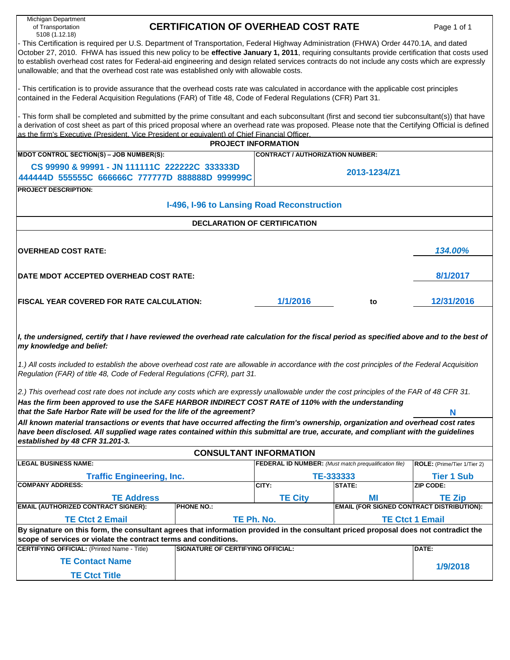| Michigan Department<br>of Transportation<br>5108 (1.12.18)                                                                                                                                                                                                                                                                                                                                                                                                                                                                                                                                                                                                                                                                           | <b>CERTIFICATION OF OVERHEAD COST RATE</b> |                                                              |                                                  | Page 1 of 1                 |  |  |  |  |  |  |  |  |  |
|--------------------------------------------------------------------------------------------------------------------------------------------------------------------------------------------------------------------------------------------------------------------------------------------------------------------------------------------------------------------------------------------------------------------------------------------------------------------------------------------------------------------------------------------------------------------------------------------------------------------------------------------------------------------------------------------------------------------------------------|--------------------------------------------|--------------------------------------------------------------|--------------------------------------------------|-----------------------------|--|--|--|--|--|--|--|--|--|
| - This Certification is required per U.S. Department of Transportation, Federal Highway Administration (FHWA) Order 4470.1A, and dated<br>October 27, 2010. FHWA has issued this new policy to be effective January 1, 2011, requiring consultants provide certification that costs used<br>to establish overhead cost rates for Federal-aid engineering and design related services contracts do not include any costs which are expressly<br>unallowable; and that the overhead cost rate was established only with allowable costs.                                                                                                                                                                                               |                                            |                                                              |                                                  |                             |  |  |  |  |  |  |  |  |  |
| - This certification is to provide assurance that the overhead costs rate was calculated in accordance with the applicable cost principles<br>contained in the Federal Acquisition Regulations (FAR) of Title 48, Code of Federal Regulations (CFR) Part 31.                                                                                                                                                                                                                                                                                                                                                                                                                                                                         |                                            |                                                              |                                                  |                             |  |  |  |  |  |  |  |  |  |
| - This form shall be completed and submitted by the prime consultant and each subconsultant (first and second tier subconsultant(s)) that have<br>a derivation of cost sheet as part of this priced proposal where an overhead rate was proposed. Please note that the Certifying Official is defined<br>as the firm's Executive (President. Vice President or equivalent) of Chief Financial Officer.<br><b>PROJECT INFORMATION</b>                                                                                                                                                                                                                                                                                                 |                                            |                                                              |                                                  |                             |  |  |  |  |  |  |  |  |  |
|                                                                                                                                                                                                                                                                                                                                                                                                                                                                                                                                                                                                                                                                                                                                      |                                            |                                                              |                                                  |                             |  |  |  |  |  |  |  |  |  |
| MDOT CONTROL SECTION(S) - JOB NUMBER(S):                                                                                                                                                                                                                                                                                                                                                                                                                                                                                                                                                                                                                                                                                             |                                            | <b>CONTRACT / AUTHORIZATION NUMBER:</b>                      |                                                  |                             |  |  |  |  |  |  |  |  |  |
| CS 99990 & 99991 - JN 111111C 222222C 333333D                                                                                                                                                                                                                                                                                                                                                                                                                                                                                                                                                                                                                                                                                        |                                            |                                                              | 2013-1234/Z1                                     |                             |  |  |  |  |  |  |  |  |  |
| 444444D 555555C 666666C 777777D 888888D 999999C                                                                                                                                                                                                                                                                                                                                                                                                                                                                                                                                                                                                                                                                                      |                                            |                                                              |                                                  |                             |  |  |  |  |  |  |  |  |  |
| <b>PROJECT DESCRIPTION:</b>                                                                                                                                                                                                                                                                                                                                                                                                                                                                                                                                                                                                                                                                                                          |                                            |                                                              |                                                  |                             |  |  |  |  |  |  |  |  |  |
|                                                                                                                                                                                                                                                                                                                                                                                                                                                                                                                                                                                                                                                                                                                                      | I-496, I-96 to Lansing Road Reconstruction |                                                              |                                                  |                             |  |  |  |  |  |  |  |  |  |
|                                                                                                                                                                                                                                                                                                                                                                                                                                                                                                                                                                                                                                                                                                                                      |                                            | <b>DECLARATION OF CERTIFICATION</b>                          |                                                  |                             |  |  |  |  |  |  |  |  |  |
| <b>OVERHEAD COST RATE:</b>                                                                                                                                                                                                                                                                                                                                                                                                                                                                                                                                                                                                                                                                                                           |                                            |                                                              |                                                  | 134.00%                     |  |  |  |  |  |  |  |  |  |
| DATE MDOT ACCEPTED OVERHEAD COST RATE:                                                                                                                                                                                                                                                                                                                                                                                                                                                                                                                                                                                                                                                                                               |                                            |                                                              |                                                  | 8/1/2017                    |  |  |  |  |  |  |  |  |  |
| <b>FISCAL YEAR COVERED FOR RATE CALCULATION:</b>                                                                                                                                                                                                                                                                                                                                                                                                                                                                                                                                                                                                                                                                                     |                                            | 1/1/2016                                                     | to                                               | 12/31/2016                  |  |  |  |  |  |  |  |  |  |
| I, the undersigned, certify that I have reviewed the overhead rate calculation for the fiscal period as specified above and to the best of<br>my knowledge and belief:<br>1.) All costs included to establish the above overhead cost rate are allowable in accordance with the cost principles of the Federal Acquisition<br>Regulation (FAR) of title 48, Code of Federal Regulations (CFR), part 31.<br>2.) This overhead cost rate does not include any costs which are expressly unallowable under the cost principles of the FAR of 48 CFR 31.<br>Has the firm been approved to use the SAFE HARBOR INDIRECT COST RATE of 110% with the understanding<br>that the Safe Harbor Rate will be used for the life of the agreement? |                                            |                                                              |                                                  | N                           |  |  |  |  |  |  |  |  |  |
| All known material transactions or events that have occurred affecting the firm's ownership, organization and overhead cost rates                                                                                                                                                                                                                                                                                                                                                                                                                                                                                                                                                                                                    |                                            |                                                              |                                                  |                             |  |  |  |  |  |  |  |  |  |
| have been disclosed. All supplied wage rates contained within this submittal are true, accurate, and compliant with the guidelines<br>established by 48 CFR 31.201-3.                                                                                                                                                                                                                                                                                                                                                                                                                                                                                                                                                                |                                            |                                                              |                                                  |                             |  |  |  |  |  |  |  |  |  |
|                                                                                                                                                                                                                                                                                                                                                                                                                                                                                                                                                                                                                                                                                                                                      |                                            | <b>CONSULTANT INFORMATION</b>                                |                                                  |                             |  |  |  |  |  |  |  |  |  |
| <b>LEGAL BUSINESS NAME:</b>                                                                                                                                                                                                                                                                                                                                                                                                                                                                                                                                                                                                                                                                                                          |                                            | <b>FEDERAL ID NUMBER:</b> (Must match prequalification file) |                                                  | ROLE: (Prime/Tier 1/Tier 2) |  |  |  |  |  |  |  |  |  |
| <b>Traffic Engineering, Inc.</b>                                                                                                                                                                                                                                                                                                                                                                                                                                                                                                                                                                                                                                                                                                     |                                            |                                                              | TE-333333                                        | <b>Tier 1 Sub</b>           |  |  |  |  |  |  |  |  |  |
| <b>COMPANY ADDRESS:</b>                                                                                                                                                                                                                                                                                                                                                                                                                                                                                                                                                                                                                                                                                                              |                                            | CITY:                                                        | <b>STATE:</b>                                    | <b>ZIP CODE:</b>            |  |  |  |  |  |  |  |  |  |
| <b>TE Address</b>                                                                                                                                                                                                                                                                                                                                                                                                                                                                                                                                                                                                                                                                                                                    |                                            | <b>TE City</b>                                               | МI                                               | <b>TE Zip</b>               |  |  |  |  |  |  |  |  |  |
| <b>EMAIL (AUTHORIZED CONTRACT SIGNER):</b>                                                                                                                                                                                                                                                                                                                                                                                                                                                                                                                                                                                                                                                                                           | <b>PHONE NO.:</b>                          |                                                              | <b>EMAIL (FOR SIGNED CONTRACT DISTRIBUTION):</b> |                             |  |  |  |  |  |  |  |  |  |
| <b>TE Ctct 2 Email</b>                                                                                                                                                                                                                                                                                                                                                                                                                                                                                                                                                                                                                                                                                                               |                                            | TE Ph. No.                                                   |                                                  | <b>TE Ctct 1 Email</b>      |  |  |  |  |  |  |  |  |  |
| By signature on this form, the consultant agrees that information provided in the consultant priced proposal does not contradict the<br>scope of services or violate the contract terms and conditions.                                                                                                                                                                                                                                                                                                                                                                                                                                                                                                                              |                                            |                                                              |                                                  |                             |  |  |  |  |  |  |  |  |  |
| <b>CERTIFYING OFFICIAL: (Printed Name - Title)</b>                                                                                                                                                                                                                                                                                                                                                                                                                                                                                                                                                                                                                                                                                   | <b>SIGNATURE OF CERTIFYING OFFICIAL:</b>   |                                                              |                                                  | DATE:                       |  |  |  |  |  |  |  |  |  |
| <b>TE Contact Name</b>                                                                                                                                                                                                                                                                                                                                                                                                                                                                                                                                                                                                                                                                                                               |                                            |                                                              |                                                  |                             |  |  |  |  |  |  |  |  |  |
| <b>TE Ctct Title</b>                                                                                                                                                                                                                                                                                                                                                                                                                                                                                                                                                                                                                                                                                                                 |                                            |                                                              |                                                  | 1/9/2018                    |  |  |  |  |  |  |  |  |  |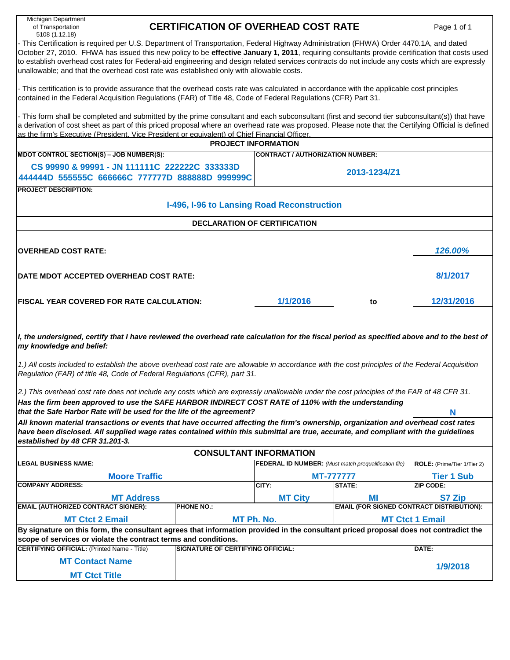| Michigan Department<br>of Transportation<br>5108 (1.12.18)                                                                                                                                                                                                                                                                                                                                                                                                                                                                                                                                                                                                  | <b>CERTIFICATION OF OVERHEAD COST RATE</b>                                                                                                                                                                                                                                                                                                                                                                                                                                                                                             |                                                              |                                                  | Page 1 of 1                 |  |  |  |  |  |  |  |  |  |  |
|-------------------------------------------------------------------------------------------------------------------------------------------------------------------------------------------------------------------------------------------------------------------------------------------------------------------------------------------------------------------------------------------------------------------------------------------------------------------------------------------------------------------------------------------------------------------------------------------------------------------------------------------------------------|----------------------------------------------------------------------------------------------------------------------------------------------------------------------------------------------------------------------------------------------------------------------------------------------------------------------------------------------------------------------------------------------------------------------------------------------------------------------------------------------------------------------------------------|--------------------------------------------------------------|--------------------------------------------------|-----------------------------|--|--|--|--|--|--|--|--|--|--|
|                                                                                                                                                                                                                                                                                                                                                                                                                                                                                                                                                                                                                                                             | - This Certification is required per U.S. Department of Transportation, Federal Highway Administration (FHWA) Order 4470.1A, and dated<br>October 27, 2010. FHWA has issued this new policy to be effective January 1, 2011, requiring consultants provide certification that costs used<br>to establish overhead cost rates for Federal-aid engineering and design related services contracts do not include any costs which are expressly<br>unallowable; and that the overhead cost rate was established only with allowable costs. |                                                              |                                                  |                             |  |  |  |  |  |  |  |  |  |  |
| - This certification is to provide assurance that the overhead costs rate was calculated in accordance with the applicable cost principles<br>contained in the Federal Acquisition Regulations (FAR) of Title 48, Code of Federal Regulations (CFR) Part 31.                                                                                                                                                                                                                                                                                                                                                                                                |                                                                                                                                                                                                                                                                                                                                                                                                                                                                                                                                        |                                                              |                                                  |                             |  |  |  |  |  |  |  |  |  |  |
| - This form shall be completed and submitted by the prime consultant and each subconsultant (first and second tier subconsultant(s)) that have<br>a derivation of cost sheet as part of this priced proposal where an overhead rate was proposed. Please note that the Certifying Official is defined<br>as the firm's Executive (President. Vice President or equivalent) of Chief Financial Officer.<br><b>PROJECT INFORMATION</b>                                                                                                                                                                                                                        |                                                                                                                                                                                                                                                                                                                                                                                                                                                                                                                                        |                                                              |                                                  |                             |  |  |  |  |  |  |  |  |  |  |
|                                                                                                                                                                                                                                                                                                                                                                                                                                                                                                                                                                                                                                                             |                                                                                                                                                                                                                                                                                                                                                                                                                                                                                                                                        |                                                              |                                                  |                             |  |  |  |  |  |  |  |  |  |  |
| MDOT CONTROL SECTION(S) - JOB NUMBER(S):                                                                                                                                                                                                                                                                                                                                                                                                                                                                                                                                                                                                                    |                                                                                                                                                                                                                                                                                                                                                                                                                                                                                                                                        | <b>CONTRACT / AUTHORIZATION NUMBER:</b>                      |                                                  |                             |  |  |  |  |  |  |  |  |  |  |
| CS 99990 & 99991 - JN 111111C 222222C 333333D                                                                                                                                                                                                                                                                                                                                                                                                                                                                                                                                                                                                               |                                                                                                                                                                                                                                                                                                                                                                                                                                                                                                                                        |                                                              |                                                  |                             |  |  |  |  |  |  |  |  |  |  |
| 444444D 555555C 666666C 777777D 888888D 999999C                                                                                                                                                                                                                                                                                                                                                                                                                                                                                                                                                                                                             |                                                                                                                                                                                                                                                                                                                                                                                                                                                                                                                                        |                                                              | 2013-1234/Z1                                     |                             |  |  |  |  |  |  |  |  |  |  |
| <b>PROJECT DESCRIPTION:</b>                                                                                                                                                                                                                                                                                                                                                                                                                                                                                                                                                                                                                                 |                                                                                                                                                                                                                                                                                                                                                                                                                                                                                                                                        |                                                              |                                                  |                             |  |  |  |  |  |  |  |  |  |  |
|                                                                                                                                                                                                                                                                                                                                                                                                                                                                                                                                                                                                                                                             | I-496, I-96 to Lansing Road Reconstruction                                                                                                                                                                                                                                                                                                                                                                                                                                                                                             |                                                              |                                                  |                             |  |  |  |  |  |  |  |  |  |  |
|                                                                                                                                                                                                                                                                                                                                                                                                                                                                                                                                                                                                                                                             |                                                                                                                                                                                                                                                                                                                                                                                                                                                                                                                                        | <b>DECLARATION OF CERTIFICATION</b>                          |                                                  |                             |  |  |  |  |  |  |  |  |  |  |
| <b>OVERHEAD COST RATE:</b>                                                                                                                                                                                                                                                                                                                                                                                                                                                                                                                                                                                                                                  |                                                                                                                                                                                                                                                                                                                                                                                                                                                                                                                                        |                                                              |                                                  | 126.00%                     |  |  |  |  |  |  |  |  |  |  |
| DATE MDOT ACCEPTED OVERHEAD COST RATE:                                                                                                                                                                                                                                                                                                                                                                                                                                                                                                                                                                                                                      |                                                                                                                                                                                                                                                                                                                                                                                                                                                                                                                                        |                                                              |                                                  | 8/1/2017                    |  |  |  |  |  |  |  |  |  |  |
| <b>FISCAL YEAR COVERED FOR RATE CALCULATION:</b>                                                                                                                                                                                                                                                                                                                                                                                                                                                                                                                                                                                                            |                                                                                                                                                                                                                                                                                                                                                                                                                                                                                                                                        | 1/1/2016                                                     | to                                               | 12/31/2016                  |  |  |  |  |  |  |  |  |  |  |
| I, the undersigned, certify that I have reviewed the overhead rate calculation for the fiscal period as specified above and to the best of<br>my knowledge and belief:<br>1.) All costs included to establish the above overhead cost rate are allowable in accordance with the cost principles of the Federal Acquisition<br>Regulation (FAR) of title 48, Code of Federal Regulations (CFR), part 31.<br>2.) This overhead cost rate does not include any costs which are expressly unallowable under the cost principles of the FAR of 48 CFR 31.<br>Has the firm been approved to use the SAFE HARBOR INDIRECT COST RATE of 110% with the understanding |                                                                                                                                                                                                                                                                                                                                                                                                                                                                                                                                        |                                                              |                                                  |                             |  |  |  |  |  |  |  |  |  |  |
| that the Safe Harbor Rate will be used for the life of the agreement?                                                                                                                                                                                                                                                                                                                                                                                                                                                                                                                                                                                       |                                                                                                                                                                                                                                                                                                                                                                                                                                                                                                                                        |                                                              |                                                  | N                           |  |  |  |  |  |  |  |  |  |  |
| All known material transactions or events that have occurred affecting the firm's ownership, organization and overhead cost rates<br>have been disclosed. All supplied wage rates contained within this submittal are true, accurate, and compliant with the guidelines<br>established by 48 CFR 31.201-3.                                                                                                                                                                                                                                                                                                                                                  |                                                                                                                                                                                                                                                                                                                                                                                                                                                                                                                                        |                                                              |                                                  |                             |  |  |  |  |  |  |  |  |  |  |
|                                                                                                                                                                                                                                                                                                                                                                                                                                                                                                                                                                                                                                                             |                                                                                                                                                                                                                                                                                                                                                                                                                                                                                                                                        | <b>CONSULTANT INFORMATION</b>                                |                                                  |                             |  |  |  |  |  |  |  |  |  |  |
| <b>LEGAL BUSINESS NAME:</b>                                                                                                                                                                                                                                                                                                                                                                                                                                                                                                                                                                                                                                 |                                                                                                                                                                                                                                                                                                                                                                                                                                                                                                                                        | <b>FEDERAL ID NUMBER:</b> (Must match prequalification file) |                                                  | ROLE: (Prime/Tier 1/Tier 2) |  |  |  |  |  |  |  |  |  |  |
| <b>Moore Traffic</b>                                                                                                                                                                                                                                                                                                                                                                                                                                                                                                                                                                                                                                        |                                                                                                                                                                                                                                                                                                                                                                                                                                                                                                                                        |                                                              | <b>MT-7777777</b>                                | <b>Tier 1 Sub</b>           |  |  |  |  |  |  |  |  |  |  |
| <b>COMPANY ADDRESS:</b>                                                                                                                                                                                                                                                                                                                                                                                                                                                                                                                                                                                                                                     |                                                                                                                                                                                                                                                                                                                                                                                                                                                                                                                                        | CITY:                                                        | STATE:                                           | <b>ZIP CODE:</b>            |  |  |  |  |  |  |  |  |  |  |
| <b>MT Address</b>                                                                                                                                                                                                                                                                                                                                                                                                                                                                                                                                                                                                                                           |                                                                                                                                                                                                                                                                                                                                                                                                                                                                                                                                        | <b>MT City</b>                                               | МI                                               | S7 Zip                      |  |  |  |  |  |  |  |  |  |  |
| <b>EMAIL (AUTHORIZED CONTRACT SIGNER):</b>                                                                                                                                                                                                                                                                                                                                                                                                                                                                                                                                                                                                                  | <b>PHONE NO.:</b>                                                                                                                                                                                                                                                                                                                                                                                                                                                                                                                      |                                                              | <b>EMAIL (FOR SIGNED CONTRACT DISTRIBUTION):</b> |                             |  |  |  |  |  |  |  |  |  |  |
| <b>MT Ctct 2 Email</b>                                                                                                                                                                                                                                                                                                                                                                                                                                                                                                                                                                                                                                      |                                                                                                                                                                                                                                                                                                                                                                                                                                                                                                                                        | MT Ph. No.                                                   |                                                  | <b>MT Ctct 1 Email</b>      |  |  |  |  |  |  |  |  |  |  |
| By signature on this form, the consultant agrees that information provided in the consultant priced proposal does not contradict the<br>scope of services or violate the contract terms and conditions.                                                                                                                                                                                                                                                                                                                                                                                                                                                     |                                                                                                                                                                                                                                                                                                                                                                                                                                                                                                                                        |                                                              |                                                  |                             |  |  |  |  |  |  |  |  |  |  |
| <b>CERTIFYING OFFICIAL: (Printed Name - Title)</b>                                                                                                                                                                                                                                                                                                                                                                                                                                                                                                                                                                                                          | <b>SIGNATURE OF CERTIFYING OFFICIAL:</b>                                                                                                                                                                                                                                                                                                                                                                                                                                                                                               |                                                              |                                                  | DATE:                       |  |  |  |  |  |  |  |  |  |  |
| <b>MT Contact Name</b>                                                                                                                                                                                                                                                                                                                                                                                                                                                                                                                                                                                                                                      |                                                                                                                                                                                                                                                                                                                                                                                                                                                                                                                                        |                                                              |                                                  |                             |  |  |  |  |  |  |  |  |  |  |
| <b>MT Ctct Title</b>                                                                                                                                                                                                                                                                                                                                                                                                                                                                                                                                                                                                                                        |                                                                                                                                                                                                                                                                                                                                                                                                                                                                                                                                        |                                                              |                                                  | 1/9/2018                    |  |  |  |  |  |  |  |  |  |  |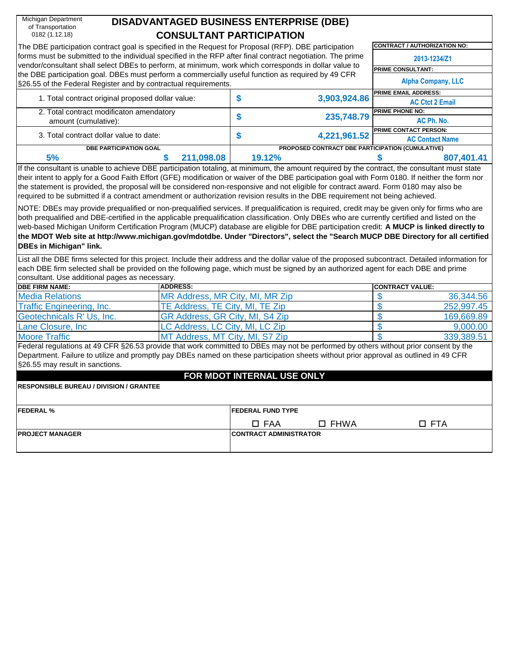| Michigan Department                                                                                                                                                                                                                                                                                                                                                                                                                                                                                                                                                                                               |                                 | <b>DISADVANTAGED BUSINESS ENTERPRISE (DBE)</b> |                |                                                        |
|-------------------------------------------------------------------------------------------------------------------------------------------------------------------------------------------------------------------------------------------------------------------------------------------------------------------------------------------------------------------------------------------------------------------------------------------------------------------------------------------------------------------------------------------------------------------------------------------------------------------|---------------------------------|------------------------------------------------|----------------|--------------------------------------------------------|
| of Transportation<br>0182 (1.12.18)                                                                                                                                                                                                                                                                                                                                                                                                                                                                                                                                                                               |                                 | <b>CONSULTANT PARTICIPATION</b>                |                |                                                        |
| The DBE participation contract goal is specified in the Request for Proposal (RFP). DBE participation                                                                                                                                                                                                                                                                                                                                                                                                                                                                                                             |                                 |                                                |                | CONTRACT / AUTHORIZATION NO:                           |
| forms must be submitted to the individual specified in the RFP after final contract negotiation. The prime<br>vendor/consultant shall select DBEs to perform, at minimum, work which corresponds in dollar value to                                                                                                                                                                                                                                                                                                                                                                                               |                                 |                                                |                | 2013-1234/Z1                                           |
| the DBE participation goal. DBEs must perform a commercially useful function as required by 49 CFR                                                                                                                                                                                                                                                                                                                                                                                                                                                                                                                |                                 |                                                |                | <b>PRIME CONSULTANT:</b>                               |
| §26.55 of the Federal Register and by contractual requirements.                                                                                                                                                                                                                                                                                                                                                                                                                                                                                                                                                   |                                 |                                                |                | <b>Alpha Company, LLC</b>                              |
| 1. Total contract original proposed dollar value:                                                                                                                                                                                                                                                                                                                                                                                                                                                                                                                                                                 |                                 | \$                                             | 3,903,924.86   | PRIME EMAIL ADDRESS:<br><b>AC Ctct 2 Email</b>         |
| 2. Total contract modificaton amendatory                                                                                                                                                                                                                                                                                                                                                                                                                                                                                                                                                                          |                                 | \$                                             |                | <b>PRIME PHONE NO:</b>                                 |
| amount (cumulative):                                                                                                                                                                                                                                                                                                                                                                                                                                                                                                                                                                                              |                                 |                                                | 235,748.79     | AC Ph. No.                                             |
| 3. Total contract dollar value to date:                                                                                                                                                                                                                                                                                                                                                                                                                                                                                                                                                                           |                                 | \$                                             | 4,221,961.52   | <b>PRIME CONTACT PERSON:</b><br><b>AC Contact Name</b> |
| <b>DBE PARTICIPATION GOAL</b>                                                                                                                                                                                                                                                                                                                                                                                                                                                                                                                                                                                     |                                 |                                                |                | PROPOSED CONTRACT DBE PARTICIPATION (CUMULATIVE)       |
| 5%                                                                                                                                                                                                                                                                                                                                                                                                                                                                                                                                                                                                                | 211,098.08<br>\$                | 19.12%                                         |                | \$<br>807,401.41                                       |
| If the consultant is unable to achieve DBE participation totaling, at minimum, the amount required by the contract, the consultant must state<br>their intent to apply for a Good Faith Effort (GFE) modification or waiver of the DBE participation goal with Form 0180. If neither the form nor<br>the statement is provided, the proposal will be considered non-responsive and not eligible for contract award. Form 0180 may also be<br>required to be submitted if a contract amendment or authorization revision results in the DBE requirement not being achieved.                                        |                                 |                                                |                |                                                        |
| NOTE: DBEs may provide prequalified or non-prequalified services. If prequalification is required, credit may be given only for firms who are<br>both prequalified and DBE-certified in the applicable prequalification classification. Only DBEs who are currently certified and listed on the<br>web-based Michigan Uniform Certification Program (MUCP) database are eligible for DBE participation credit: A MUCP is linked directly to<br>the MDOT Web site at http://www.michigan.gov/mdotdbe. Under "Directors", select the "Search MUCP DBE Directory for all certified<br><b>DBEs in Michigan" link.</b> |                                 |                                                |                |                                                        |
| List all the DBE firms selected for this project. Include their address and the dollar value of the proposed subcontract. Detailed information for<br>each DBE firm selected shall be provided on the following page, which must be signed by an authorized agent for each DBE and prime<br>consultant. Use additional pages as necessary.                                                                                                                                                                                                                                                                        |                                 |                                                |                |                                                        |
| <b>DBE FIRM NAME:</b>                                                                                                                                                                                                                                                                                                                                                                                                                                                                                                                                                                                             | <b>ADDRESS:</b>                 |                                                |                | <b>CONTRACT VALUE:</b>                                 |
| <b>Media Relations</b>                                                                                                                                                                                                                                                                                                                                                                                                                                                                                                                                                                                            | MR Address, MR City, MI, MR Zip |                                                |                | \$<br>36,344.56                                        |
| <b>Traffic Engineering, Inc.</b>                                                                                                                                                                                                                                                                                                                                                                                                                                                                                                                                                                                  | TE Address, TE City, MI, TE Zip |                                                |                | \$<br>252,997.45                                       |
| Geotechnicals R' Us, Inc.                                                                                                                                                                                                                                                                                                                                                                                                                                                                                                                                                                                         | GR Address, GR City, MI, S4 Zip |                                                |                | \$<br>169,669.89                                       |
| Lane Closure, Inc.                                                                                                                                                                                                                                                                                                                                                                                                                                                                                                                                                                                                | LC Address, LC City, MI, LC Zip |                                                |                | \$<br>9,000.00                                         |
| <b>Moore Traffic</b>                                                                                                                                                                                                                                                                                                                                                                                                                                                                                                                                                                                              | MT Address, MT City, MI, S7 Zip |                                                |                | \$<br>339,389.51                                       |
| Federal regulations at 49 CFR §26.53 provide that work committed to DBEs may not be performed by others without prior consent by the<br>Department. Failure to utilize and promptly pay DBEs named on these participation sheets without prior approval as outlined in 49 CFR<br>§26.55 may result in sanctions.                                                                                                                                                                                                                                                                                                  |                                 | FOR MDOT INTERNAL USE ONLY                     |                |                                                        |
| <b>RESPONSIBLE BUREAU / DIVISION / GRANTEE</b>                                                                                                                                                                                                                                                                                                                                                                                                                                                                                                                                                                    |                                 |                                                |                |                                                        |
| <b>FEDERAL %</b>                                                                                                                                                                                                                                                                                                                                                                                                                                                                                                                                                                                                  |                                 | <b>FEDERAL FUND TYPE</b>                       |                |                                                        |
|                                                                                                                                                                                                                                                                                                                                                                                                                                                                                                                                                                                                                   |                                 | $\square$ FAA                                  | $\square$ FHWA | $\square$ FTA                                          |
| <b>PROJECT MANAGER</b>                                                                                                                                                                                                                                                                                                                                                                                                                                                                                                                                                                                            |                                 | <b>CONTRACT ADMINISTRATOR</b>                  |                |                                                        |
|                                                                                                                                                                                                                                                                                                                                                                                                                                                                                                                                                                                                                   |                                 |                                                |                |                                                        |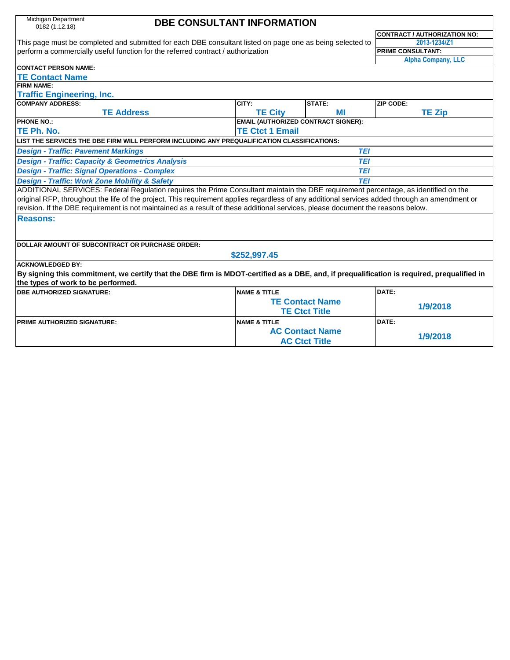| Michigan Department |
|---------------------|
| 0182 (1.12.18)      |

# **DBE CONSULTANT INFORMATION**

This page must be completed and submitted for each DBE consultant listed on page one as being selected to perform a commercially useful function for the referred contract / authorization

**CONTRACT / AUTHORIZATION NO: 2013-1234/Z1 PRIME CONSULTANT: Alpha Company, LLC**

| <b>CONTACT PERSON NAME:</b>                                                                                                                    |                                            |                        |               |  |  |  |  |
|------------------------------------------------------------------------------------------------------------------------------------------------|--------------------------------------------|------------------------|---------------|--|--|--|--|
| <b>TE Contact Name</b>                                                                                                                         |                                            |                        |               |  |  |  |  |
| <b>FIRM NAME:</b>                                                                                                                              |                                            |                        |               |  |  |  |  |
| <b>Traffic Engineering, Inc.</b>                                                                                                               |                                            |                        |               |  |  |  |  |
| <b>COMPANY ADDRESS:</b>                                                                                                                        | CITY:                                      | <b>STATE:</b>          | ZIP CODE:     |  |  |  |  |
| <b>TE Address</b>                                                                                                                              | <b>TE City</b>                             | MI                     | <b>TE Zip</b> |  |  |  |  |
| <b>PHONE NO.:</b>                                                                                                                              | <b>EMAIL (AUTHORIZED CONTRACT SIGNER):</b> |                        |               |  |  |  |  |
| TE Ph. No.                                                                                                                                     | <b>TE Ctct 1 Email</b>                     |                        |               |  |  |  |  |
| LIST THE SERVICES THE DBE FIRM WILL PERFORM INCLUDING ANY PREQUALIFICATION CLASSIFICATIONS:                                                    |                                            |                        |               |  |  |  |  |
| <b>Design - Traffic: Pavement Markings</b>                                                                                                     |                                            | TEI                    |               |  |  |  |  |
| <b>Design - Traffic: Capacity &amp; Geometrics Analysis</b>                                                                                    |                                            | <b>TEI</b>             |               |  |  |  |  |
| <b>Design - Traffic: Signal Operations - Complex</b>                                                                                           |                                            | <b>TEI</b>             |               |  |  |  |  |
| <b>Design - Traffic: Work Zone Mobility &amp; Safety</b>                                                                                       |                                            | TEI                    |               |  |  |  |  |
| ADDITIONAL SERVICES: Federal Regulation requires the Prime Consultant maintain the DBE requirement percentage, as identified on the            |                                            |                        |               |  |  |  |  |
| original RFP, throughout the life of the project. This requirement applies regardless of any additional services added through an amendment or |                                            |                        |               |  |  |  |  |
| revision. If the DBE requirement is not maintained as a result of these additional services, please document the reasons below.                |                                            |                        |               |  |  |  |  |
| <b>Reasons:</b>                                                                                                                                |                                            |                        |               |  |  |  |  |
|                                                                                                                                                |                                            |                        |               |  |  |  |  |
|                                                                                                                                                |                                            |                        |               |  |  |  |  |
| DOLLAR AMOUNT OF SUBCONTRACT OR PURCHASE ORDER:                                                                                                |                                            |                        |               |  |  |  |  |
|                                                                                                                                                | \$252,997.45                               |                        |               |  |  |  |  |
| <b>ACKNOWLEDGED BY:</b>                                                                                                                        |                                            |                        |               |  |  |  |  |
| By signing this commitment, we certify that the DBE firm is MDOT-certified as a DBE, and, if prequalification is required, prequalified in     |                                            |                        |               |  |  |  |  |
| the types of work to be performed.                                                                                                             |                                            |                        |               |  |  |  |  |
| <b>DBE AUTHORIZED SIGNATURE:</b>                                                                                                               | <b>NAME &amp; TITLE</b>                    |                        | DATE:         |  |  |  |  |
|                                                                                                                                                |                                            | <b>TE Contact Name</b> | 1/9/2018      |  |  |  |  |
|                                                                                                                                                |                                            | <b>TE Ctct Title</b>   |               |  |  |  |  |
| <b>PRIME AUTHORIZED SIGNATURE:</b>                                                                                                             | <b>NAME &amp; TITLE</b>                    |                        | DATE:         |  |  |  |  |
|                                                                                                                                                |                                            | <b>AC Contact Name</b> |               |  |  |  |  |
|                                                                                                                                                |                                            | <b>AC Ctct Title</b>   | 1/9/2018      |  |  |  |  |
|                                                                                                                                                |                                            |                        |               |  |  |  |  |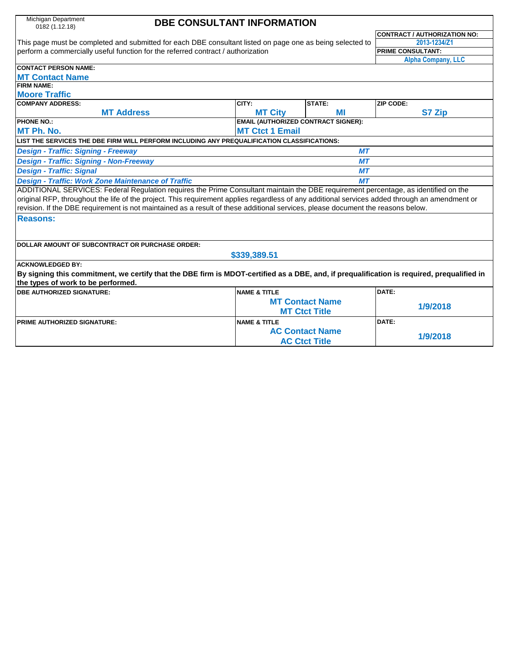| Michigan Department<br>0182 (1.12.18)                                                                                                          | <b>DBE CONSULTANT INFORMATION</b> |                         |                                            |                                                                                                                                            |  |  |
|------------------------------------------------------------------------------------------------------------------------------------------------|-----------------------------------|-------------------------|--------------------------------------------|--------------------------------------------------------------------------------------------------------------------------------------------|--|--|
|                                                                                                                                                |                                   |                         |                                            | <b>CONTRACT / AUTHORIZATION NO:</b>                                                                                                        |  |  |
| This page must be completed and submitted for each DBE consultant listed on page one as being selected to                                      |                                   |                         |                                            | 2013-1234/Z1                                                                                                                               |  |  |
| perform a commercially useful function for the referred contract / authorization                                                               |                                   |                         |                                            | <b>PRIME CONSULTANT:</b>                                                                                                                   |  |  |
|                                                                                                                                                |                                   |                         |                                            | <b>Alpha Company, LLC</b>                                                                                                                  |  |  |
| <b>CONTACT PERSON NAME:</b>                                                                                                                    |                                   |                         |                                            |                                                                                                                                            |  |  |
| <b>MT Contact Name</b>                                                                                                                         |                                   |                         |                                            |                                                                                                                                            |  |  |
| <b>FIRM NAME:</b>                                                                                                                              |                                   |                         |                                            |                                                                                                                                            |  |  |
| <b>Moore Traffic</b>                                                                                                                           |                                   |                         |                                            |                                                                                                                                            |  |  |
| <b>COMPANY ADDRESS:</b>                                                                                                                        |                                   | CITY:                   | <b>STATE:</b>                              | ZIP CODE:                                                                                                                                  |  |  |
|                                                                                                                                                | <b>MT Address</b>                 | <b>MT City</b>          | MI                                         | <b>S7 Zip</b>                                                                                                                              |  |  |
| <b>PHONE NO.:</b>                                                                                                                              |                                   |                         | <b>EMAIL (AUTHORIZED CONTRACT SIGNER):</b> |                                                                                                                                            |  |  |
| MT Ph. No.                                                                                                                                     |                                   | <b>MT Ctct 1 Email</b>  |                                            |                                                                                                                                            |  |  |
| LIST THE SERVICES THE DBE FIRM WILL PERFORM INCLUDING ANY PREQUALIFICATION CLASSIFICATIONS:                                                    |                                   |                         |                                            |                                                                                                                                            |  |  |
| <b>Design - Traffic: Signing - Freeway</b>                                                                                                     |                                   |                         | <b>MT</b>                                  |                                                                                                                                            |  |  |
| <b>Design - Traffic: Signing - Non-Freeway</b>                                                                                                 |                                   |                         | <b>MT</b>                                  |                                                                                                                                            |  |  |
| <b>Design - Traffic: Signal</b>                                                                                                                |                                   |                         | <b>MT</b>                                  |                                                                                                                                            |  |  |
| <b>Design - Traffic: Work Zone Maintenance of Traffic</b>                                                                                      |                                   |                         | MТ                                         |                                                                                                                                            |  |  |
| ADDITIONAL SERVICES: Federal Regulation requires the Prime Consultant maintain the DBE requirement percentage, as identified on the            |                                   |                         |                                            |                                                                                                                                            |  |  |
| original RFP, throughout the life of the project. This requirement applies regardless of any additional services added through an amendment or |                                   |                         |                                            |                                                                                                                                            |  |  |
| revision. If the DBE requirement is not maintained as a result of these additional services, please document the reasons below.                |                                   |                         |                                            |                                                                                                                                            |  |  |
| <b>Reasons:</b>                                                                                                                                |                                   |                         |                                            |                                                                                                                                            |  |  |
|                                                                                                                                                |                                   |                         |                                            |                                                                                                                                            |  |  |
|                                                                                                                                                |                                   |                         |                                            |                                                                                                                                            |  |  |
| DOLLAR AMOUNT OF SUBCONTRACT OR PURCHASE ORDER:                                                                                                |                                   |                         |                                            |                                                                                                                                            |  |  |
|                                                                                                                                                |                                   | \$339,389.51            |                                            |                                                                                                                                            |  |  |
| <b>ACKNOWLEDGED BY:</b>                                                                                                                        |                                   |                         |                                            |                                                                                                                                            |  |  |
|                                                                                                                                                |                                   |                         |                                            | By signing this commitment, we certify that the DBE firm is MDOT-certified as a DBE, and, if prequalification is required, prequalified in |  |  |
| the types of work to be performed.                                                                                                             |                                   |                         |                                            |                                                                                                                                            |  |  |
| <b>DBE AUTHORIZED SIGNATURE:</b>                                                                                                               |                                   | <b>NAME &amp; TITLE</b> |                                            | DATE:                                                                                                                                      |  |  |
|                                                                                                                                                |                                   |                         | <b>MT Contact Name</b>                     | 1/9/2018                                                                                                                                   |  |  |
|                                                                                                                                                |                                   |                         | <b>MT Ctct Title</b>                       |                                                                                                                                            |  |  |
| <b>PRIME AUTHORIZED SIGNATURE:</b>                                                                                                             |                                   | <b>NAME &amp; TITLE</b> |                                            | DATE:                                                                                                                                      |  |  |
|                                                                                                                                                |                                   |                         | <b>AC Contact Name</b>                     |                                                                                                                                            |  |  |
|                                                                                                                                                |                                   |                         | <b>AC Ctct Title</b>                       | 1/9/2018                                                                                                                                   |  |  |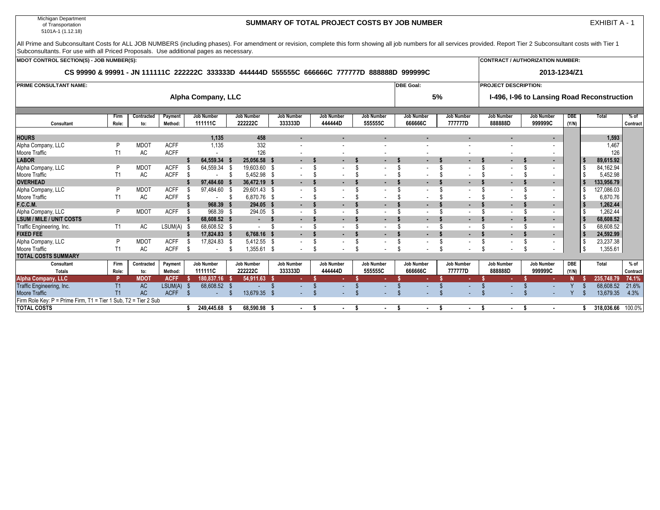Michigan Department of Transportation 5101A-1 (1.12.18)

Firm Role Key: P = Prime Firm, T1 = Tier 1 Sub, T2 = Tier 2 Sub

### **SUMMARY OF TOTAL PROJECT COSTS BY JOB NUMBER**

EXHIBIT A - 1

Firm | Contracted | Payment | JobNumber | JobNumber | JobNumber | JobNumber | JobNumber | JobNumber | JobNumber | JobNumber | DBE | Total | % of **Role: to: Method: 111111C 222222C 333333D 444444D 555555C 666666C 777777D 888888D 999999C (Y/N) Contract HOURS 1,135 458 - - - - - - - 1,593** Alpha Company, LLC P MDOT ACFF 1,135 332 - - - - - - - 1,467 Moore Traffic T1 AC ACFF - 126 - - - - - - - 126 **LABOR \$ 64,559.34 \$ 25,056.58 \$ - \$ - \$ - \$ - \$ - \$ - \$ - \$ 89,615.92** Alpha Company, LLC P MDOT ACFF \$ 64,559.34 \$ 19,603.60 \$ - \$ - \$ - \$ - \$ - \$ - \$ - \$ 84,162.94 Moore Traffic T1 AC ACFF \$ - \$ 5,452.98 \$ - \$ - \$ - \$ - \$ - \$ - \$ - \$ 5,452.98 **OVERHEAD \$ 97,484.60 \$ 36,472.19 \$ - \$ - \$ - \$ - \$ - \$ - \$ - \$ 133,956.79** Alpha Company, LLC P MDOT ACFF \$ 97,484.60 \$ 29,601.43 \$ - \$ - \$ - \$ - \$ - \$ - \$ - \$ 127,086.03 Moore Traffic T1 AC ACFF \$ - \$ 6,870.76 \$ - \$ - \$ - \$ - \$ - \$ - \$ - \$ 6,870.76 **F.C.C.M. \$ 968.39 \$ 294.05 \$ - \$ - \$ - \$ - \$ - \$ - \$ - \$ 1,262.44** Alpha Company, LLC P MDOT ACFF \$ 968.39 \$ 294.05 \$ - \$ - \$ - \$ - \$ - \$ - \$ - \$ 1,262.44 **LSUM / MILE / UNIT COSTS \$ 68,608.52 \$ - \$ - \$ - \$ - \$ - \$ - \$ - \$ - \$ 68,608.52** Traffic Engineering, Inc. T1 AC LSUM(A) \$ 68,608.52 \$ - \$ - \$ - \$ - \$ - \$ - \$ - \$ - \$ 68,608.52 **FIXED FEE \$ 17,824.83 \$ 6,768.16 \$ - \$ - \$ - \$ - \$ - \$ - \$ - \$ 24,592.99** Alpha Company, LLC P MDOT ACFF \$ 17,824.83 \$ 5,412.55 \$ - \$ - \$ - \$ - \$ - \$ - \$ - \$ 23,237.38 Moore Traffic T1 AC ACFF \$ - \$ 1,355.61 \$ - \$ - \$ - \$ - \$ - \$ - \$ - \$ 1,355.61 **TOTAL COSTS SUMMARY** Consultant | Firm | Contracted | Payment | Job Number | Job Number | Job Number | Job Number | Job Number | Job Number | Job Number | Job Number | Job Number | DBE | Total | % of **Totals Role: to: Method: 111111C 222222C 333333D 444444D 555555C 666666C 777777D 888888D 999999C (Y/N) Contract Alpha Company, LLC P MDOT ACFF \$ 180,837.16 \$ 54,911.63 \$ - \$ - \$ - \$ - \$ - \$ - \$ - N \$ 235,748.79 74.1%** Traffic Engineering, Inc. T1 AC LSUM(A) \$ 68,608.52 \$ - \$ - \$ - \$ - \$ - \$ - \$ - \$ - Y \$ 68,608.52 21.6% Moore Traffic T1 AC ACFF \$ - \$ 13,679.35 \$ - \$ - \$ - \$ - \$ - \$ - \$ - Y \$ 13,679.35 4.3% All Prime and Subconsultant Costs for ALL JOB NUMBERS (including phases). For amendment or revision, complete this form showing all job numbers for all services provided. Report Tier 2 Subconsultant costs with Tier 1 Subconsultants. For use with all Priced Proposals. Use additional pages as necessary. **Alpha Company, LLC CS 99990 & 99991 - JN 111111C 222222C 333333D 444444D 555555C 666666C 777777D 888888D 999999C PROJECT DESCRIPTION: I-496, I-96 to Lansing Road Reconstruction CONTRACT / AUTHORIZATION NUMBER: 2013-1234/Z1 PRIME CONSULTANT NAME: 5% DBE Goal: Consultant MDOT CONTROL SECTION(S) - JOB NUMBER(S):**

**TOTAL COSTS \$ 249,445.68 \$ 68,590.98 \$ - \$ - \$ - \$ - \$ - \$ - \$ - \$ 318,036.66** 100.0%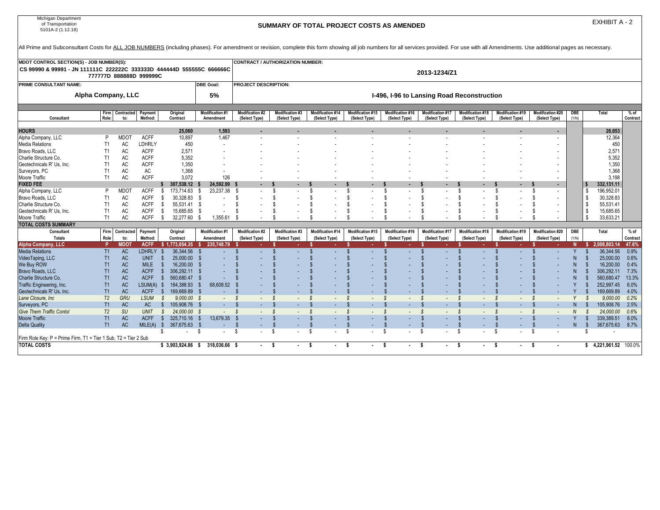| Michigan Department<br>of Transportation<br>5101A-2 (1.12.18)                                                                                                                                                                  |                         | SUMMARY OF TOTAL PROJECT COSTS AS AMENDED |                            |                      |                         |                                     |                                         |                                            |                                   |                                          |                                          |                                           |                                          |                                           |                                           |                     | EXHIBIT A - 2                 |                     |                    |  |
|--------------------------------------------------------------------------------------------------------------------------------------------------------------------------------------------------------------------------------|-------------------------|-------------------------------------------|----------------------------|----------------------|-------------------------|-------------------------------------|-----------------------------------------|--------------------------------------------|-----------------------------------|------------------------------------------|------------------------------------------|-------------------------------------------|------------------------------------------|-------------------------------------------|-------------------------------------------|---------------------|-------------------------------|---------------------|--------------------|--|
| All Prime and Subconsultant Costs for ALL JOB NUMBERS (including phases). For amendment or revision, complete this form showing all job numbers for all services provided. For use with all Amendments. Use additional pages a |                         |                                           |                            |                      |                         |                                     |                                         |                                            |                                   |                                          |                                          |                                           |                                          |                                           |                                           |                     |                               |                     |                    |  |
| <b>MDOT CONTROL SECTION(S) - JOB NUMBER(S):</b>                                                                                                                                                                                |                         |                                           |                            |                      |                         |                                     |                                         | CONTRACT / AUTHORIZATION NUMBER:           |                                   |                                          |                                          |                                           |                                          |                                           |                                           |                     |                               |                     |                    |  |
| CS 99990 & 99991 - JN 111111C 222222C 333333D 444444D 555555C 666666C                                                                                                                                                          | 777777D 888888D 999999C |                                           |                            |                      |                         |                                     |                                         | 2013-1234/Z1                               |                                   |                                          |                                          |                                           |                                          |                                           |                                           |                     |                               |                     |                    |  |
| PRIME CONSULTANT NAME:                                                                                                                                                                                                         |                         |                                           |                            |                      |                         | <b>DBE Goal:</b>                    | PROJECT DESCRIPTION:                    |                                            |                                   |                                          |                                          |                                           |                                          |                                           |                                           |                     |                               |                     |                    |  |
|                                                                                                                                                                                                                                | Alpha Company, LLC      |                                           |                            |                      |                         | 5%                                  |                                         | I-496, I-96 to Lansing Road Reconstruction |                                   |                                          |                                          |                                           |                                          |                                           |                                           |                     |                               |                     |                    |  |
| Consultant                                                                                                                                                                                                                     | Role:                   | Firm   Contracted<br>to:                  | Payment<br>Method:         | Original<br>Contract |                         | <b>Modification #1</b><br>Amendment | <b>Modification #2</b><br>(Select Type) | <b>Modification #3</b><br>(Select Type)    | Modification #14<br>(Select Type) | <b>Modification #15</b><br>(Select Type) | <b>Modification #16</b><br>(Select Type) | <b>Modification #17</b><br>(Select Type)  | <b>Modification #18</b><br>(Select Type) | <b>Modification #19</b><br>(Select Type)  | <b>Modification #20</b><br>(Select Type)  | <b>DBE</b><br>(Y/N) | <b>Total</b>                  |                     | $%$ of<br>Contract |  |
|                                                                                                                                                                                                                                |                         |                                           |                            |                      |                         |                                     |                                         |                                            |                                   |                                          |                                          |                                           |                                          |                                           |                                           |                     |                               |                     |                    |  |
| HOURS                                                                                                                                                                                                                          |                         |                                           |                            |                      | 25,060                  | 1,593                               |                                         |                                            |                                   |                                          |                                          |                                           |                                          |                                           |                                           |                     |                               | 26,653              |                    |  |
| Alpha Company, LLC                                                                                                                                                                                                             | P                       | <b>MDOT</b>                               | <b>ACFF</b>                |                      | 10,897                  | 1,467                               |                                         |                                            |                                   |                                          |                                          |                                           |                                          |                                           | $\overline{\phantom{a}}$                  |                     |                               | 12,364              |                    |  |
| Media Relations                                                                                                                                                                                                                | T1                      | AC                                        | <b>LDHRLY</b>              |                      | 450                     |                                     |                                         |                                            |                                   |                                          |                                          |                                           |                                          |                                           |                                           |                     |                               | 450                 |                    |  |
| Bravo Roads, LLC                                                                                                                                                                                                               | T1                      | AC                                        | <b>ACFF</b>                |                      | 2,571                   |                                     |                                         |                                            |                                   |                                          |                                          |                                           |                                          |                                           |                                           |                     |                               | 2,571               |                    |  |
| Charlie Structure Co.                                                                                                                                                                                                          | T1                      | AC                                        | <b>ACFF</b>                |                      | 5.352                   |                                     |                                         |                                            |                                   |                                          |                                          |                                           |                                          |                                           |                                           |                     |                               | 5,352               |                    |  |
| Geotechnicals R' Us, Inc.                                                                                                                                                                                                      | T1                      | AC                                        | <b>ACFF</b>                |                      | 1,350                   |                                     |                                         |                                            |                                   |                                          |                                          |                                           |                                          |                                           |                                           |                     |                               | 1,350               |                    |  |
| Surveyors, PC                                                                                                                                                                                                                  | T1                      | <b>AC</b>                                 | <b>AC</b>                  |                      | 1,368                   |                                     |                                         |                                            |                                   |                                          |                                          |                                           |                                          |                                           |                                           |                     |                               | 1,368               |                    |  |
| Moore Traffic                                                                                                                                                                                                                  | T1                      | AC                                        | <b>ACFF</b>                |                      | 3.072                   | 126                                 |                                         |                                            |                                   |                                          |                                          |                                           |                                          |                                           | $\blacksquare$                            |                     |                               | 3,198               |                    |  |
| FIXED FEE                                                                                                                                                                                                                      | P                       |                                           |                            | \$307,538.12<br>S.   |                         | 24,592.99                           | - S<br>$\overline{\phantom{a}}$         | -S                                         | $\mathbf{\hat{s}}$                | -S                                       | $\mathbf{\hat{s}}$                       | $\mathbf{\hat{s}}$                        | £.                                       | s.                                        | \$                                        |                     | 332,131.11<br>\$              |                     |                    |  |
| Alpha Company, LLC<br>Bravo Roads, LLC                                                                                                                                                                                         | T <sub>1</sub>          | <b>MDOT</b><br>AC                         | <b>ACFF</b><br><b>ACFF</b> | - \$                 | 173,714.63<br>30,328.83 | 23,237.38<br>- \$<br>- \$           | - \$                                    | \$.                                        |                                   | -S                                       | -S                                       |                                           | ß.                                       | $\overline{\phantom{a}}$<br>ß.            | $\overline{\phantom{a}}$<br>\$.           |                     | 196,952.01<br>30,328.83<br>\$ |                     |                    |  |
| Charlie Structure Co.                                                                                                                                                                                                          | T1                      | AC                                        | <b>ACFF</b>                | S.                   | 55,531.41 \$            | $\overline{a}$                      | S                                       | \$.                                        |                                   | -S                                       | -S                                       | - \$                                      | S                                        | S                                         | \$<br>$\overline{\phantom{a}}$            |                     | 55,531.41<br>\$               |                     |                    |  |
| Geotechnicals R' Us, Inc.                                                                                                                                                                                                      | T <sub>1</sub>          | AC                                        | <b>ACFF</b>                | - \$                 | 15,685.65               | - \$                                | S                                       | £.                                         |                                   |                                          |                                          |                                           | -S                                       | £.                                        | £.                                        |                     | 15,685.65<br>\$               |                     |                    |  |
| Moore Traffic                                                                                                                                                                                                                  | T1                      | AC                                        | <b>ACFF</b>                | - \$                 | 32,277.60               | 1,355.61<br>- \$                    | - \$                                    | \$.                                        | - \$                              | -S                                       |                                          |                                           |                                          | ß.                                        | £.                                        |                     | 33,633.21<br>\$               |                     |                    |  |
| TOTAL COSTS SUMMARY                                                                                                                                                                                                            |                         |                                           |                            |                      |                         |                                     |                                         |                                            |                                   |                                          |                                          |                                           |                                          |                                           |                                           |                     |                               |                     |                    |  |
| Consultant                                                                                                                                                                                                                     | Firm                    | Contracted                                | Payment                    | Original             |                         | Modification #1                     | <b>Modification #2</b>                  | <b>Modification #3</b>                     | Modification #14                  | Modification #15                         | Modification #16                         | <b>Modification #17</b>                   | <b>Modification #18</b>                  | Modification #19                          | <b>Modification #20</b>                   | DBE                 | Total                         |                     | % of               |  |
| <b>Totals</b>                                                                                                                                                                                                                  | Role                    | to:                                       | Method:                    | Contract             |                         | Amendment                           | (Select Type)                           | (Select Type)                              | (Select Type)                     | (Select Type)                            | (Select Type)                            | (Select Type)                             | (Select Type)                            | (Select Type)                             | (Select Type)                             | (Y/N)               |                               |                     | Contract           |  |
| <b>Alpha Company, LLC</b>                                                                                                                                                                                                      | P                       | <b>MDOT</b>                               | <b>ACFF</b>                | \$1,773,054.35       |                         | 235.748.79                          |                                         |                                            |                                   |                                          |                                          |                                           |                                          |                                           |                                           | N                   | 2,008,803.14<br>-S.           |                     | 47.6%              |  |
| <b>Media Relations</b>                                                                                                                                                                                                         | T1                      | <b>AC</b>                                 | <b>LDHRLY</b>              | -\$                  | 36,344.56               | - \$                                |                                         |                                            |                                   |                                          |                                          |                                           |                                          | $\mathbf{\hat{s}}$                        | $\mathbf{f}$                              | Y                   | - \$                          | 36.344.56<br>0.9%   |                    |  |
| VideoTaping, LLC                                                                                                                                                                                                               | T1                      | <b>AC</b>                                 | <b>UNIT</b>                | -\$                  | 25,000.00               | - \$                                |                                         |                                            |                                   |                                          |                                          |                                           |                                          | -S                                        |                                           |                     | - \$                          | 25,000.00<br>0.6%   |                    |  |
| We Buy ROW                                                                                                                                                                                                                     | T1                      | <b>AC</b>                                 | <b>MILE</b>                | - \$                 | 16.200.00               | - \$                                |                                         |                                            |                                   |                                          |                                          |                                           |                                          |                                           |                                           |                     | 16.200.00                     | 0.4%                |                    |  |
| Bravo Roads, LLC                                                                                                                                                                                                               | T1                      | <b>AC</b>                                 | <b>ACFF</b>                | $\mathbb{S}$         | 306,292.11 \$           |                                     |                                         |                                            |                                   |                                          |                                          |                                           |                                          |                                           |                                           |                     | -96                           | 306,292.11 7.3%     |                    |  |
| Charlie Structure Co.                                                                                                                                                                                                          | T1                      | <b>AC</b>                                 | <b>ACFF</b>                | -\$                  | 560.680.47 \$           |                                     |                                         |                                            |                                   |                                          |                                          |                                           |                                          |                                           |                                           |                     | 560.680.47                    | 13.3%               |                    |  |
| Traffic Engineering, Inc.                                                                                                                                                                                                      | T1                      | <b>AC</b>                                 | LSUM(A) \$                 |                      | 184,388.93              | 68,608.52<br>- \$                   |                                         |                                            |                                   |                                          |                                          |                                           |                                          | -S                                        |                                           |                     | 252,997.45<br>-S              | 6.0%                |                    |  |
| Geotechnicals R' Us, Inc.                                                                                                                                                                                                      | T1                      | <b>AC</b>                                 | <b>ACFF</b>                | -\$                  | 169.669.89              | - 5                                 |                                         |                                            |                                   |                                          |                                          |                                           |                                          |                                           |                                           |                     | 169.669.89                    | 4.0%                |                    |  |
| Lane Closure, Inc.                                                                                                                                                                                                             | T <sub>2</sub>          | GRU                                       | <b>LSUM</b>                | $\mathcal{S}$        | $9.000.00$ \$           | $\sim 100$                          | - \$<br>$\sim$                          | $\mathcal{S}$<br>$\overline{\phantom{a}}$  | $\overline{\phantom{a}}$          | -S<br>$\sim$                             | -S<br>$\sim$                             | <b>S</b><br>$\overline{\phantom{a}}$      | - \$<br>$\sim$                           | S<br>$\sim$                               | <b>S</b><br>$\overline{\phantom{a}}$      | Y                   | $\mathcal{S}$                 | 0.2%<br>9.000.00    |                    |  |
| Surveyors, PC                                                                                                                                                                                                                  | T1                      | <b>AC</b>                                 | <b>AC</b>                  | $\mathbb{S}$         | 105.908.76 \$           |                                     |                                         |                                            |                                   |                                          |                                          |                                           |                                          | $\mathbf{\hat{s}}$                        |                                           |                     | 105,908.76                    | 2.5%                |                    |  |
| <b>Give Them Traffic Contol</b>                                                                                                                                                                                                | T <sub>2</sub>          | <b>SU</b>                                 | <b>UNIT</b>                | $\mathcal{S}$        | 24,000.00 \$            | $\sim 10^{-1}$                      | - \$<br>$\sim$                          | $\mathcal{S}$<br>$\overline{\phantom{a}}$  | $\mathcal{S}$                     | S.<br>$\sim$                             | -S                                       | $\mathcal{S}$<br>$\overline{\phantom{a}}$ | $\mathcal{S}$                            | $\mathcal{S}$<br>$\overline{\phantom{a}}$ | $\mathcal{S}$<br>$\overline{\phantom{a}}$ | N                   | 24,000.00<br>-S               | 0.6%                |                    |  |
| <b>Moore Traffic</b>                                                                                                                                                                                                           | T1                      | <b>AC</b>                                 | <b>ACFF</b>                | $\mathbb{S}$         | 325,710.16 \$           | 13,679.35                           | - \$                                    |                                            |                                   |                                          |                                          |                                           |                                          | <b>S</b>                                  |                                           | Y                   | 339,389.51                    | 8.0%                |                    |  |
| Delta Quality                                                                                                                                                                                                                  | T1                      | <b>AC</b>                                 | $MILE(A)$ \$               |                      | 367.675.63 \$           |                                     |                                         | -S                                         |                                   | $\mathbf{\hat{s}}$                       |                                          | -\$                                       | \$<br>$\sim$                             | \$<br>$\sim$                              | $\mathbf{f}$<br>$\overline{\phantom{a}}$  | N.                  | 367,675.63<br>-\$             | 8.7%                |                    |  |
|                                                                                                                                                                                                                                |                         |                                           |                            | \$                   | $\sim$                  | - \$<br>$\sim$                      | -S                                      | \$                                         | \$                                | \$                                       | <b>S</b>                                 | s.                                        | -S                                       | s.<br>$\overline{\phantom{a}}$            | -S                                        |                     | -S                            |                     |                    |  |
| Firm Role Key: P = Prime Firm, T1 = Tier 1 Sub, T2 = Tier 2 Sub<br><b>TOTAL COSTS</b>                                                                                                                                          |                         |                                           |                            |                      |                         |                                     |                                         |                                            |                                   |                                          |                                          |                                           |                                          |                                           |                                           |                     |                               | 4.221.961.52 100.0% |                    |  |
|                                                                                                                                                                                                                                |                         |                                           |                            | $$3.903.924.86$ \$   |                         | 318.036.66 \$                       | $\sim$                                  | -S                                         | -S                                | -S                                       | -S                                       | - S                                       | - \$<br>۰.                               | - \$<br>٠.                                | - \$                                      |                     | s.                            |                     |                    |  |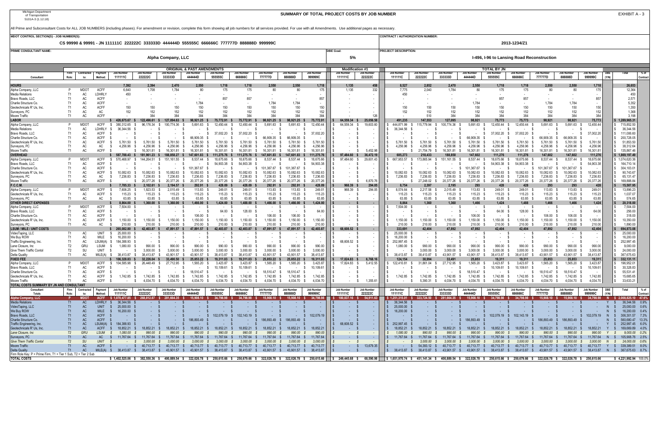| MDOT CONTROL SECTION(S) - JOB NUMBER(S)                                                 |                      |                                                                                               |                            |                              |                           |                                    |                                                                                                                      |                                    |                           |                                                    |                           |                        |                                                                                                                                                                                                                                                 |                                              | CONTRACT / AUTHORIZATION NUMBER                                                                                                           |                           |                        |                              |                                                                       |                           |                           |                                                                                                                               |                        |       |                                                     |          |
|-----------------------------------------------------------------------------------------|----------------------|-----------------------------------------------------------------------------------------------|----------------------------|------------------------------|---------------------------|------------------------------------|----------------------------------------------------------------------------------------------------------------------|------------------------------------|---------------------------|----------------------------------------------------|---------------------------|------------------------|-------------------------------------------------------------------------------------------------------------------------------------------------------------------------------------------------------------------------------------------------|----------------------------------------------|-------------------------------------------------------------------------------------------------------------------------------------------|---------------------------|------------------------|------------------------------|-----------------------------------------------------------------------|---------------------------|---------------------------|-------------------------------------------------------------------------------------------------------------------------------|------------------------|-------|-----------------------------------------------------|----------|
|                                                                                         |                      | CS 99990 & 99991 - JN 111111C 222222C 333333D 444444D 555555C 666666C 777777D 888888D 999999C |                            |                              |                           |                                    |                                                                                                                      |                                    |                           |                                                    |                           |                        |                                                                                                                                                                                                                                                 |                                              | 2013-1234/Z1                                                                                                                              |                           |                        |                              |                                                                       |                           |                           |                                                                                                                               |                        |       |                                                     |          |
| PRIME CONSULTANT NAME:                                                                  |                      |                                                                                               |                            |                              |                           |                                    |                                                                                                                      |                                    |                           |                                                    |                           |                        | <b>DBE Goal:</b>                                                                                                                                                                                                                                |                                              | <b>PROJECT DESCRIPTION:</b>                                                                                                               |                           |                        |                              |                                                                       |                           |                           |                                                                                                                               |                        |       |                                                     |          |
|                                                                                         |                      |                                                                                               |                            |                              |                           |                                    |                                                                                                                      |                                    |                           |                                                    |                           |                        |                                                                                                                                                                                                                                                 |                                              |                                                                                                                                           |                           |                        |                              |                                                                       |                           |                           |                                                                                                                               |                        |       |                                                     |          |
|                                                                                         |                      |                                                                                               |                            |                              |                           | Alpha Company, LLC                 |                                                                                                                      |                                    |                           |                                                    |                           |                        | 5%<br>I-496, I-96 to Lansing Road Reconstruction                                                                                                                                                                                                |                                              |                                                                                                                                           |                           |                        |                              |                                                                       |                           |                           |                                                                                                                               |                        |       |                                                     |          |
|                                                                                         |                      |                                                                                               |                            |                              |                           |                                    | <b>ORIGINAL &amp; PAST AMENDMENTS</b>                                                                                |                                    |                           |                                                    |                           |                        |                                                                                                                                                                                                                                                 | <b>TOTAL BY JN</b><br><b>Modification #1</b> |                                                                                                                                           |                           |                        |                              |                                                                       |                           |                           |                                                                                                                               |                        |       |                                                     |          |
|                                                                                         | Firm                 | Contracted                                                                                    | Payment                    |                              | Job Number                | Job Numbe                          | Job Numb                                                                                                             | ob Number                          | Job Number                | Job Numbe                                          |                           | Job Number             | ob Number                                                                                                                                                                                                                                       | Job Number                                   | ob Number                                                                                                                                 | Job Numbe                 | ob Numb                | Job Number                   | Job Num                                                               | <b>Job Number</b>         | Job Number                | Job Number                                                                                                                    | Job Numbeı             |       |                                                     | % of     |
| Consultant                                                                              | Role:                | to:                                                                                           | Method:                    | 111111C                      | 222222C                   | 333333D                            | 444444D                                                                                                              | 555555C                            | 666666C                   | 777777D                                            | 888888D                   | 999999C                | 111111C                                                                                                                                                                                                                                         | 222222C                                      | 111111C                                                                                                                                   | 222222C                   | 333333D                | 444444D                      | 555555C                                                               | 666666C                   | 777777D                   | 888888D                                                                                                                       | 999999C                | (Y/N) |                                                     | Contract |
| <b>HOURS</b>                                                                            |                      |                                                                                               |                            | 7,392                        | 2,394                     | 2,470                              | 2,550                                                                                                                | 1,718                              | 1,718                     | 2,550                                              | 2,550                     | 1,718                  | 1,135                                                                                                                                                                                                                                           | 458                                          | 8,527                                                                                                                                     | 2,852                     | 2,470                  | 2,550                        | 1,718                                                                 | 1,718                     | 2,550                     | 2,550                                                                                                                         | 1,718                  |       | 26,653                                              |          |
| Alpha Company, LLC<br>Media Relations                                                   | P<br>T <sub>1</sub>  | MDO <sup>-</sup><br>AC                                                                        | <b>ACFF</b><br>LDHRL'      | 6,640<br>450                 | 1,708                     | 1,784                              | -80                                                                                                                  | 175                                | 175                       | -80                                                | 80                        | 175                    | 1,135                                                                                                                                                                                                                                           | 332<br>$\sim$                                | 7,775<br>450                                                                                                                              | 2,040                     | 1,784                  | -80                          | 175                                                                   | 175                       | 80                        | -80                                                                                                                           | 175                    |       | 12,364<br>450                                       |          |
| Bravo Roads, LLC                                                                        | T <sub>1</sub>       | AC                                                                                            | <b>ACFF</b>                |                              |                           |                                    |                                                                                                                      | 85                                 | 85                        |                                                    |                           | 857                    |                                                                                                                                                                                                                                                 | $\sim$                                       |                                                                                                                                           |                           |                        |                              | 857                                                                   | 857                       |                           |                                                                                                                               | 857                    |       | 2,571                                               |          |
| Charlie Structure Co.                                                                   | T1                   |                                                                                               | <b>ACFF</b>                |                              |                           |                                    | 1,784                                                                                                                |                                    |                           | 1,784                                              | 1,784                     |                        |                                                                                                                                                                                                                                                 |                                              |                                                                                                                                           |                           |                        | 1,784                        |                                                                       |                           | 1,784                     | 1,784                                                                                                                         |                        |       | 5,352                                               |          |
| Geotechnicals R' Us, Inc.                                                               | T1                   | AC                                                                                            | <b>ACFF</b><br>AC          | 150<br>152                   | 150<br>152                | 150<br>152                         | 150<br>152                                                                                                           | 150<br>152                         | 150<br>152                | 150<br>152                                         | 150<br>152                | 150<br>152             |                                                                                                                                                                                                                                                 |                                              | 15(<br>152                                                                                                                                | 150<br>152                | 150<br>152             | 150<br>152                   | 150<br>152                                                            | 150                       | 150<br>152                | 150<br>152                                                                                                                    | 150                    |       | 1,350<br>1,368                                      |          |
| Surveyors, PC<br>Moore Traffic                                                          | T1<br>T1             | AC                                                                                            | <b>ACFF</b>                |                              | 384                       | 384                                | 384                                                                                                                  | 384                                | 384                       | 384                                                | 384                       | 384                    |                                                                                                                                                                                                                                                 | 126                                          |                                                                                                                                           | 510                       | 384                    | 384                          | 384                                                                   | 152<br>384                | 384                       | 384                                                                                                                           | 152<br>384             |       | 3.198                                               |          |
| <b>LABOR</b>                                                                            |                      |                                                                                               |                            | 426.675.67                   | 122.496.61                | 127.094.63                         | 98,921.25 \$                                                                                                         | 75.772.91                          | 75.772.91                 | 98.921.25 \$                                       | 98,921.25                 | 75,772.91              | 64.559.34                                                                                                                                                                                                                                       | 25,056.58                                    | 491,235                                                                                                                                   | 147,553                   | 127,095                | 98,921                       | 75,773                                                                | 75,773                    | 98,921                    | 98,921                                                                                                                        | 75,773                 |       | \$1,289,965.31                                      |          |
| Alpha Company, LLC                                                                      |                      | MDO <sup>-</sup>                                                                              | <b>ACFF</b>                |                              |                           | 100,774.36                         | 5.691.63                                                                                                             | 12.450.44                          | 12.450.44                 | 5,691.63                                           | 5.691.63                  | 12,450.44              | 64,559.34                                                                                                                                                                                                                                       | 19,603.60                                    | 444,871.99                                                                                                                                | 115,779.94                | 100,774.36             | 5,691.63                     | 12,450.44                                                             | 12,450.44                 | 5,691.63                  | 5,691.63                                                                                                                      | 12,450.44              |       | 715,852.5                                           |          |
| Media Relations                                                                         | T <sub>1</sub>       | AC                                                                                            |                            | 36.344.56                    |                           |                                    |                                                                                                                      |                                    |                           |                                                    |                           |                        |                                                                                                                                                                                                                                                 |                                              | 36.344.56                                                                                                                                 |                           |                        |                              |                                                                       | $\sim$                    |                           |                                                                                                                               |                        |       | 36,344.5                                            |          |
| Bravo Roads, LLC<br>Charlie Structure Co.                                               | T1<br>T <sub>1</sub> | AC                                                                                            | ACFF<br>ACFF               |                              |                           |                                    | 66,909.35                                                                                                            | 37,002.20                          | 37,002.20                 | 66,909.35                                          | 66.909.35                 | 37,002.20              |                                                                                                                                                                                                                                                 | $\sim$                                       |                                                                                                                                           |                           |                        | 66,909.35                    | 37,002.20                                                             | 37,002.20                 | 66,909.35                 | $\sim$<br>66,909.35                                                                                                           | 37,002.20              |       | 111,006.60<br>200,728.05                            |          |
| Geotechnicals R' Us, Inc.                                                               | T1                   |                                                                                               |                            | 5.761.50                     | 5,761.50                  | 5.761.50                           | 5.761.50                                                                                                             | 5.761.50                           | 5.761.50                  | 5.761.50                                           | 5.761.50                  | 5.761.50               |                                                                                                                                                                                                                                                 | $\overline{\phantom{a}}$                     |                                                                                                                                           | 5.761.50                  | 5.761.50               | 5,761.50                     | 5.761.50                                                              | 5,761.50                  | 5.761.50                  | 5,761.50                                                                                                                      | 5,761.50               |       | 51,853.50                                           |          |
| Surveyors, PC                                                                           | T1                   | AC                                                                                            | AC                         | 4.256.96                     | 4.256.96                  | 4.256.96                           | 4,256.96                                                                                                             | 4.256.96<br>- 8                    | 4,256.96                  | 4.256.96                                           | 4.256.96<br>- 56          | 4,256.96               |                                                                                                                                                                                                                                                 | $\sim$                                       | 4.256.96                                                                                                                                  | 4.256.96                  | 4,256.96               | 4,256.96                     | 4.256.96                                                              | 4,256.96                  | 4,256.96                  | 4,256.96                                                                                                                      | 4,256.96               |       | 38,312.64                                           |          |
| Moore Traffic                                                                           | T1                   |                                                                                               | ACFF                       |                              | 16,301.81                 | 16,301.81                          | 16,301.81                                                                                                            | 16,301.81<br>- S                   | 16,301.81<br>- \$         | 16,301.81                                          | 16,301.81<br>- S          | 16.301.8               |                                                                                                                                                                                                                                                 | 5,452.9                                      |                                                                                                                                           | 21,754.79                 | 16,301.81              | 16,301.81                    | 16,301.81                                                             | 16,301.81                 | 16,301.81                 | 16,301.81                                                                                                                     | 16,301.8               |       | 135,867.4                                           |          |
| <b>OVERHEAD</b>                                                                         |                      |                                                                                               |                            |                              |                           | 188.858.27                         | 147.601.83                                                                                                           | 111.275.76                         |                           |                                                    |                           | 1.275.76               | 97,484.60 \$                                                                                                                                                                                                                                    | 36,472.19                                    | 685,273                                                                                                                                   | 218,433                   | 88.858                 | 147.602                      | 111,276                                                               | 111,27                    | 147.602                   | 147.602                                                                                                                       | 111,276                |       | \$1,869,197.49                                      |          |
| Alpha Company, LLC<br>Bravo Roads, LLC                                                  | T1                   | MDO <sup>-</sup>                                                                              | <b>ACFF</b><br>ACFF        | 570.468.97                   | 144.264.51                | 151.161.55                         | 8.537.44                                                                                                             | 18.675.66<br>54.903.38             | 18,675.66<br>54.903.38    | 8.537.44                                           | 8.537.44                  | 18,675.66<br>54,903.38 | 97,484.60                                                                                                                                                                                                                                       | 29,601.43                                    | 667,953.57                                                                                                                                | 173,865.94                | 151,161.55             | 8.537.44                     | 18,675.66<br>54.903.38                                                | 18,675.66<br>54.903.38    | 8.537.44                  | 8.537.44                                                                                                                      | 18,675.66<br>54,903.38 |       | 6 1,074,620.36<br>164,710.14                        |          |
| Charlie Structure Co.                                                                   | T1                   | AC                                                                                            |                            |                              |                           |                                    |                                                                                                                      |                                    |                           |                                                    | 101.367                   |                        |                                                                                                                                                                                                                                                 | $\overline{\phantom{a}}$                     |                                                                                                                                           |                           |                        | 101.367.67                   |                                                                       |                           | 101.367.67                | 101.367.67                                                                                                                    |                        |       | 304,103.01                                          |          |
| Geotechnicals R' Us, Inc.                                                               | T1                   |                                                                                               | ACFF                       | 10,082.63                    | 10.082.63                 | 10,082.63                          | 10.082.63                                                                                                            | 10,082.63                          | 10,082.63                 | 10.082.63                                          | 10.082.63                 | 10,082.63              |                                                                                                                                                                                                                                                 |                                              | 10,082.63                                                                                                                                 | 10.082.63                 | 10,082.63              | 10,082.63                    | 10,082.63                                                             | 10,082.63                 | 10,082.63                 | 10,082.63                                                                                                                     | 10,082.63              |       | 90,743.67                                           |          |
| Surveyors, PC                                                                           | T1                   |                                                                                               | AC                         | 7.236.83                     | 7.236.83                  | 7.236.83                           | 7,236.83                                                                                                             | 7.236.83                           | 7.236.83                  | 7.236.83                                           | 7.236.83                  | 7,236.83               |                                                                                                                                                                                                                                                 |                                              | 7.236.83                                                                                                                                  | 7.236.83                  | 7,236.83               | 7.236.83                     | 7.236.83                                                              | 7,236.83                  | 7.236.83                  | 7,236.83                                                                                                                      | 7,236.83               |       | 65,131.47                                           |          |
| Moore Traffic                                                                           | T1                   | AC                                                                                            | <b>ACFF</b>                |                              | 20,377.26                 | 20,377.26                          | 20,377.26                                                                                                            | 20,377.26                          | 20,377.26                 | 20,377.26                                          | 20,377.26                 | 20,377.26              | $\sim$                                                                                                                                                                                                                                          | 6,870.76                                     |                                                                                                                                           | 27.248.02                 | 20,377.26              | 20,377.26                    | 20,377.26<br>- 56                                                     | 20,377.26 \$              | 20,377.26                 | 20,377.26                                                                                                                     | 20,377.26              |       | 169,888.84                                          |          |
| F.C.C.M.<br>Alpha Company, LLC                                                          | P                    | MDO <sup>-</sup>                                                                              | <b>ACFF</b>                | 7,785.33<br>7.606.25         | 2.102.61<br>1,923.53      | 2,194.57<br>2,015.49               | 292.91<br>113.83                                                                                                     | 428.09<br>249.01                   | 428.09<br>249.01          | 292.91<br>113.83                                   | 292.91<br>113.83          | 428.09<br>249.01       | 968.39 \$<br>968.39                                                                                                                                                                                                                             | 294.0<br>294.05                              | 8,754<br>8,574.64                                                                                                                         | 2.397<br>2,217.58         | 2,195<br>2,015.49      | 293<br>113.83                | 428<br>249.01                                                         | 428<br>249.01             | 293<br>113.83             | 293<br>113.83                                                                                                                 | 428<br>249.01          |       | 15,507.95<br>13,896.23                              |          |
| Geotechnicals R' Us, Inc.                                                               | T1                   | AC                                                                                            | <b>ACFF</b>                | 115.23                       | 115.23                    | 115.23                             | 115.23                                                                                                               | 115.23                             | 115.23                    | 115.23                                             | 115.23                    | 115.23                 |                                                                                                                                                                                                                                                 | $\overline{\phantom{a}}$                     | 115.23                                                                                                                                    | 115.23                    | 115.23                 | 115.23                       | 115.23                                                                | 115.23                    | 115.23                    | 115.23                                                                                                                        | 115.23                 |       | 1,037.07                                            |          |
| Surveyors, PC                                                                           | T1                   | AC                                                                                            | AC                         | 63.85                        | 63.85                     | 63.85                              | 63.85 \$                                                                                                             | 63.85                              | 63.85                     | 63.85 \$                                           | 63.85                     | 63.85                  | $\sim$                                                                                                                                                                                                                                          | $\sim$                                       | 63.85                                                                                                                                     | 63.85 \$                  | 63.85                  | 63.85                        | 63.85 \$                                                              | 63.85 \$                  | 63.85                     | 63.85                                                                                                                         | 63.85                  |       | 574.65                                              |          |
| <b>OTHER DIRECT EXPENSES</b>                                                            |                      |                                                                                               |                            |                              | .360.00                   |                                    | 1.466.00                                                                                                             | 1.424.00                           | 1.488.00                  | 1.466.00                                           | 1.466.00                  | 1,424.00               | <b>Contract Contract</b>                                                                                                                                                                                                                        | $\sim$                                       | 8.864                                                                                                                                     | 1.360                     | 1.360                  | 1.466                        | 1.424                                                                 | 1,488                     | 1.466                     | 1,466                                                                                                                         | 1,424                  |       | 20,318.00                                           |          |
| Alpha Company, LLC<br>Bravo Roads, LLC                                                  | T1                   | MDO.<br>AC                                                                                    | ACFF<br>ACFF               | 7,504.00                     |                           |                                    |                                                                                                                      | 64.00                              | 128.00                    |                                                    | $\sim$<br>$\sim$          | 64.00                  | $\sim$                                                                                                                                                                                                                                          | $\overline{\phantom{a}}$<br>$\sim$           | 504.00                                                                                                                                    |                           |                        |                              | 64.00                                                                 | $\sim$<br>128.00          | $\sim$                    | $\sim$ $-$<br>$\sim$                                                                                                          | 64.00                  |       | 7,504.00<br>256.00                                  |          |
| Charlie Structure Co.                                                                   | T1                   | AC                                                                                            | ACFF                       |                              |                           |                                    | 106.00                                                                                                               |                                    |                           | 106.00                                             | 106.00                    |                        |                                                                                                                                                                                                                                                 | $\sim$                                       |                                                                                                                                           |                           |                        | 106.00                       |                                                                       | $\sim$                    | 106.00                    | 106.00                                                                                                                        |                        |       | 318.00                                              |          |
| Geotechnicals R' Us, Inc.                                                               | T <sub>1</sub>       | AC                                                                                            | ACFF                       | 1,150.00                     | 1,150.00                  | 1,150.00                           | 1,150.00                                                                                                             | 1,150.00                           | 1,150.00                  | 1,150.00                                           | 1,150.00                  | 1,150.00               |                                                                                                                                                                                                                                                 | $\sim$                                       | .150.00                                                                                                                                   | 1,150.00                  | 1,150.00               | 1,150.00                     | 1,150.00                                                              | 1,150.00                  | 1,150.00                  | 1,150.00                                                                                                                      | 1,150.00               |       | 10,350.00                                           |          |
| Surveyors, PC                                                                           | T1                   | AC                                                                                            | AC                         | 210.00<br>- S                | 210.00                    | 210.00                             | 210.00                                                                                                               | 210.00                             | 210.00                    | $210.00$ \$                                        | 210.00                    | 210.00                 |                                                                                                                                                                                                                                                 | $\sim$                                       | 210.00                                                                                                                                    | 210.00                    | 210.00                 | 210.00                       | 210.00                                                                | $210.00$ \$               | 210.00                    | 210.00 \$                                                                                                                     | 210.00                 |       | 1,890.00                                            |          |
| <b>LSUM / MILE / UNIT COSTS</b>                                                         |                      |                                                                                               | UNIT                       | 265.082.80                   | 12.403.87                 |                                    |                                                                                                                      | 42.403.87                          | 42.403.87                 | 47,891.57                                          | 47.891.57                 | 42.403.87              | 68.608.52                                                                                                                                                                                                                                       | . .                                          | 333.691                                                                                                                                   | 42.404                    | 47.892                 | 47.892                       | 42.404                                                                | 42.404                    | 47.892                    | 47.892                                                                                                                        | 42,404                 |       | 694,873.08                                          |          |
| VideoTaping, LLC<br>We Buy ROW                                                          | T1<br>T1             | AC                                                                                            | <b>MILE</b>                | 25,000.00<br>16,200.00       | $\sim$                    |                                    |                                                                                                                      |                                    |                           |                                                    |                           |                        | $\sim$<br>$\sim$                                                                                                                                                                                                                                | $\sim$                                       | 25,000.00<br>16,200.00                                                                                                                    |                           |                        |                              |                                                                       | $\sim$                    |                           | $\sim$<br>$\sim$                                                                                                              |                        |       | 25,000.00<br>16,200.0                               |          |
| Traffic Engineering, Inc.                                                               | T1                   | AC                                                                                            | .SUM(A)                    | 184.388.93                   |                           |                                    |                                                                                                                      |                                    |                           |                                                    |                           |                        | 68,608.52                                                                                                                                                                                                                                       | $\sim$                                       | 252,997.45                                                                                                                                |                           |                        |                              |                                                                       |                           |                           | $\sim$                                                                                                                        |                        |       | 252,997.45                                          |          |
| Lane Closure, Inc.                                                                      | T2                   | GRI                                                                                           | LSUM                       | 1.080.00                     | 990.00                    | 990.00                             | 990.00                                                                                                               | 990.00                             | 990.00                    | 990.00                                             | 990.00                    | 990.00                 |                                                                                                                                                                                                                                                 | $\sim$                                       | 1,080.00                                                                                                                                  | 990.00                    | 990.00                 | 990.00                       | 990.00                                                                | 990.00                    | 990.00                    | 990.00                                                                                                                        | 990.00                 |       | 9,000.00                                            |          |
| Give Them Traffic Contol                                                                | T2                   | <b>SU</b>                                                                                     | <b>UNIT</b>                |                              | 3.000.00                  | 3,000.00                           | 3,000.00                                                                                                             | 3,000.00                           | 3,000.00                  | 3,000.00                                           | 3,000.00                  | 3,000.00               | $\overline{\phantom{a}}$                                                                                                                                                                                                                        | $\sim$                                       |                                                                                                                                           | 3,000.00                  | 3,000.00               | 3,000.00                     | 3,000.00                                                              | 3,000.00                  | 3,000.00                  | 3,000.00                                                                                                                      | 3,000.00               |       | 24,000.00                                           |          |
| <b>Delta Quality</b>                                                                    | T1                   | AC                                                                                            | MILE(A)                    | 38.413.87                    | 38,413.87                 | 43,901.57                          | 43.901.57                                                                                                            | 38,413.87                          | 38,413.87                 | 43.901.57<br>- 5                                   | 43,901.57                 | 38.413.87              |                                                                                                                                                                                                                                                 | $\sim$                                       | 38,413.87                                                                                                                                 | 38,413.87<br>- 55         | 43.901.57<br>33.491    | 43,901.57                    | 38,413.87<br>- 55                                                     | 38,413.87                 | 43,901.57                 | 43,901.57<br>- 5                                                                                                              | 38.413.87              |       | 367,675.63                                          |          |
| <b>FIXED FEE</b><br>Alpha Company, LLC                                                  |                      | MDO <sup>-</sup>                                                                              | <b>ACFF</b>                | 104.585.98                   | 26.448.49                 | 27.712.95                          | 25.853.22<br>1.565.20                                                                                                | 3,423.87                           | 3,423.87                  | 25.853.22<br>1,565.20                              | 25.853.22<br>1,565.20     | 19.311.03<br>3,423.87  | 17,824.83 \$<br>17,824.83                                                                                                                                                                                                                       | 6,768.16<br>5,412.55                         | 124,154<br>122,410.81                                                                                                                     | 38.994<br>31,861.04       | 27,712.95              | 25,853<br>1,565.20           | 19,31'<br>3,423.87                                                    | 19,311<br>3,423.87        | 25,853<br>1,565.20        | 25,853<br>1,565.20                                                                                                            | 19,311<br>3,423.87     |       | 332,131.11<br>196,952.01                            |          |
| Bravo Roads, LLC                                                                        | T1                   | AC                                                                                            | ACFF                       |                              |                           |                                    |                                                                                                                      | 10,109.61                          | 10,109.61                 |                                                    |                           | 10,109.61              |                                                                                                                                                                                                                                                 | $\overline{\phantom{a}}$                     |                                                                                                                                           |                           |                        |                              | 10,109.61                                                             | 10,109.61 \$              |                           |                                                                                                                               | 10,109.61              |       | 30,328.83                                           |          |
| Charlie Structure Co                                                                    | T1                   | AC                                                                                            | <b>ACFF</b>                |                              |                           |                                    | 18,510.47                                                                                                            |                                    |                           | 18,510.47 \$                                       | 18,510.47                 |                        |                                                                                                                                                                                                                                                 |                                              |                                                                                                                                           |                           |                        | 18,510.47                    | $\sim$                                                                | $\sim$                    | 18,510.47 \$              | 18,510.47                                                                                                                     |                        |       | 55,531.41                                           |          |
| Geotechnicals R' Us, Inc.                                                               | T1                   | AC                                                                                            |                            |                              |                           |                                    | ACFF \$ 1,742.85 \$ 1,742.85 \$ 1,742.85 \$ 1,742.85 \$ 1,742.85 \$ 1,742.85 \$ 1,742.85 \$ 1,742.85 \$ 1,742.85     |                                    |                           |                                                    |                           |                        | $\sim$ 100 $\mu$                                                                                                                                                                                                                                | $\sim$                                       |                                                                                                                                           |                           |                        |                              |                                                                       |                           |                           | 1,742.85 \$ 1,742.85 \$ 1,742.85 \$ 1,742.85 \$ 1,742.85 \$ 1,742.85 \$ 1,742.85 \$ 1,742.85 \$ 1,742.85                      |                        |       | 15,685.65                                           |          |
| Moore Traffic<br>TOTAL COSTS SUMMARY BY JN AND CONSULTANT                               | T1                   | AC                                                                                            | ACFF \$                    |                              |                           |                                    | $-$ \$ 4,034.70 \$ 4,034.70 \$ 4,034.70 \$ 4,034.70 \$ 4,034.70 \$ 4,034.70 \$ 4,034.70 \$ 4,034.70                  |                                    |                           |                                                    |                           |                        | - \$                                                                                                                                                                                                                                            | 1,355.61                                     | IS.                                                                                                                                       |                           |                        |                              |                                                                       |                           |                           | - \$ 5,390.31 \$ 4,034.70 \$ 4,034.70 \$ 4,034.70 \$ 4,034.70 \$ 4,034.70 \$ 4,034.70 \$ 4,034.70 \$ 4,034.70                 |                        |       | 33,633.21                                           |          |
| Consultant                                                                              |                      | Firm Contracted Payment                                                                       |                            | Job Number                   | Job Number                | Job Number                         | <b>Job Number</b>                                                                                                    | Job Number                         | <b>Job Number</b>         | Job Number                                         | Job Number                | Job Number             | Job Number                                                                                                                                                                                                                                      | Job Number                                   | <b>Job Number</b>                                                                                                                         | Job Number                | Job Number             | Job Number                   | <b>Job Number</b>                                                     | <b>Job Number</b>         | Job Number                | <b>Job Number</b>                                                                                                             | <b>Job Number</b>      | DBE   | Total                                               | % of     |
| Totals                                                                                  | Role:                | to:                                                                                           | Method:                    | 111111C                      | 222222C                   | 333333D                            | 444444D                                                                                                              | 555555C                            | 666666C                   | 777777D                                            | 888888D                   | 999999C                | 111111C                                                                                                                                                                                                                                         | 222222C                                      | 111111C                                                                                                                                   | 222222C                   | 333333D                | 444444D                      | 555555C                                                               | 666666C                   | 777777D                   | 888888D                                                                                                                       | 999999C                | (Y/N) |                                                     | Contract |
| Alpha Company, LLC<br>Media Relations                                                   | P.                   | <b>MDOT</b>                                                                                   | <b>ACFF</b>                | \$1,070,477.85 \$268,812.87  |                           | $$281,664.35$ \$                   | 15,908.10 \$                                                                                                         | 34,798.98 \$                       | 34,798.98 \$              |                                                    | 15,908.10 \$ 15,908.10 \$ | 34,798.98              | 180,837.16 \$                                                                                                                                                                                                                                   | 54,911.63                                    | $$1,251,315.01$ $$323,724.50$ $$281,664.35$ $$$<br>l S                                                                                    |                           |                        | 15,908.10                    | 34,798.98 \$                                                          | 34,798.98 \$              | 15,908.10 \$              | 15,908.10 \$                                                                                                                  |                        |       | 34,798.98 N \$ 2,008,825.10 47.6%<br>36.344.56 0.9% |          |
| VideoTaping, LLC                                                                        | T1<br>T1             | AC<br>AC                                                                                      | LDHRLY \$<br><b>UNIT</b>   | 36,344.56 \$<br>25,000.00 \$ | $\sim$                    |                                    |                                                                                                                      |                                    |                           |                                                    | $\sim$ $-$                | $\sim 100$             |                                                                                                                                                                                                                                                 | $\sim 10^{-1}$<br>$\sim$                     | 36,344.56<br>25,000.00 \$                                                                                                                 |                           |                        |                              |                                                                       |                           |                           |                                                                                                                               |                        |       | 25,000.00 0.6%                                      |          |
| We Buy ROW                                                                              | T1                   |                                                                                               | <b>MILE</b>                | 16,200.00                    | $\sim$ $-$                |                                    |                                                                                                                      |                                    |                           |                                                    |                           |                        |                                                                                                                                                                                                                                                 | $\sim$                                       | 16,200.00                                                                                                                                 |                           |                        |                              |                                                                       |                           |                           |                                                                                                                               |                        |       | 16,200.00 0.4%                                      |          |
| Bravo Roads, LLC                                                                        | T1                   | <b>AC</b>                                                                                     | <b>ACFF</b>                | . 9                          | <b>Contract</b>           |                                    |                                                                                                                      | 102,079.19                         | 102,143.19 \$             |                                                    | $\sim 100$                | 102,079.19<br>- \$     |                                                                                                                                                                                                                                                 | $\sim$ $-$                                   | <b>Contract</b>                                                                                                                           |                           |                        | $\sim$ $-$                   | 102,079.19                                                            | 102,143.19                |                           |                                                                                                                               | 102,079.19             |       | 306,301.57 7.3%                                     |          |
| Charlie Structure Co.                                                                   | T1                   | AC                                                                                            | <b>ACFF</b>                | - 5                          |                           |                                    | 186,893.49 \$                                                                                                        |                                    |                           | 186,893.49 \$                                      | 186,893.49                |                        |                                                                                                                                                                                                                                                 | $\sim$                                       | $\sim 100$                                                                                                                                |                           |                        | 186,893.49                   |                                                                       |                           | 186,893.49 \$             | 186,893.49 \$                                                                                                                 |                        |       | 560.680.47 13.3%                                    |          |
| Traffic Engineering, Inc.                                                               | T1                   | AC                                                                                            | $LSUM(A)$ \$               | 184,388.93 \$                | $\sim 100$                | $\sim$                             |                                                                                                                      |                                    |                           |                                                    | $\sim 100$                |                        | 68,608.52 \$                                                                                                                                                                                                                                    | $\sim 10^{-1}$                               | 252,997.45                                                                                                                                |                           |                        | <b>Contract</b>              | $\sim$                                                                |                           |                           | $\sim 100$                                                                                                                    |                        |       | 252,997.45 6.0%                                     |          |
| Geotechnicals R' Us, Inc.<br>Lane Closure, Inc                                          | T1<br>T2             | AC<br>GRU                                                                                     | <b>ACFF</b><br><b>LSUM</b> | 18,852.21 \$<br>1,080.00 \$  | 18,852.21 \$<br>990.00 \$ | 18,852.21<br>990.00 \$             | 18,852.21<br>990.00 \$                                                                                               | 18,852.21<br>990.00 \$             | 18,852.21 \$<br>990.00 \$ | 18,852.21 \$<br>$990.00$ \$                        | 18,852.21 \$<br>990.00 \$ | 18,852.21<br>990.00    | - 5                                                                                                                                                                                                                                             | - 1<br>$\sim$ $-$                            | 18,852.21 \$<br>$1,080.00$ \$                                                                                                             | 18,852.21 \$<br>990.00 \$ | 18,852.21<br>990.00 \$ | 18,852.21<br>S.<br>990.00 \$ | 18,852.21 \$<br>990.00 \$                                             | 18,852.21 \$<br>990.00 \$ | 18,852.21 \$<br>990.00 \$ | 18,852.21 \$<br>990.00 \$                                                                                                     | 18,852.21<br>990.00    | Y S   | 169,669.89 4.0%<br>$9.000.00$ $0.2\%$               |          |
| Surveyors, PC                                                                           | T1                   |                                                                                               | AC                         |                              |                           |                                    | \$ 11,767.64 \$ 11,767.64 \$ 11,767.64 \$ 11,767.64 \$ 11,767.64 \$ 11,767.64 \$ 11,767.64 \$ 11,767.64 \$ 11,767.64 |                                    |                           |                                                    |                           |                        | - 5                                                                                                                                                                                                                                             | $\sim 100$                                   | \$11,767.64 \$11,767.64 \$11,767.64 \$11,767.64 \$11,767.64 \$11,767.64 \$11,767.64 \$11,767.64 \$11,767.64 \$11,767.64 N                 |                           |                        |                              |                                                                       |                           |                           |                                                                                                                               |                        |       | 105,908.76 2.5%                                     |          |
| <b>Give Them Traffic Contol</b>                                                         | T2                   | SU                                                                                            | <b>UNIT</b>                | $- S$                        |                           | $3,000.00 \quad $3.000.00 \quad $$ |                                                                                                                      | $3,000.00 \quad $3,000.00 \quad $$ |                           | $3,000.00 \quad $3,000.00 \quad $3,000.00 \quad $$ |                           | 3,000.00               | $ s$                                                                                                                                                                                                                                            | $\sim 100$                                   | $- S$                                                                                                                                     | $3,000.00$ \$             |                        |                              | $3,000.00$ \$ $3,000.00$ \$ $3,000.00$ \$ $3,000.00$ \$ $3,000.00$ \$ |                           |                           |                                                                                                                               |                        |       | 3,000.00 \$ 3,000.00 N \$ 24,000.00 0.6%            |          |
| Moore Traffic                                                                           | T1                   | AC                                                                                            | ACFF \$                    |                              |                           |                                    | - \$ 40,713.77 \$ 40,713.77 \$ 40,713.77 \$ 40,713.77 \$ 40,713.77 \$ 40,713.77 \$ 40,713.77 \$ 40,713.77            |                                    |                           |                                                    |                           |                        | - \$                                                                                                                                                                                                                                            | 13,679.35                                    | - \$                                                                                                                                      |                           |                        |                              |                                                                       |                           |                           | 54,393.12 \$40,713.77 \$40,713.77 \$40,713.77 \$40,713.77 \$40,713.77 \$40,713.77 \$40,713.77 \$40,713.77 Y \$339,389.51 8.0% |                        |       |                                                     |          |
| <b>Delta Quality</b><br>Firm Role Key: P = Prime Firm, T1 = Tier 1 Sub, T2 = Tier 2 Sub | T1                   | AC                                                                                            |                            |                              |                           |                                    | MILE(A) \$38,413.87 \$38,413.87 \$43,901.57 \$43,901.57 \$38,413.87 \$38,413.87 \$43,901.57 \$43,901.57 \$38,413.87  |                                    |                           |                                                    |                           |                        |                                                                                                                                                                                                                                                 |                                              | \$ 38,413.87 \$ 38,413.87 \$ 43,901.57 \$ 43,901.57 \$ 38,413.87 \$ 38,413.87 \$ 43,901.57 \$ 43,901.57 \$ 38,413.87 N \$ 367,675.63 8.7% |                           |                        |                              |                                                                       |                           |                           |                                                                                                                               |                        |       |                                                     |          |
| <b>TOTAL COSTS</b>                                                                      |                      |                                                                                               |                            |                              |                           |                                    |                                                                                                                      |                                    |                           |                                                    |                           |                        | \$ 1,402,525.06 \$ 382,550.36 \$ 400,889.54 \$ 322,026.78 \$ 250,615.66 \$ 250,679.66 \$ 322,026.78 \$ 322,026.78 \$ 250,615.66 \$ 322,026.78 \$ 322,026.78 \$ 322,026.78 \$ 250,615.66 \$ 322,026.78 \$ 250,679.66 \$ 322,026.78 \$ 250,615.66 |                                              |                                                                                                                                           |                           |                        |                              |                                                                       |                           |                           |                                                                                                                               |                        |       | \$4,221,992.94 100.0%                               |          |

## **SUMMARY OF TOTAL PROJECT COSTS BY JOB NUMBER**  $\blacksquare$

All Prime and Subconsultant Costs for ALL JOB NUMBERS (including phases). For amendment or revision, complete this form showing all job numbers for all services provided. For use with all Amendments. Use additional pages a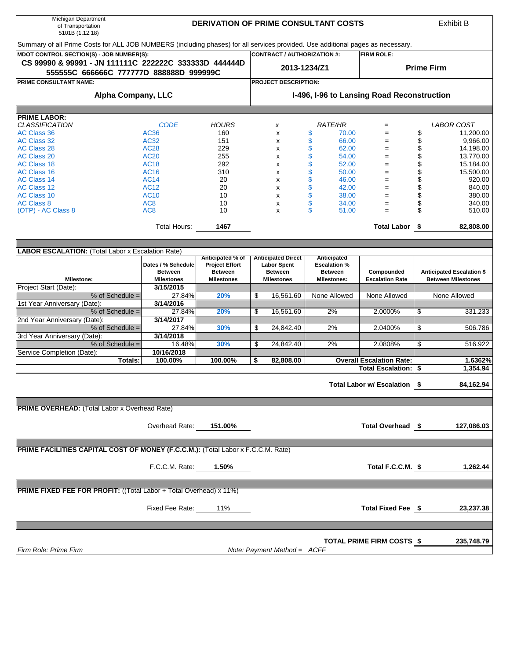| Michigan Department<br>of Transportation<br>5101B (1.12.18)                                                                     |                    | <b>DERIVATION OF PRIME CONSULTANT COSTS</b> |              |                                    |    |                     |                                            |                   | <b>Exhibit B</b>                 |  |  |
|---------------------------------------------------------------------------------------------------------------------------------|--------------------|---------------------------------------------|--------------|------------------------------------|----|---------------------|--------------------------------------------|-------------------|----------------------------------|--|--|
| Summary of all Prime Costs for ALL JOB NUMBERS (including phases) for all services provided. Use additional pages as necessary. |                    |                                             |              |                                    |    |                     |                                            |                   |                                  |  |  |
| MDOT CONTROL SECTION(S) - JOB NUMBER(S):                                                                                        |                    |                                             |              | <b>CONTRACT / AUTHORIZATION #:</b> |    |                     | <b>FIRM ROLE:</b>                          |                   |                                  |  |  |
| CS 99990 & 99991 - JN 111111C 222222C 333333D 444444D<br>555555C 666666C 777777D 888888D 999999C                                |                    |                                             | 2013-1234/Z1 |                                    |    |                     |                                            | <b>Prime Firm</b> |                                  |  |  |
| PRIME CONSULTANT NAME:                                                                                                          |                    |                                             |              | <b>PROJECT DESCRIPTION:</b>        |    |                     |                                            |                   |                                  |  |  |
| <b>Alpha Company, LLC</b>                                                                                                       |                    |                                             |              |                                    |    |                     | I-496, I-96 to Lansing Road Reconstruction |                   |                                  |  |  |
|                                                                                                                                 |                    |                                             |              |                                    |    |                     |                                            |                   |                                  |  |  |
| <b>PRIME LABOR:</b>                                                                                                             |                    |                                             |              |                                    |    |                     |                                            |                   |                                  |  |  |
| <b>CLASSIFICATION</b>                                                                                                           | <b>CODE</b>        | <b>HOURS</b>                                |              | x                                  |    | <b>RATE/HR</b>      | $=$                                        |                   | LABOR COST                       |  |  |
| <b>AC Class 36</b>                                                                                                              | <b>AC36</b>        | 160                                         |              | x                                  | \$ | 70.00               | $=$                                        | \$                | 11,200.00                        |  |  |
| <b>AC Class 32</b>                                                                                                              | <b>AC32</b>        | 151                                         |              | x                                  | \$ | 66.00               | $=$                                        | \$                | 9,966.00                         |  |  |
| <b>AC Class 28</b>                                                                                                              | <b>AC28</b>        | 229                                         |              | x                                  | \$ | 62.00               | $=$                                        | \$                | 14,198.00                        |  |  |
| <b>AC Class 20</b>                                                                                                              | <b>AC20</b>        | 255                                         |              | x                                  | \$ | 54.00               | $=$                                        | \$                | 13,770.00                        |  |  |
| <b>AC Class 18</b>                                                                                                              | <b>AC18</b>        | 292                                         |              | x                                  | \$ | 52.00               | $=$                                        | \$                | 15,184.00                        |  |  |
| <b>AC Class 16</b>                                                                                                              | <b>AC16</b>        | 310                                         |              | x                                  | \$ | 50.00               | $=$                                        | \$                | 15,500.00                        |  |  |
| <b>AC Class 14</b>                                                                                                              | <b>AC14</b>        | 20                                          |              | x                                  | \$ | 46.00               | $=$                                        | \$                | 920.00                           |  |  |
| <b>AC Class 12</b>                                                                                                              | <b>AC12</b>        | 20                                          |              | x                                  | \$ | 42.00               | $=$                                        | \$                | 840.00                           |  |  |
| <b>AC Class 10</b>                                                                                                              | <b>AC10</b>        | 10                                          |              | x                                  | \$ | 38.00               | $=$                                        | \$                | 380.00                           |  |  |
| <b>AC Class 8</b>                                                                                                               | AC <sub>8</sub>    | 10                                          |              | x                                  | \$ | 34.00               | $=$                                        | \$                | 340.00                           |  |  |
| (OTP) - AC Class 8                                                                                                              | AC <sub>8</sub>    | 10                                          |              | x                                  | \$ | 51.00               | $=$                                        | \$                | 510.00                           |  |  |
|                                                                                                                                 | Total Hours:       | 1467                                        |              |                                    |    |                     | Total Labor \$                             |                   | 82,808.00                        |  |  |
|                                                                                                                                 |                    |                                             |              |                                    |    |                     |                                            |                   |                                  |  |  |
| <b>LABOR ESCALATION:</b> (Total Labor x Escalation Rate)                                                                        |                    |                                             |              |                                    |    |                     |                                            |                   |                                  |  |  |
|                                                                                                                                 |                    | Anticipated % of                            |              | <b>Anticipated Direct</b>          |    | <b>Anticipated</b>  |                                            |                   |                                  |  |  |
|                                                                                                                                 | Dates / % Schedule | <b>Project Effort</b>                       |              | <b>Labor Spent</b>                 |    | <b>Escalation %</b> |                                            |                   |                                  |  |  |
|                                                                                                                                 | <b>Between</b>     | <b>Between</b>                              |              | <b>Between</b>                     |    | <b>Between</b>      | Compounded                                 |                   | <b>Anticipated Escalation \$</b> |  |  |
| <b>Milestone:</b>                                                                                                               | <b>Milestones</b>  | <b>Milestones</b>                           |              | <b>Milestones</b>                  |    | <b>Milestones:</b>  | <b>Escalation Rate</b>                     |                   | <b>Between Milestones</b>        |  |  |
| Project Start (Date):                                                                                                           | 3/15/2015          |                                             |              |                                    |    |                     |                                            |                   |                                  |  |  |
| % of Schedule =                                                                                                                 | 27.84%             | 20%                                         | \$           | 16,561.60                          |    | None Allowed        | None Allowed                               |                   | None Allowed                     |  |  |
| 1st Year Anniversary (Date):                                                                                                    | 3/14/2016          |                                             |              |                                    |    |                     |                                            |                   |                                  |  |  |
| $%$ of Schedule =                                                                                                               | 27.84%             | 20%                                         | \$           | 16,561.60                          |    | 2%                  | 2.0000%                                    | \$                | 331.233                          |  |  |
| 2nd Year Anniversary (Date):                                                                                                    | 3/14/2017          |                                             |              |                                    |    |                     |                                            |                   |                                  |  |  |
| % of Schedule =                                                                                                                 | 27.84%             | 30%                                         | \$           | 24,842.40                          |    | 2%                  | 2.0400%                                    | \$                | 506.786                          |  |  |
| 3rd Year Anniversary (Date):                                                                                                    | 3/14/2018          |                                             |              |                                    |    |                     |                                            |                   |                                  |  |  |
| % of Schedule $=$                                                                                                               | 16.48%             | 30%                                         | \$           | 24,842.40                          |    | 2%                  | 2.0808%                                    | \$                | 516.922                          |  |  |
| Service Completion (Date):                                                                                                      | 10/16/2018         |                                             |              |                                    |    |                     |                                            |                   |                                  |  |  |
| Totals:                                                                                                                         | 100.00%            | 100.00%                                     | \$           | 82,808.00                          |    |                     | <b>Overall Escalation Rate:</b>            |                   | 1.6362%                          |  |  |
|                                                                                                                                 |                    |                                             |              |                                    |    |                     | <b>Total Escalation:</b>                   | \$                | 1,354.94                         |  |  |
|                                                                                                                                 |                    |                                             |              |                                    |    |                     | Total Labor w/ Escalation \$               |                   | 84,162.94                        |  |  |
|                                                                                                                                 |                    |                                             |              |                                    |    |                     |                                            |                   |                                  |  |  |
|                                                                                                                                 |                    |                                             |              |                                    |    |                     |                                            |                   |                                  |  |  |
| <b>PRIME OVERHEAD:</b> (Total Labor x Overhead Rate)                                                                            |                    |                                             |              |                                    |    |                     |                                            |                   |                                  |  |  |
|                                                                                                                                 |                    |                                             |              |                                    |    |                     |                                            |                   |                                  |  |  |
|                                                                                                                                 | Overhead Rate:     | 151.00%                                     |              |                                    |    |                     | Total Overhead \$                          |                   | 127,086.03                       |  |  |
|                                                                                                                                 |                    |                                             |              |                                    |    |                     |                                            |                   |                                  |  |  |
| <b>PRIME FACILITIES CAPITAL COST OF MONEY (F.C.C.M.): (Total Labor x F.C.C.M. Rate)</b>                                         |                    |                                             |              |                                    |    |                     |                                            |                   |                                  |  |  |
|                                                                                                                                 |                    |                                             |              |                                    |    |                     |                                            |                   |                                  |  |  |
|                                                                                                                                 | F.C.C.M. Rate:     | 1.50%                                       |              |                                    |    |                     | Total F.C.C.M. \$                          |                   | 1,262.44                         |  |  |
|                                                                                                                                 |                    |                                             |              |                                    |    |                     |                                            |                   |                                  |  |  |
|                                                                                                                                 |                    |                                             |              |                                    |    |                     |                                            |                   |                                  |  |  |
| <b>PRIME FIXED FEE FOR PROFIT:</b> ((Total Labor + Total Overhead) x 11%)                                                       |                    |                                             |              |                                    |    |                     |                                            |                   |                                  |  |  |
|                                                                                                                                 |                    |                                             |              |                                    |    |                     |                                            |                   |                                  |  |  |
|                                                                                                                                 | Fixed Fee Rate:    | 11%                                         |              |                                    |    |                     | Total Fixed Fee \$                         |                   | 23,237.38                        |  |  |
|                                                                                                                                 |                    |                                             |              |                                    |    |                     |                                            |                   |                                  |  |  |
|                                                                                                                                 |                    |                                             |              |                                    |    |                     |                                            |                   |                                  |  |  |
|                                                                                                                                 |                    |                                             |              |                                    |    |                     | TOTAL PRIME FIRM COSTS \$                  |                   | 235,748.79                       |  |  |
| Firm Role: Prime Firm                                                                                                           |                    |                                             |              | Note: Payment Method = ACFF        |    |                     |                                            |                   |                                  |  |  |
|                                                                                                                                 |                    |                                             |              |                                    |    |                     |                                            |                   |                                  |  |  |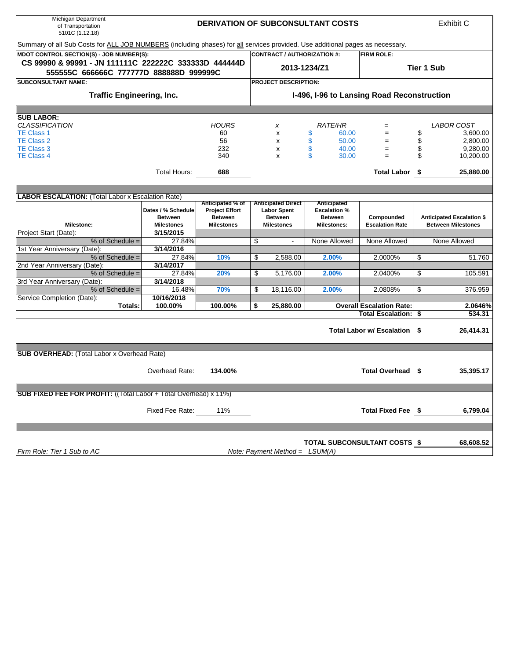| Michigan Department<br>of Transportation<br>5101C (1.12.18)                                                                   |                                            | <b>DERIVATION OF SUBCONSULTANT COSTS</b> |    |                                    |                            |                                 |                   | Exhibit C                        |  |  |
|-------------------------------------------------------------------------------------------------------------------------------|--------------------------------------------|------------------------------------------|----|------------------------------------|----------------------------|---------------------------------|-------------------|----------------------------------|--|--|
| Summary of all Sub Costs for ALL JOB NUMBERS (including phases) for all services provided. Use additional pages as necessary. |                                            |                                          |    |                                    |                            |                                 |                   |                                  |  |  |
| MDOT CONTROL SECTION(S) - JOB NUMBER(S):                                                                                      |                                            |                                          |    | <b>CONTRACT / AUTHORIZATION #:</b> |                            | <b>FIRM ROLE:</b>               |                   |                                  |  |  |
| CS 99990 & 99991 - JN 111111C 222222C 333333D 444444D                                                                         |                                            |                                          |    |                                    | 2013-1234/Z1               |                                 |                   |                                  |  |  |
| 555555C 666666C 777777D 888888D 999999C                                                                                       |                                            |                                          |    |                                    |                            |                                 | <b>Tier 1 Sub</b> |                                  |  |  |
| <b>SUBCONSULTANT NAME:</b>                                                                                                    |                                            |                                          |    | PROJECT DESCRIPTION:               |                            |                                 |                   |                                  |  |  |
| <b>Traffic Engineering, Inc.</b>                                                                                              | I-496, I-96 to Lansing Road Reconstruction |                                          |    |                                    |                            |                                 |                   |                                  |  |  |
|                                                                                                                               |                                            |                                          |    |                                    |                            |                                 |                   |                                  |  |  |
| <b>SUB LABOR:</b>                                                                                                             |                                            |                                          |    |                                    |                            |                                 |                   |                                  |  |  |
| <b>CLASSIFICATION</b>                                                                                                         |                                            | <b>HOURS</b>                             |    | x                                  | <i>RATE/HR</i>             | $=$                             |                   | <i>LABOR COST</i>                |  |  |
| TE Class 1<br><b>TE Class 2</b>                                                                                               |                                            | 60<br>56                                 |    | x                                  | \$<br>60.00<br>\$<br>50.00 | $=$<br>$=$                      | \$                | 3,600.00                         |  |  |
| <b>TE Class 3</b>                                                                                                             |                                            | 232                                      |    | x<br>x                             | \$<br>40.00                | $=$                             | \$<br>\$          | 2,800.00<br>9,280.00             |  |  |
| <b>TE Class 4</b>                                                                                                             |                                            | 340                                      |    | x                                  | \$<br>30.00                | $=$                             | \$                | 10,200.00                        |  |  |
|                                                                                                                               |                                            |                                          |    |                                    |                            |                                 |                   |                                  |  |  |
|                                                                                                                               | Total Hours:                               | 688                                      |    |                                    |                            | Total Labor \$                  |                   | 25,880.00                        |  |  |
|                                                                                                                               |                                            |                                          |    |                                    |                            |                                 |                   |                                  |  |  |
| <b>LABOR ESCALATION: (Total Labor x Escalation Rate)</b>                                                                      |                                            |                                          |    |                                    |                            |                                 |                   |                                  |  |  |
|                                                                                                                               |                                            | Anticipated % of                         |    | <b>Anticipated Direct</b>          | Anticipated                |                                 |                   |                                  |  |  |
|                                                                                                                               | Dates / % Schedule                         | <b>Project Effort</b>                    |    | <b>Labor Spent</b>                 | <b>Escalation %</b>        |                                 |                   |                                  |  |  |
|                                                                                                                               | <b>Between</b>                             | <b>Between</b>                           |    | <b>Between</b>                     | <b>Between</b>             | Compounded                      |                   | <b>Anticipated Escalation \$</b> |  |  |
| <b>Milestone:</b>                                                                                                             | <b>Milestones</b>                          | <b>Milestones</b>                        |    | <b>Milestones</b>                  | <b>Milestones:</b>         | <b>Escalation Rate</b>          |                   | <b>Between Milestones</b>        |  |  |
| Project Start (Date):                                                                                                         | 3/15/2015                                  |                                          |    |                                    |                            |                                 |                   |                                  |  |  |
| % of Schedule =                                                                                                               | 27.84%                                     |                                          | \$ |                                    | None Allowed               | None Allowed                    |                   | None Allowed                     |  |  |
| 1st Year Anniversary (Date):<br>$%$ of Schedule =                                                                             | 3/14/2016<br>27.84%                        | 10%                                      | \$ |                                    | 2.00%                      | 2.0000%                         | \$                | 51.760                           |  |  |
| 2nd Year Anniversary (Date):                                                                                                  | 3/14/2017                                  |                                          |    | 2,588.00                           |                            |                                 |                   |                                  |  |  |
| % of Schedule =                                                                                                               | 27.84%                                     | 20%                                      | \$ | 5,176.00                           | 2.00%                      | 2.0400%                         | \$                | 105.591                          |  |  |
| 3rd Year Anniversary (Date):                                                                                                  | 3/14/2018                                  |                                          |    |                                    |                            |                                 |                   |                                  |  |  |
| % of Schedule =                                                                                                               | 16.48%                                     | 70%                                      | \$ | 18,116.00                          | 2.00%                      | 2.0808%                         | \$                | 376.959                          |  |  |
| Service Completion (Date):                                                                                                    | 10/16/2018                                 |                                          |    |                                    |                            |                                 |                   |                                  |  |  |
| Totals:                                                                                                                       | 100.00%                                    | 100.00%                                  | \$ | 25,880.00                          |                            | <b>Overall Escalation Rate:</b> |                   | 2.0646%                          |  |  |
|                                                                                                                               |                                            |                                          |    |                                    |                            | <b>Total Escalation:</b>        | \$                | 534.31                           |  |  |
|                                                                                                                               |                                            |                                          |    |                                    |                            |                                 |                   |                                  |  |  |
|                                                                                                                               |                                            |                                          |    |                                    |                            | Total Labor w/ Escalation \$    |                   | 26,414.31                        |  |  |
|                                                                                                                               |                                            |                                          |    |                                    |                            |                                 |                   |                                  |  |  |
| <b>SUB OVERHEAD:</b> (Total Labor x Overhead Rate)                                                                            |                                            |                                          |    |                                    |                            |                                 |                   |                                  |  |  |
|                                                                                                                               |                                            |                                          |    |                                    |                            |                                 |                   |                                  |  |  |
|                                                                                                                               | Overhead Rate:                             | 134.00%                                  |    |                                    |                            | Total Overhead \$               |                   | 35,395.17                        |  |  |
|                                                                                                                               |                                            |                                          |    |                                    |                            |                                 |                   |                                  |  |  |
| <b>SUB FIXED FEE FOR PROFIT:</b> ((Total Labor + Total Overhead) x 11%)                                                       |                                            |                                          |    |                                    |                            |                                 |                   |                                  |  |  |
|                                                                                                                               |                                            |                                          |    |                                    |                            |                                 |                   |                                  |  |  |
|                                                                                                                               | Fixed Fee Rate:                            | 11%                                      |    |                                    |                            | Total Fixed Fee \$              |                   | 6,799.04                         |  |  |
|                                                                                                                               |                                            |                                          |    |                                    |                            |                                 |                   |                                  |  |  |
|                                                                                                                               |                                            |                                          |    |                                    |                            |                                 |                   |                                  |  |  |
|                                                                                                                               |                                            |                                          |    |                                    |                            |                                 |                   |                                  |  |  |
|                                                                                                                               |                                            |                                          |    |                                    |                            | TOTAL SUBCONSULTANT COSTS \$    |                   | 68,608.52                        |  |  |
| Firm Role: Tier 1 Sub to AC                                                                                                   |                                            |                                          |    | Note: Payment Method = $LSUM(A)$   |                            |                                 |                   |                                  |  |  |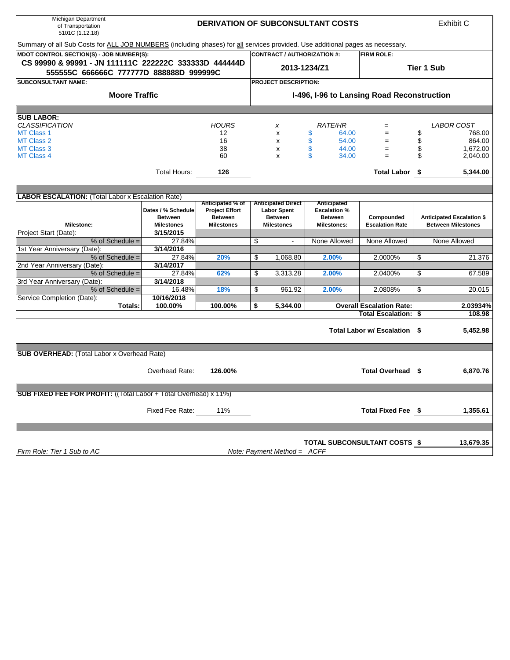| Michigan Department<br>of Transportation<br>5101C (1.12.18)                                                                   |                    |                                           |                                                 | <b>DERIVATION OF SUBCONSULTANT COSTS</b> |                                            |                   | Exhibit C                        |  |  |
|-------------------------------------------------------------------------------------------------------------------------------|--------------------|-------------------------------------------|-------------------------------------------------|------------------------------------------|--------------------------------------------|-------------------|----------------------------------|--|--|
| Summary of all Sub Costs for ALL JOB NUMBERS (including phases) for all services provided. Use additional pages as necessary. |                    |                                           |                                                 |                                          |                                            |                   |                                  |  |  |
| MDOT CONTROL SECTION(S) - JOB NUMBER(S):                                                                                      |                    |                                           | <b>CONTRACT / AUTHORIZATION #:</b>              |                                          | <b>FIRM ROLE:</b>                          |                   |                                  |  |  |
| CS 99990 & 99991 - JN 111111C 222222C 333333D 444444D                                                                         |                    |                                           | 2013-1234/Z1                                    |                                          |                                            | <b>Tier 1 Sub</b> |                                  |  |  |
| 555555C 666666C 777777D 888888D 999999C                                                                                       |                    |                                           |                                                 |                                          |                                            |                   |                                  |  |  |
| <b>SUBCONSULTANT NAME:</b>                                                                                                    |                    |                                           | <b>PROJECT DESCRIPTION:</b>                     |                                          |                                            |                   |                                  |  |  |
| <b>Moore Traffic</b>                                                                                                          |                    |                                           |                                                 |                                          | I-496, I-96 to Lansing Road Reconstruction |                   |                                  |  |  |
|                                                                                                                               |                    |                                           |                                                 |                                          |                                            |                   |                                  |  |  |
| <b>SUB LABOR:</b>                                                                                                             |                    |                                           |                                                 |                                          |                                            |                   |                                  |  |  |
| <b>CLASSIFICATION</b>                                                                                                         |                    | <b>HOURS</b>                              | x                                               | <b>RATE/HR</b>                           | $=$                                        |                   | LABOR COST                       |  |  |
| <b>MT Class 1</b>                                                                                                             |                    | 12                                        | X                                               | \$<br>64.00                              | $=$                                        | \$                | 768.00                           |  |  |
| <b>MT Class 2</b>                                                                                                             |                    | 16                                        | x                                               | \$<br>54.00                              | $=$                                        | \$                | 864.00                           |  |  |
| <b>MT Class 3</b>                                                                                                             |                    | 38                                        | x                                               | \$<br>44.00                              | $=$                                        | \$                | 1,672.00                         |  |  |
| <b>MT Class 4</b>                                                                                                             |                    | 60                                        | X                                               | \$<br>34.00                              | $=$                                        | \$                | 2,040.00                         |  |  |
|                                                                                                                               | Total Hours:       | 126                                       |                                                 |                                          | Total Labor \$                             |                   | 5,344.00                         |  |  |
|                                                                                                                               |                    |                                           |                                                 |                                          |                                            |                   |                                  |  |  |
|                                                                                                                               |                    |                                           |                                                 |                                          |                                            |                   |                                  |  |  |
| <b>LABOR ESCALATION:</b> (Total Labor x Escalation Rate)                                                                      |                    |                                           |                                                 |                                          |                                            |                   |                                  |  |  |
|                                                                                                                               | Dates / % Schedule | Anticipated % of<br><b>Project Effort</b> | <b>Anticipated Direct</b><br><b>Labor Spent</b> | Anticipated<br><b>Escalation %</b>       |                                            |                   |                                  |  |  |
|                                                                                                                               | <b>Between</b>     | <b>Between</b>                            | <b>Between</b>                                  | <b>Between</b>                           | Compounded                                 |                   | <b>Anticipated Escalation \$</b> |  |  |
| <b>Milestone:</b>                                                                                                             | <b>Milestones</b>  | <b>Milestones</b>                         | <b>Milestones</b>                               | <b>Milestones:</b>                       | <b>Escalation Rate</b>                     |                   | <b>Between Milestones</b>        |  |  |
| Project Start (Date):                                                                                                         | 3/15/2015          |                                           |                                                 |                                          |                                            |                   |                                  |  |  |
| % of Schedule =                                                                                                               | 27.84%             |                                           | \$                                              | None Allowed                             | None Allowed                               |                   | None Allowed                     |  |  |
| 1st Year Anniversary (Date):                                                                                                  | 3/14/2016          |                                           |                                                 |                                          |                                            |                   |                                  |  |  |
| $%$ of Schedule =                                                                                                             | 27.84%             | 20%                                       | \$<br>1.068.80                                  | 2.00%                                    | 2.0000%                                    | \$                | 21.376                           |  |  |
| 2nd Year Anniversary (Date):                                                                                                  | 3/14/2017          |                                           |                                                 |                                          |                                            |                   |                                  |  |  |
| % of Schedule =                                                                                                               | 27.84%             | 62%                                       | \$<br>3,313.28                                  | 2.00%                                    | 2.0400%                                    | \$                | 67.589                           |  |  |
| 3rd Year Anniversary (Date):                                                                                                  | 3/14/2018          |                                           |                                                 |                                          |                                            |                   |                                  |  |  |
| % of Schedule =                                                                                                               | 16.48%             | 18%                                       | \$<br>961.92                                    | 2.00%                                    | 2.0808%                                    | \$                | 20.015                           |  |  |
| Service Completion (Date):                                                                                                    | 10/16/2018         |                                           |                                                 |                                          |                                            |                   |                                  |  |  |
| Totals:                                                                                                                       | 100.00%            | 100.00%                                   | \$<br>5,344.00                                  |                                          | <b>Overall Escalation Rate:</b>            |                   | 2.03934%                         |  |  |
|                                                                                                                               |                    |                                           |                                                 |                                          | <b>Total Escalation:</b>                   |                   | 108.98                           |  |  |
|                                                                                                                               |                    |                                           |                                                 |                                          | Total Labor w/ Escalation \$               |                   | 5,452.98                         |  |  |
|                                                                                                                               |                    |                                           |                                                 |                                          |                                            |                   |                                  |  |  |
| <b>SUB OVERHEAD:</b> (Total Labor x Overhead Rate)                                                                            |                    |                                           |                                                 |                                          |                                            |                   |                                  |  |  |
|                                                                                                                               |                    |                                           |                                                 |                                          |                                            |                   |                                  |  |  |
|                                                                                                                               | Overhead Rate:     | 126.00%                                   |                                                 |                                          | Total Overhead \$                          |                   | 6,870.76                         |  |  |
|                                                                                                                               |                    |                                           |                                                 |                                          |                                            |                   |                                  |  |  |
| <b>SUB FIXED FEE FOR PROFIT:</b> ((Total Labor + Total Overhead) x 11%)                                                       |                    |                                           |                                                 |                                          |                                            |                   |                                  |  |  |
|                                                                                                                               |                    |                                           |                                                 |                                          |                                            |                   |                                  |  |  |
|                                                                                                                               | Fixed Fee Rate:    | 11%                                       |                                                 |                                          | Total Fixed Fee \$                         |                   | 1,355.61                         |  |  |
|                                                                                                                               |                    |                                           |                                                 |                                          |                                            |                   |                                  |  |  |
|                                                                                                                               |                    |                                           |                                                 |                                          |                                            |                   |                                  |  |  |
|                                                                                                                               |                    |                                           |                                                 |                                          | TOTAL SUBCONSULTANT COSTS \$               |                   | 13,679.35                        |  |  |
| Firm Role: Tier 1 Sub to AC                                                                                                   |                    |                                           | Note: Payment Method = ACFF                     |                                          |                                            |                   |                                  |  |  |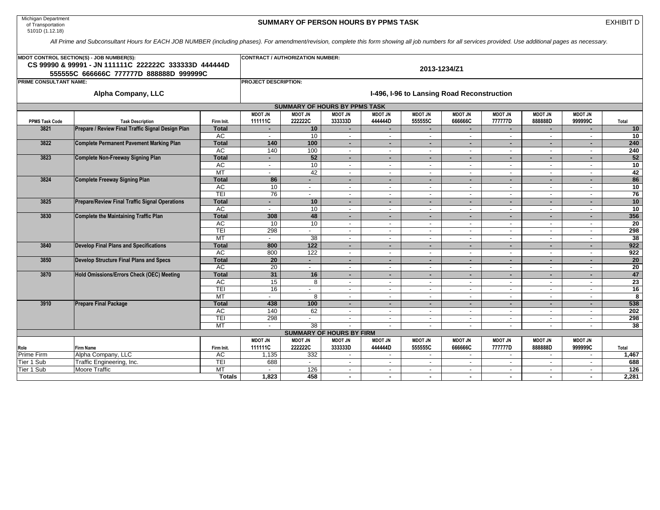| Michigan Department |  |
|---------------------|--|
| of Transportation   |  |
| 5101D (1.12.18)     |  |

## **SUMMARY OF PERSON HOURS BY PPMS TASK**

EXHIBIT D

*All Prime and Subconsultant Hours for EACH JOB NUMBER (including phases). For amendment/revision, complete this form showing all job numbers for all services provided. Use additional pages as necessary.*

|                        | MDOT CONTROL SECTION(S) - JOB NUMBER(S):              | <b>CONTRACT / AUTHORIZATION NUMBER:</b> |                          |                                      |                                 |                                    |                          |                          |                          |                                |                          |                         |  |  |
|------------------------|-------------------------------------------------------|-----------------------------------------|--------------------------|--------------------------------------|---------------------------------|------------------------------------|--------------------------|--------------------------|--------------------------|--------------------------------|--------------------------|-------------------------|--|--|
|                        | CS 99990 & 99991 - JN 111111C 222222C 333333D 444444D |                                         | 2013-1234/Z1             |                                      |                                 |                                    |                          |                          |                          |                                |                          |                         |  |  |
|                        | 555555C 666666C 777777D 888888D 999999C               |                                         |                          |                                      |                                 |                                    |                          |                          |                          |                                |                          |                         |  |  |
| PRIME CONSULTANT NAME: |                                                       | <b>PROJECT DESCRIPTION:</b>             |                          |                                      |                                 |                                    |                          |                          |                          |                                |                          |                         |  |  |
|                        | I-496, I-96 to Lansing Road Reconstruction            |                                         |                          |                                      |                                 |                                    |                          |                          |                          |                                |                          |                         |  |  |
|                        | <b>Alpha Company, LLC</b>                             |                                         |                          |                                      |                                 |                                    |                          |                          |                          |                                |                          |                         |  |  |
|                        |                                                       |                                         |                          | <b>SUMMARY OF HOURS BY PPMS TASK</b> |                                 |                                    |                          |                          |                          |                                |                          |                         |  |  |
|                        |                                                       |                                         | <b>MDOT JN</b>           | <b>MDOT JN</b>                       | <b>MDOT JN</b>                  | <b>MDOT JN</b>                     | <b>MDOT JN</b>           | <b>MDOT JN</b>           | <b>MDOT JN</b>           | <b>MDOT JN</b>                 | <b>MDOT JN</b>           |                         |  |  |
| <b>PPMS Task Code</b>  | <b>Task Description</b>                               | Firm Init.                              | 111111C                  | 222222C                              | 333333D                         | 444444D                            | 555555C                  | 666666C                  | 77777D                   | 88888D                         | 999999C                  | Total                   |  |  |
| 3821                   | Prepare / Review Final Traffic Signal Design Plan     | <b>Total</b>                            | $\sim$                   | 10                                   | $\sim$                          | $\blacksquare$                     | $\sim$                   | $\sim$                   | $\sim$                   | $\sim$                         | $\sim$                   | 10                      |  |  |
|                        |                                                       | <b>AC</b>                               | $\sim$                   | 10                                   | $\overline{\phantom{a}}$        | $\overline{\phantom{a}}$           | $\overline{\phantom{a}}$ | $\overline{\phantom{a}}$ | $\blacksquare$           | $\overline{\phantom{a}}$       | $\overline{\phantom{a}}$ | 10                      |  |  |
| 3822                   | Complete Permanent Pavement Marking Plan              | <b>Total</b>                            | 140                      | 100                                  | $\sim$                          |                                    | ۰                        | $\sim$                   | $\blacksquare$           | ٠.                             |                          | 240                     |  |  |
|                        |                                                       | <b>AC</b>                               | 140                      | 100<br>52                            | $\overline{\phantom{a}}$        | $\sim$                             | $\sim$                   | $\sim$                   | $\sim$                   | $\sim$                         | $\sim$                   | 240                     |  |  |
| 3823                   | Complete Non-Freeway Signing Plan                     | <b>Total</b>                            | $\blacksquare$           |                                      | н.                              | $\overline{\phantom{a}}$           | ۰                        | $\sim$                   | $\overline{\phantom{a}}$ | ۰.                             |                          | 52<br>10                |  |  |
|                        |                                                       | <b>AC</b><br>MT                         | $\sim$                   | 10<br>42                             | $\overline{\phantom{a}}$        |                                    | $\overline{\phantom{a}}$ | $\sim$                   | $\blacksquare$           | $\overline{\phantom{a}}$       |                          | 42                      |  |  |
| 3824                   | Complete Freeway Signing Plan                         | <b>Total</b>                            | $\sim$<br>86             |                                      | $\sim$<br>$\sim$                | $\sim$<br>$\overline{\phantom{a}}$ | $\sim$<br>٠              | $\sim$<br>٠.             | $\sim$<br>$\blacksquare$ | $\sim$                         | $\overline{\phantom{a}}$ | 86                      |  |  |
|                        |                                                       | AC                                      | 10                       | $\overline{\phantom{a}}$             | $\overline{\phantom{a}}$        |                                    | $\overline{\phantom{a}}$ | $\overline{\phantom{a}}$ | $\blacksquare$           | ٠.<br>$\overline{\phantom{a}}$ |                          | $\overline{10}$         |  |  |
|                        |                                                       | TEI                                     | 76                       | $\sim$                               | $\overline{\phantom{a}}$        | $\overline{\phantom{a}}$           | $\sim$                   | $\sim$                   | $\sim$                   | $\blacksquare$                 | $\overline{\phantom{a}}$ | 76                      |  |  |
| 3825                   | <b>Prepare/Review Final Traffic Signal Operations</b> | <b>Total</b>                            | ۰.                       | 10                                   |                                 | $\overline{\phantom{a}}$           | ۰                        | ٠.                       | ٠                        | ٠.                             |                          | 10                      |  |  |
|                        |                                                       | <b>AC</b>                               | $\blacksquare$           | 10                                   | $\overline{\phantom{a}}$        |                                    | $\overline{\phantom{a}}$ | $\overline{\phantom{a}}$ | $\overline{\phantom{a}}$ | $\overline{\phantom{a}}$       |                          | 10                      |  |  |
| 3830                   | Complete the Maintaining Traffic Plan                 | <b>Total</b>                            | 308                      | 48                                   | $\sim$                          | $\blacksquare$                     | ٠                        | $\sim$                   | $\overline{\phantom{a}}$ | ٠.                             | $\sim$                   | 356                     |  |  |
|                        |                                                       | <b>AC</b>                               | 10                       | 10                                   | $\overline{\phantom{a}}$        | $\overline{a}$                     | $\sim$                   | $\sim$                   | $\overline{\phantom{a}}$ | $\sim$                         | $\overline{\phantom{a}}$ | 20                      |  |  |
|                        |                                                       | TEI                                     | 298                      |                                      |                                 |                                    | $\blacksquare$           | $\overline{\phantom{a}}$ | $\overline{\phantom{a}}$ | $\overline{\phantom{a}}$       |                          | 298                     |  |  |
|                        |                                                       | MT                                      | $\sim$                   | 38                                   | $\overline{\phantom{a}}$        | $\sim$                             | $\sim$                   | $\sim$                   | $\blacksquare$           | $\sim$                         | $\overline{\phantom{a}}$ | 38                      |  |  |
| 3840                   | <b>Develop Final Plans and Specifications</b>         | <b>Total</b>                            | 800                      | 122                                  | ٠                               | ÷                                  | ۰                        | ۰.                       | ٠                        |                                |                          | 922                     |  |  |
|                        |                                                       | <b>AC</b>                               | 800                      | 122                                  | $\overline{\phantom{a}}$        |                                    | $\blacksquare$           | $\overline{\phantom{a}}$ | $\sim$                   | $\overline{\phantom{a}}$       |                          | $\overline{922}$        |  |  |
| 3850                   | <b>Develop Structure Final Plans and Specs</b>        | <b>Total</b>                            | 20                       | $\sim$                               | $\sim$                          | $\blacksquare$                     | ٠                        | $\sim$                   | $\sim$                   | ٠.                             | $\sim$                   | 20                      |  |  |
|                        |                                                       | AC                                      | $\overline{20}$          | $\overline{a}$                       | $\overline{\phantom{a}}$        | $\overline{\phantom{a}}$           | $\sim$                   | $\sim$                   | $\overline{\phantom{a}}$ | $\overline{\phantom{a}}$       | $\overline{\phantom{a}}$ | $\overline{20}$         |  |  |
| 3870                   | Hold Omissions/Errors Check (OEC) Meeting             | <b>Total</b>                            | 31                       | 16                                   |                                 |                                    | ۰                        | $\sim$                   | $\blacksquare$           |                                |                          | 47                      |  |  |
|                        |                                                       | <b>AC</b>                               | 15                       | 8                                    | $\sim$                          | $\sim$                             | $\sim$                   | $\sim$                   | $\sim$                   | $\sim$                         | $\sim$                   | 23                      |  |  |
|                        |                                                       | TEI                                     | 16                       | $\overline{a}$                       | $\overline{\phantom{a}}$        | $\sim$                             | $\sim$                   | $\overline{\phantom{a}}$ | $\sim$                   | $\overline{\phantom{a}}$       | $\overline{\phantom{a}}$ | 16                      |  |  |
|                        |                                                       | MT                                      | $\overline{\phantom{a}}$ | 8                                    |                                 |                                    | $\blacksquare$           | $\overline{\phantom{a}}$ | $\overline{\phantom{a}}$ | $\overline{\phantom{a}}$       |                          | $\overline{\mathbf{8}}$ |  |  |
| 3910                   | <b>Prepare Final Package</b>                          | <b>Total</b>                            | 438                      | 100                                  | $\sim$                          | $\sim$                             | ٠                        | $\sim$                   | $\overline{\phantom{a}}$ | $\blacksquare$                 | $\sim$                   | 538                     |  |  |
|                        |                                                       | <b>AC</b>                               | 140                      | 62                                   | $\overline{\phantom{a}}$        | $\sim$                             | $\sim$                   | $\overline{\phantom{a}}$ | $\sim$                   | $\sim$                         | $\overline{\phantom{a}}$ | 202                     |  |  |
|                        |                                                       | TEI                                     | 298                      |                                      |                                 |                                    | $\overline{\phantom{a}}$ | $\overline{\phantom{a}}$ | $\overline{\phantom{a}}$ | $\overline{\phantom{a}}$       |                          | 298                     |  |  |
|                        |                                                       | MT                                      | $\sim$                   | $\overline{38}$                      |                                 | $\overline{a}$                     | $\sim$                   | $\sim$                   | $\overline{\phantom{a}}$ | $\overline{a}$                 | $\overline{\phantom{a}}$ | 38                      |  |  |
|                        |                                                       |                                         |                          |                                      | <b>SUMMARY OF HOURS BY FIRM</b> |                                    |                          |                          |                          |                                |                          |                         |  |  |
|                        |                                                       |                                         | <b>MDOT JN</b>           | <b>MDOT JN</b>                       | <b>MDOT JN</b>                  | <b>MDOT JN</b>                     | <b>MDOT JN</b>           | <b>MDOT JN</b>           | <b>MDOT JN</b>           | <b>MDOT JN</b>                 | <b>MDOT JN</b>           |                         |  |  |
| Role                   | <b>Firm Name</b>                                      | Firm Init.                              | 111111C                  | 222222C                              | 333333D                         | 444444D                            | 555555C                  | 66666C                   | 77777D                   | 888888D                        | 999999C                  | Total                   |  |  |
| Prime Firm             | Alpha Company, LLC                                    | <b>AC</b>                               | 1,135                    | 332                                  |                                 |                                    |                          | $\blacksquare$           | $\overline{a}$           |                                |                          | 1,467                   |  |  |
| Tier 1 Sub             | Traffic Engineering, Inc.                             | TEI                                     | 688                      |                                      |                                 |                                    | $\blacksquare$           | $\overline{\phantom{a}}$ |                          |                                |                          | 688                     |  |  |
| Tier 1 Sub             | Moore Traffic                                         | <b>MT</b>                               | $\sim$                   | 126                                  | $\sim$                          | $\sim$                             | $\sim$                   | $\sim$                   | $\sim$                   | $\sim$                         | $\sim$                   | 126                     |  |  |
|                        |                                                       | <b>Totals</b>                           | 1,823                    | 458                                  |                                 | $\blacksquare$                     | $\overline{\phantom{a}}$ | $\overline{\phantom{a}}$ | $\blacksquare$           | $\overline{\phantom{a}}$       |                          | 2,281                   |  |  |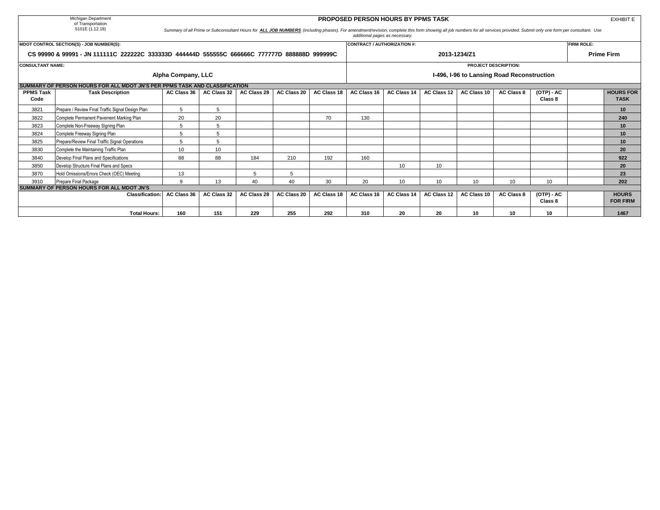|                                                                                               | Michigan Department<br>of Transportation                                                                                                                                                                                                                                        |                    |             |                    |             |                    | <b>PROPOSED PERSON HOURS BY PPMS TASK</b> |             |                    |                 |                                            |                         |                   | <b>EXHIBIT E</b>                |  |
|-----------------------------------------------------------------------------------------------|---------------------------------------------------------------------------------------------------------------------------------------------------------------------------------------------------------------------------------------------------------------------------------|--------------------|-------------|--------------------|-------------|--------------------|-------------------------------------------|-------------|--------------------|-----------------|--------------------------------------------|-------------------------|-------------------|---------------------------------|--|
|                                                                                               | 5101E (1.12.18)<br>Summary of all Prime or Subconsultant Hours for ALL JOB NUMBERS (including phases). For amendment/revision, complete this form showing all job numbers for all services provided. Submit only one form per consultant. Use<br>additional pages as necessary. |                    |             |                    |             |                    |                                           |             |                    |                 |                                            |                         |                   |                                 |  |
|                                                                                               | MDOT CONTROL SECTION(S) - JOB NUMBER(S):                                                                                                                                                                                                                                        |                    |             |                    |             |                    | CONTRACT / AUTHORIZATION #:               |             |                    |                 |                                            |                         | <b>FIRM ROLE:</b> |                                 |  |
| CS 99990 & 99991 - JN 111111C 222222C 333333D 444444D 555555C 666666C 777777D 888888D 999999C |                                                                                                                                                                                                                                                                                 |                    |             |                    |             |                    |                                           |             | 2013-1234/Z1       |                 |                                            |                         |                   | <b>Prime Firm</b>               |  |
| <b>CONSULTANT NAME:</b>                                                                       |                                                                                                                                                                                                                                                                                 |                    |             |                    |             |                    |                                           |             |                    |                 | <b>PROJECT DESCRIPTION:</b>                |                         |                   |                                 |  |
|                                                                                               |                                                                                                                                                                                                                                                                                 | Alpha Company, LLC |             |                    |             |                    |                                           |             |                    |                 | I-496, I-96 to Lansing Road Reconstruction |                         |                   |                                 |  |
|                                                                                               | SUMMARY OF PERSON HOURS FOR ALL MDOT JN'S PER PPMS TASK AND CLASSIFICATION                                                                                                                                                                                                      |                    |             |                    |             |                    |                                           |             |                    |                 |                                            |                         |                   |                                 |  |
| <b>PPMS Task</b><br>Code                                                                      | <b>Task Description</b>                                                                                                                                                                                                                                                         | AC Class 36        | AC Class 32 | <b>AC Class 28</b> | AC Class 20 | <b>AC Class 18</b> | AC Class 16                               | AC Class 14 | <b>AC Class 12</b> | AC Class 10     | <b>AC Class 8</b>                          | $(OTP) - AC$<br>Class 8 |                   | <b>HOURS FOR</b><br><b>TASK</b> |  |
| 3821                                                                                          | Prepare / Review Final Traffic Signal Design Plan                                                                                                                                                                                                                               | 5                  | 5           |                    |             |                    |                                           |             |                    |                 |                                            |                         |                   | 10                              |  |
| 3822                                                                                          | Complete Permanent Pavement Marking Plan                                                                                                                                                                                                                                        | 20                 | 20          |                    |             | 70                 | 130                                       |             |                    |                 |                                            |                         |                   | 240                             |  |
| 3823                                                                                          | Complete Non-Freeway Signing Plan                                                                                                                                                                                                                                               |                    | 5           |                    |             |                    |                                           |             |                    |                 |                                            |                         |                   | 10                              |  |
| 3824                                                                                          | Complete Freeway Signing Plan                                                                                                                                                                                                                                                   |                    | 5           |                    |             |                    |                                           |             |                    |                 |                                            |                         |                   | 10                              |  |
| 3825                                                                                          | Prepare/Review Final Traffic Signal Operations                                                                                                                                                                                                                                  |                    | 5           |                    |             |                    |                                           |             |                    |                 |                                            |                         |                   | 10                              |  |
| 3830                                                                                          | Complete the Maintaining Traffic Plan                                                                                                                                                                                                                                           | 10 <sup>1</sup>    | 10          |                    |             |                    |                                           |             |                    |                 |                                            |                         |                   | 20                              |  |
| 3840                                                                                          | Develop Final Plans and Specifications                                                                                                                                                                                                                                          | 88                 | 88          | 184                | 210         | 192                | 160                                       |             |                    |                 |                                            |                         |                   | 922                             |  |
| 3850                                                                                          | Develop Structure Final Plans and Specs                                                                                                                                                                                                                                         |                    |             |                    |             |                    |                                           | 10          | 10                 |                 |                                            |                         |                   | 20                              |  |
| 3870                                                                                          | Hold Omissions/Errors Check (OEC) Meeting                                                                                                                                                                                                                                       | 13                 |             |                    | 5           |                    |                                           |             |                    |                 |                                            |                         |                   | 23                              |  |
| 3910                                                                                          | Prepare Final Package                                                                                                                                                                                                                                                           | $\alpha$           | 13          | 40                 | 40          | 30                 | 20                                        | 10          | 10                 | 10 <sup>1</sup> | 10                                         | 10                      |                   | 202                             |  |
|                                                                                               | SUMMARY OF PERSON HOURS FOR ALL MDOT JN'S                                                                                                                                                                                                                                       |                    |             |                    |             |                    |                                           |             |                    |                 |                                            |                         |                   |                                 |  |
|                                                                                               | <b>Classification:</b>                                                                                                                                                                                                                                                          | AC Class 36        | AC Class 32 | AC Class 28        | AC Class 20 | AC Class 18        | AC Class 16                               | AC Class 14 | AC Class 12        | AC Class 10     | <b>AC Class 8</b>                          | $(OTP) - AC$<br>Class 8 |                   | <b>HOURS</b><br><b>FOR FIRM</b> |  |
|                                                                                               | <b>Total Hours:</b>                                                                                                                                                                                                                                                             | 160                | 151         | 229                | 255         | 292                | 310                                       | 20          | 20                 | 10              | 10                                         | 10                      |                   | 1467                            |  |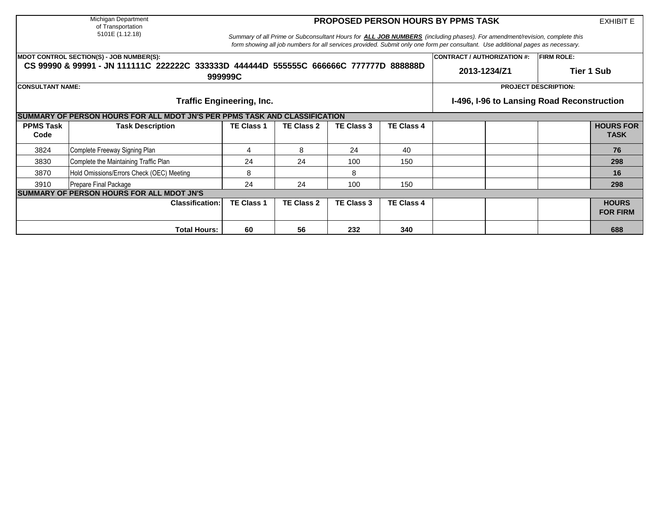Michigan Department of Transportation 5101E (1.12.18)

## **PROPOSED PERSON HOURS BY PPMS TASK**

EXHIBIT E

*Summary of all Prime or Subconsultant Hours for ALL JOB NUMBERS (including phases). For amendment/revision, complete this form showing all job numbers for all services provided. Submit only one form per consultant. Use additional pages as necessary.*

|                          | <b>MDOT CONTROL SECTION(S) - JOB NUMBER(S):</b>                                                  |                                            |                             |                   |                   | <b>CONTRACT / AUTHORIZATION #:</b> | <b>FIRM ROLE:</b> |                                 |  |  |  |  |  |  |
|--------------------------|--------------------------------------------------------------------------------------------------|--------------------------------------------|-----------------------------|-------------------|-------------------|------------------------------------|-------------------|---------------------------------|--|--|--|--|--|--|
|                          | CS 99990 & 99991 - JN 111111C 222222C 333333D 444444D 555555C 666666C 777777D 888888D<br>999999C | 2013-1234/Z1                               | Tier 1 Sub                  |                   |                   |                                    |                   |                                 |  |  |  |  |  |  |
| <b>CONSULTANT NAME:</b>  |                                                                                                  |                                            | <b>PROJECT DESCRIPTION:</b> |                   |                   |                                    |                   |                                 |  |  |  |  |  |  |
|                          | <b>Traffic Engineering, Inc.</b>                                                                 | I-496, I-96 to Lansing Road Reconstruction |                             |                   |                   |                                    |                   |                                 |  |  |  |  |  |  |
|                          | SUMMARY OF PERSON HOURS FOR ALL MDOT JN'S PER PPMS TASK AND CLASSIFICATION                       |                                            |                             |                   |                   |                                    |                   |                                 |  |  |  |  |  |  |
| <b>PPMS Task</b><br>Code | <b>Task Description</b>                                                                          | <b>TE Class 1</b>                          | <b>TE Class 2</b>           | <b>TE Class 3</b> | <b>TE Class 4</b> |                                    |                   | <b>HOURS FOR</b><br><b>TASK</b> |  |  |  |  |  |  |
| 3824                     | Complete Freeway Signing Plan                                                                    | 4                                          | 8                           | 24                | 40                |                                    |                   | 76                              |  |  |  |  |  |  |
| 3830                     | Complete the Maintaining Traffic Plan                                                            | 24                                         | 24                          | 100               | 150               |                                    |                   | 298                             |  |  |  |  |  |  |
| 3870                     | Hold Omissions/Errors Check (OEC) Meeting                                                        | 8                                          |                             | 8                 |                   |                                    |                   | 16                              |  |  |  |  |  |  |
| 3910                     | Prepare Final Package                                                                            | 24                                         | 24                          | 100               | 150               |                                    |                   | 298                             |  |  |  |  |  |  |
|                          | <b>SUMMARY OF PERSON HOURS FOR ALL MDOT JN'S</b>                                                 |                                            |                             |                   |                   |                                    |                   |                                 |  |  |  |  |  |  |
|                          | <b>Classification:</b>                                                                           | <b>TE Class 1</b>                          | <b>TE Class 2</b>           | TE Class 3        | <b>TE Class 4</b> |                                    |                   | <b>HOURS</b><br><b>FOR FIRM</b> |  |  |  |  |  |  |
|                          | <b>Total Hours:</b>                                                                              | 60                                         | 56                          | 232               | 340               |                                    |                   | 688                             |  |  |  |  |  |  |